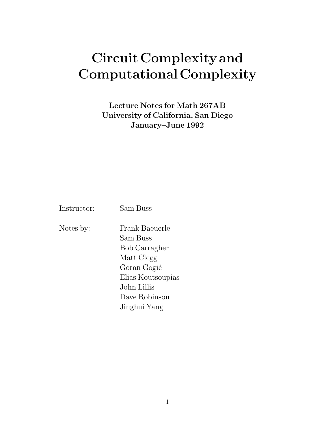# **CircuitComplexity and ComputationalComplexity**

**Lecture Notes for Math 267AB University of California, San Diego January–June 1992**

Instructor: Sam Buss

Notes by: Frank Baeuerle Sam Buss Bob Carragher Matt Clegg Goran Gogić Elias Koutsoupias John Lillis Dave Robinson Jinghui Yang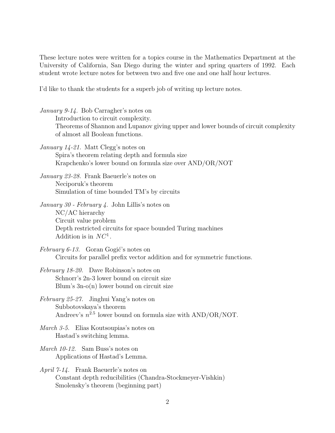These lecture notes were written for a topics course in the Mathematics Department at the University of California, San Diego during the winter and spring quarters of 1992. Each student wrote lecture notes for between two and five one and one half hour lectures.

I'd like to thank the students for a superb job of writing up lecture notes.

- January 9-14. Bob Carragher's notes on Introduction to circuit complexity. Theorems of Shannon and Lupanov giving upper and lower bounds of circuit complexity of almost all Boolean functions.
- January 14-21. Matt Clegg's notes on Spira's theorem relating depth and formula size Krapchenko's lower bound on formula size over AND/OR/NOT

January 23-28. Frank Baeuerle's notes on Neciporuk's theorem Simulation of time bounded TM's by circuits

January 30 - February 4. John Lillis's notes on NC/AC hierarchy Circuit value problem Depth restricted circuits for space bounded Turing machines Addition is in  $NC<sup>1</sup>$ .

February 6-13. Goran Gogić's notes on Circuits for parallel prefix vector addition and for symmetric functions.

February 18-20. Dave Robinson's notes on Schnorr's 2n-3 lower bound on circuit size Blum's 3n-o(n) lower bound on circuit size

- February 25-27. Jinghui Yang's notes on Subbotovskaya's theorem Andreev's  $n^{2.5}$  lower bound on formula size with AND/OR/NOT.
- March 3-5. Elias Koutsoupias's notes on Hastad's switching lemma.
- March 10-12. Sam Buss's notes on Applications of Hastad's Lemma.
- April 7-14. Frank Baeuerle's notes on Constant depth reducibilities (Chandra-Stockmeyer-Vishkin) Smolensky's theorem (beginning part)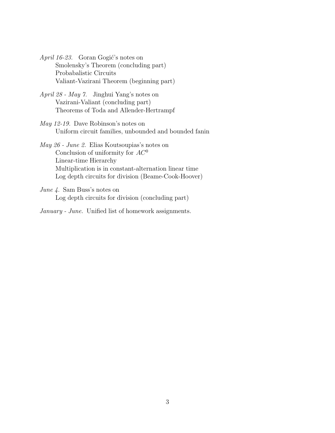April 16-23. Goran Gogić's notes on Smolensky's Theorem (concluding part) Probabalistic Circuits Valiant-Vazirani Theorem (beginning part)

April 28 - May 7. Jinghui Yang's notes on Vazirani-Valiant (concluding part) Theorems of Toda and Allender-Hertrampf

May 12-19. Dave Robinson's notes on Uniform circuit families, unbounded and bounded fanin

May 26 - June 2. Elias Koutsoupias's notes on Conclusion of uniformity for  $AC^0$ Linear-time Hierarchy Multiplication is in constant-alternation linear time Log depth circuits for division (Beame-Cook-Hoover)

June 4. Sam Buss's notes on Log depth circuits for division (concluding part)

January - June. Unified list of homework assignments.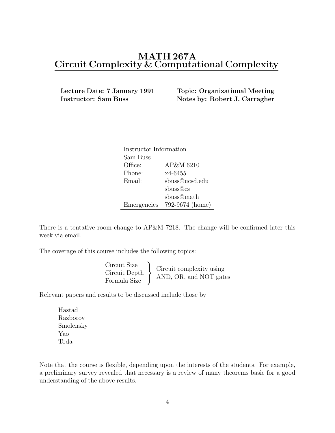## **MATH 267A Circuit Complexity & Computational Complexity**

**Lecture Date: 7 January 1991 Topic: Organizational Meeting**

**Instructor: Sam Buss Notes by: Robert J. Carragher** 

| Instructor Information |                 |
|------------------------|-----------------|
| Sam Buss               |                 |
| Office:                | AP&M 6210       |
| Phone:                 | x4-6455         |
| Email:                 | sbuss@ucsd.edu  |
|                        | sbuss@cs        |
|                        | sbuss@math      |
| Emergencies            | 792-9674 (home) |

There is a tentative room change to AP&M 7218. The change will be confirmed later this week via email.

The coverage of this course includes the following topics:

| Circuit complexity using<br>AND, OR, and NOT gates |
|----------------------------------------------------|
|                                                    |

Relevant papers and results to be discussed include those by

Hastad Razborov Smolensky Yao Toda

Note that the course is flexible, depending upon the interests of the students. For example, a preliminary survey revealed that necessary is a review of many theorems basic for a good understanding of the above results.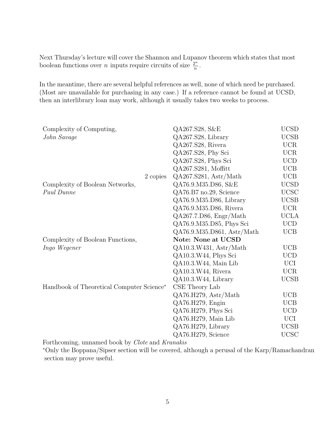Next Thursday's lecture will cover the Shannon and Lupanov theorem which states that most boolean functions over *n* inputs require circuits of size  $\frac{2^n}{n}$ .

In the meantime, there are several helpful references as well, none of which need be purchased. (Most are unavailable for purchasing in any case.) If a reference cannot be found at UCSD, then an interlibrary loan may work, although it usually takes two weeks to process.

| Complexity of Computing,                  |          | QA267.S28, S&E             | <b>UCSD</b> |
|-------------------------------------------|----------|----------------------------|-------------|
| John Savage                               |          | QA267.S28, Library         | <b>UCSB</b> |
|                                           |          | QA267.S28, Rivera          | <b>UCR</b>  |
|                                           |          | QA267.S28, Phy Sci         | <b>UCR</b>  |
|                                           |          | QA267.S28, Phys Sci        | <b>UCD</b>  |
|                                           |          | QA267.S281, Moffitt        | <b>UCB</b>  |
|                                           | 2 copies | QA267.S281, Astr/Math      | <b>UCB</b>  |
| Complexity of Boolean Networks,           |          | QA76.9.M35.D86, S&E        | <b>UCSD</b> |
| Paul Dunne                                |          | QA76.B7 no.29, Science     | <b>UCSC</b> |
|                                           |          | QA76.9.M35.D86, Library    | <b>UCSB</b> |
|                                           |          | QA76.9.M35.D86, Rivera     | <b>UCR</b>  |
|                                           |          | QA267.7.D86, Engr/Math     | <b>UCLA</b> |
|                                           |          | QA76.9.M35.D85, Phys Sci   | <b>UCD</b>  |
|                                           |          | QA76.9.M35.D861, Astr/Math | <b>UCB</b>  |
| Complexity of Boolean Functions,          |          | <b>Note: None at UCSD</b>  |             |
| Ingo Wegener                              |          | QA10.3.W431, Astr/Math     | <b>UCB</b>  |
|                                           |          | QA10.3.W44, Phys Sci       | <b>UCD</b>  |
|                                           |          | QA10.3.W44, Main Lib       | UCI         |
|                                           |          | QA10.3.W44, Rivera         | <b>UCR</b>  |
|                                           |          | QA10.3.W44, Library        | <b>UCSB</b> |
| Handbook of Theoretical Computer Science* |          | CSE Theory Lab             |             |
|                                           |          | QA76.H279, Astr/Math       | <b>UCB</b>  |
|                                           |          | QA76.H279, Engin           | <b>UCB</b>  |
|                                           |          | QA76.H279, Phys Sci        | <b>UCD</b>  |
|                                           |          | QA76.H279, Main Lib        | UCI         |
|                                           |          | QA76.H279, Library         | <b>UCSB</b> |
|                                           |          | QA76.H279, Science         | <b>UCSC</b> |

Forthcoming, unnamed book by Clote and Kranakis

<sup>∗</sup>Only the Boppana/Sipser section will be covered, although a perusal of the Karp/Ramachandran section may prove useful.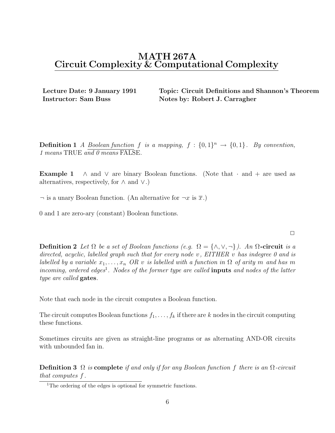## **MATH 267A Circuit Complexity & Computational Complexity**

**Lecture Date: 9 January 1991 Topic: Circuit Definitions and Shannon's Theorem Instructor: Sam Buss Notes by: Robert J. Carragher** 

**Definition 1** A Boolean function f is a mapping,  $f : \{0,1\}^n \rightarrow \{0,1\}$ . By convention, 1 means TRUE and 0 means FALSE.

**Example 1**  $\land$  and  $\lor$  are binary Boolean functions. (Note that  $\cdot$  and  $+$  are used as alternatives, respectively, for  $\land$  and  $\lor$ .)

 $\neg$  is a unary Boolean function. (An alternative for  $\neg x$  is  $\overline{x}$ .)

0 and 1 are zero-ary (constant) Boolean functions.

**Definition 2** Let  $\Omega$  be a set of Boolean functions (e.g.  $\Omega = \{\wedge, \vee, \neg\}$ ). An  $\Omega$ -circuit is a directed, acyclic, labelled graph such that for every node v, EITHER v has indegree 0 and is labelled by a variable  $x_1, \ldots, x_n$  OR v is labelled with a function in  $\Omega$  of arity m and has m incoming, ordered edges<sup>1</sup>. Nodes of the former type are called **inputs** and nodes of the latter type are called **gates**.

Note that each node in the circuit computes a Boolean function.

The circuit computes Boolean functions  $f_1, \ldots, f_k$  if there are k nodes in the circuit computing these functions.

Sometimes circuits are given as straight-line programs or as alternating AND-OR circuits with unbounded fan in.

**Definition 3** Ω is **complete** if and only if for any Boolean function f there is an Ω-circuit that computes f .

 $\Box$ 

<sup>&</sup>lt;sup>1</sup>The ordering of the edges is optional for symmetric functions.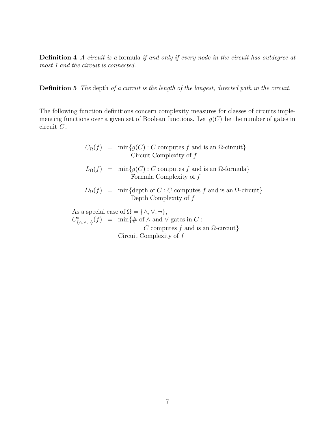**Definition 4** A circuit is a formula if and only if every node in the circuit has outdegree at most 1 and the circuit is connected.

**Definition 5** The depth of a circuit is the length of the longest, directed path in the circuit.

The following function definitions concern complexity measures for classes of circuits implementing functions over a given set of Boolean functions. Let  $g(C)$  be the number of gates in circuit  $C$ .

$$
C_{\Omega}(f) = \min\{g(C) : C \text{ computes } f \text{ and is an } \Omega\text{-circuit}\}
$$
  
 Circuit Complexity of  $f$   

$$
L_{\Omega}(f) = \min\{g(C) : C \text{ computes } f \text{ and is an } \Omega\text{-formula}\}
$$
  
Formula Complexity of  $f$   

$$
D_{\Omega}(f) = \min\{\text{depth of } C : C \text{ computes } f \text{ and is an } \Omega\text{-circuit}\}
$$
  
Depth Complexity of  $f$ 

As a special case of  $\Omega = \{\wedge, \vee, \neg\},\$  $C^*_{\{\wedge,\vee,\neg\}}(f) = \min\{\#\ \text{of} \wedge \text{and} \vee \text{ gates in } C: \varnothing\}$ C computes f and is an  $\Omega$ -circuit} Circuit Complexity of f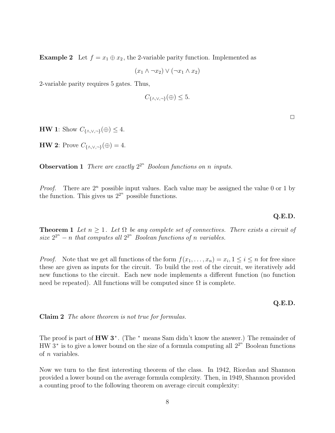**Example 2** Let  $f = x_1 \oplus x_2$ , the 2-variable parity function. Implemented as

 $(x_1 \wedge \neg x_2) \vee (\neg x_1 \wedge x_2)$ 

2-variable parity requires 5 gates. Thus,

$$
C_{\{\wedge,\vee,\neg\}}(\oplus) \leq 5.
$$

**HW 1**: Show  $C_{\{\wedge,\vee,\neg\}}(\oplus) \leq 4$ .

**HW 2**: Prove  $C_{\{\wedge,\vee,\neg\}}(\oplus) = 4$ .

**Observation 1** There are exactly  $2^{2^n}$  Boolean functions on n inputs.

*Proof.* There are  $2^n$  possible input values. Each value may be assigned the value 0 or 1 by the function. This gives us  $2^{2^n}$  possible functions.

#### **Q.E.D.**

**Theorem 1** Let  $n \geq 1$ . Let  $\Omega$  be any complete set of connectives. There exists a circuit of size  $2^{2^n}$  – n that computes all  $2^{2^n}$  Boolean functions of n variables.

*Proof.* Note that we get all functions of the form  $f(x_1,...,x_n) = x_i, 1 \leq i \leq n$  for free since these are given as inputs for the circuit. To build the rest of the circuit, we iteratively add new functions to the circuit. Each new node implements a different function (no function need be repeated). All functions will be computed since  $\Omega$  is complete.

#### **Q.E.D.**

**Claim 2** The above theorem is not true for formulas.

The proof is part of **HW 3**<sup>∗</sup> . (The <sup>∗</sup> means Sam didn't know the answer.) The remainder of  $HW3^*$  is to give a lower bound on the size of a formula computing all  $2^{2^{n}}$  Boolean functions of n variables.

Now we turn to the first interesting theorem of the class. In 1942, Riordan and Shannon provided a lower bound on the average formula complexity. Then, in 1949, Shannon provided a counting proof to the following theorem on average circuit complexity:

 $\Box$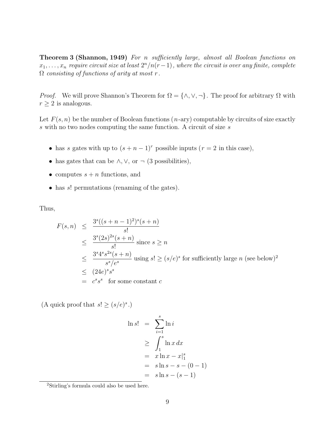**Theorem 3 (Shannon, 1949)** For n sufficiently large, almost all Boolean functions on  $x_1, \ldots, x_n$  require circuit size at least  $2^n/n(r-1)$ , where the circuit is over any finite, complete  $\Omega$  consisting of functions of arity at most r.

*Proof.* We will prove Shannon's Theorem for  $\Omega = \{\wedge, \vee, \neg\}$ . The proof for arbitrary  $\Omega$  with  $r \geq 2$  is analogous.

Let  $F(s, n)$  be the number of Boolean functions  $(n-ary)$  computable by circuits of size exactly s with no two nodes computing the same function. A circuit of size s

- has s gates with up to  $(s + n 1)^r$  possible inputs  $(r = 2$  in this case),
- has gates that can be  $\land$ ,  $\lor$ , or  $\neg$  (3 possibilities),
- computes  $s + n$  functions, and
- has s! permutations (renaming of the gates).

Thus,

$$
F(s,n) \leq \frac{3^s((s+n-1)^2)^s(s+n)}{s!}
$$
  
\n
$$
\leq \frac{3^s(2s)^{2s}(s+n)}{s!}
$$
 since  $s \geq n$   
\n
$$
\leq \frac{3^s 4^s s^{2s}(s+n)}{s^s/e^s}
$$
 using  $s! \geq (s/e)^s$  for sufficiently large *n* (see below)<sup>2</sup>  
\n
$$
\leq (24e)^s s^s
$$
  
\n
$$
= c^s s^s
$$
 for some constant *c*

(A quick proof that  $s! \geq (s/e)^s$ .)

$$
\ln s! = \sum_{i=1}^{s} \ln i
$$
  
\n
$$
\geq \int_{1}^{s} \ln x \, dx
$$
  
\n
$$
= x \ln x - x \Big|_{1}^{s}
$$
  
\n
$$
= s \ln s - s - (0 - 1)
$$
  
\n
$$
= s \ln s - (s - 1)
$$

<sup>2</sup>Stirling's formula could also be used here.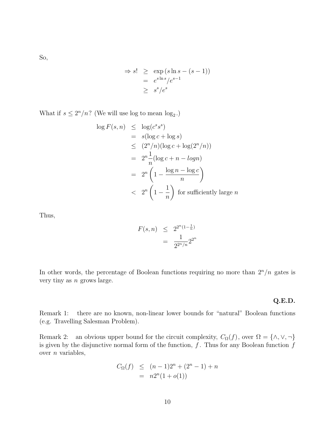So,

$$
\Rightarrow s! \ge \exp(s \ln s - (s - 1))
$$
  
=  $e^{s \ln s}/e^{s-1}$   

$$
\ge s^s/e^s
$$

What if  $s \leq 2^n/n$ ? (We will use log to mean  $\log_2$ .)

$$
\log F(s, n) \leq \log(c^s s^s)
$$
  
=  $s(\log c + \log s)$   
 $\leq (2^n/n)(\log c + \log(2^n/n))$   
=  $2^n \frac{1}{n} (\log c + n - \log n)$   
=  $2^n \left(1 - \frac{\log n - \log c}{n}\right)$   
 $< 2^n \left(1 - \frac{1}{n}\right)$  for sufficiently large *n*

Thus,

$$
F(s, n) \le 2^{2^n (1 - \frac{1}{n})}
$$
  
= 
$$
\frac{1}{2^{2^n/n}} 2^{2^n}
$$

In other words, the percentage of Boolean functions requiring no more than  $2^n/n$  gates is very tiny as  $n$  grows large.

#### **Q.E.D.**

Remark 1: there are no known, non-linear lower bounds for "natural" Boolean functions (e.g. Travelling Salesman Problem).

Remark 2: an obvious upper bound for the circuit complexity,  $C_{\Omega}(f)$ , over  $\Omega = \{\wedge, \vee, \neg\}$ is given by the disjunctive normal form of the function,  $f$ . Thus for any Boolean function  $f$ over  $n$  variables,

$$
C_{\Omega}(f) \leq (n-1)2^{n} + (2^{n} - 1) + n
$$
  
=  $n2^{n}(1 + o(1))$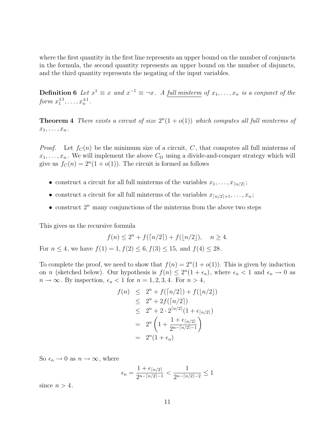where the first quantity in the first line represents an upper bound on the number of conjuncts in the formula, the second quantity represents an upper bound on the number of disjuncts, and the third quantity represents the negating of the input variables.

**Definition 6** Let  $x^1 \equiv x$  and  $x^{-1} \equiv \neg x$ . A full minterm of  $x_1, \ldots, x_n$  is a conjunct of the form  $x_1^{\pm 1}, \ldots, x_n^{\pm 1}$ .

**Theorem 4** There exists a circuit of size  $2^{n}(1 + o(1))$  which computes all full minterms of  $x_1,\ldots,x_n$ .

*Proof.* Let  $f_C(n)$  be the minimum size of a circuit, C, that computes all full minterms of  $x_1,\ldots,x_n$ . We will implement the above  $C_{\Omega}$  using a divide-and-conquer strategy which will give us  $f_C(n)=2^n(1 + o(1))$ . The circuit is formed as follows

- construct a circuit for all full minterms of the variables  $x_1, \ldots, x_{\lceil n/2 \rceil}$ ;
- construct a circuit for all full minterms of the variables  $x_{n/2+1},\ldots,x_n;$
- construct  $2^n$  many conjunctions of the minterms from the above two steps

This gives us the recursive formula

$$
f(n) \le 2^n + f(\lceil n/2 \rceil) + f(\lfloor n/2 \rfloor), \quad n \ge 4.
$$
  
For  $n \le 4$ , we have  $f(1) = 1, f(2) \le 6, f(3) \le 15$ , and  $f(4) \le 28$ .

To complete the proof, we need to show that  $f(n)=2<sup>n</sup>(1 + o(1))$ . This is given by induction on *n* (sketched below). Our hypothesis is  $f(n) \leq 2^n(1 + \epsilon_n)$ , where  $\epsilon_n < 1$  and  $\epsilon_n \to 0$  as  $n \to \infty$ . By inspection,  $\epsilon_n < 1$  for  $n = 1, 2, 3, 4$ . For  $n > 4$ ,

$$
f(n) \leq 2^n + f(\lceil n/2 \rceil) + f(\lfloor n/2 \rfloor)
$$
  
\n
$$
\leq 2^n + 2f(\lceil n/2 \rceil)
$$
  
\n
$$
\leq 2^n + 2 \cdot 2^{\lceil n/2 \rceil} (1 + \epsilon_{\lceil n/2 \rceil})
$$
  
\n
$$
= 2^n \left( 1 + \frac{1 + \epsilon_{\lceil n/2 \rceil}}{2^{n - \lceil n/2 \rceil - 1}} \right)
$$
  
\n
$$
= 2^n (1 + \epsilon_n)
$$

So  $\epsilon_n \to 0$  as  $n \to \infty$ , where

$$
\epsilon_n = \frac{1 + \epsilon_{\lceil n/2 \rceil}}{2^{n - \lceil n/2 \rceil - 1}} < \frac{1}{2^{n - \lceil n/2 \rceil - 2}} \le 1
$$

since  $n > 4$ .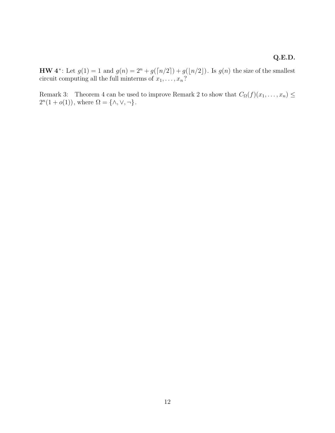### **Q.E.D.**

**HW** 4<sup>∗</sup>: Let  $g(1) = 1$  and  $g(n) = 2<sup>n</sup> + g(\lfloor n/2 \rfloor) + g(\lfloor n/2 \rfloor)$ . Is  $g(n)$  the size of the smallest circuit computing all the full minterms of  $x_1, \ldots, x_n$ ?

Remark 3: Theorem 4 can be used to improve Remark 2 to show that  $C_{\Omega}(f)(x_1,...,x_n) \le 2^n(1+o(1))$ , where  $\Omega = {\wedge, \vee, \neg}$ .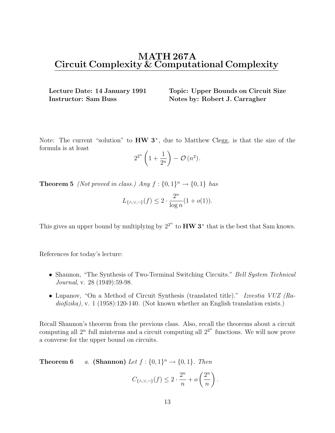## **MATH 267A Circuit Complexity & Computational Complexity**

**Lecture Date: 14 January 1991 Topic: Upper Bounds on Circuit Size Instructor: Sam Buss Notes by: Robert J. Carragher** 

Note: The current "solution" to **HW 3**<sup>∗</sup> , due to Matthew Clegg, is that the size of the formula is at least

$$
2^{2^n}\left(1+\frac{1}{2^n}\right)-\mathcal{O}\left(n^2\right).
$$

**Theorem 5** (Not proved in class.) Any  $f : \{0, 1\}^n \rightarrow \{0, 1\}$  has

$$
L_{\{\wedge,\vee,\neg\}}(f) \le 2 \cdot \frac{2^n}{\log n} (1 + o(1)).
$$

This gives an upper bound by multiplying by  $2^{2^n}$  to  $HW 3^*$  that is the best that Sam knows.

References for today's lecture:

- Shannon, "The Synthesis of Two-Terminal Switching Circuits." Bell System Technical Journal, v. 28 (1949):59-98.
- Lupanov, "On a Method of Circuit Synthesis (translated title)." Izvestia VUZ (Radiofizika), v. 1 (1958):120-140. (Not known whether an English translation exists.)

Recall Shannon's theorem from the previous class. Also, recall the theorems about a circuit computing all  $2^n$  full minterms and a circuit computing all  $2^{2^n}$  functions. We will now prove a converse for the upper bound on circuits.

**Theorem 6** a. **(Shannon)** Let  $f : \{0, 1\}^n \rightarrow \{0, 1\}$ . Then

$$
C_{\{\wedge,\vee,\neg\}}(f) \leq 2 \cdot \frac{2^n}{n} + o\left(\frac{2^n}{n}\right).
$$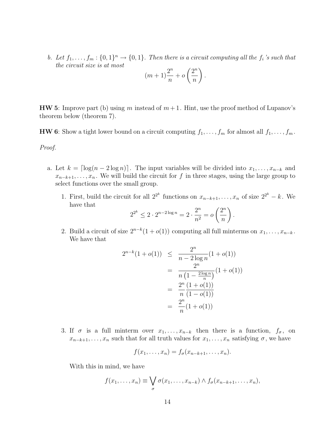b. Let  $f_1,\ldots,f_m:\{0,1\}^n\to\{0,1\}$ . Then there is a circuit computing all the  $f_i$ 's such that the circuit size is at most

$$
(m+1)\frac{2^n}{n} + o\left(\frac{2^n}{n}\right).
$$

**HW 5**: Improve part (b) using m instead of  $m+1$ . Hint, use the proof method of Lupanov's theorem below (theorem 7).

**HW 6**: Show a tight lower bound on a circuit computing  $f_1, \ldots, f_m$  for almost all  $f_1, \ldots, f_m$ .

Proof.

- a. Let  $k = \lceil \log(n 2 \log n) \rceil$ . The input variables will be divided into  $x_1, \ldots, x_{n-k}$  and  $x_{n-k+1},\ldots,x_n$ . We will build the circuit for f in three stages, using the large group to select functions over the small group.
	- 1. First, build the circuit for all  $2^{2^k}$  functions on  $x_{n-k+1}, \ldots, x_n$  of size  $2^{2^k} k$ . We have that

$$
2^{2^k} \le 2 \cdot 2^{n-2\log n} = 2 \cdot \frac{2^n}{n^2} = o\left(\frac{2^n}{n}\right).
$$

2. Build a circuit of size  $2^{n-k}(1+o(1))$  computing all full minterms on  $x_1, \ldots, x_{n-k}$ . We have that

$$
2^{n-k}(1+o(1)) \leq \frac{2^n}{n-2\log n}(1+o(1))
$$
  
= 
$$
\frac{2^n}{n(1-\frac{2\log n}{n})}(1+o(1))
$$
  
= 
$$
\frac{2^n}{n(1-o(1))}
$$
  
= 
$$
\frac{2^n}{n}(1+o(1))
$$

3. If  $\sigma$  is a full minterm over  $x_1, \ldots, x_{n-k}$  then there is a function,  $f_{\sigma}$ , on  $x_{n-k+1},...,x_n$  such that for all truth values for  $x_1,...,x_n$  satisfying  $\sigma$ , we have

$$
f(x_1,\ldots,x_n)=f_\sigma(x_{n-k+1},\ldots,x_n).
$$

With this in mind, we have

$$
f(x_1,\ldots,x_n)\equiv \bigvee_{\sigma}\sigma(x_1,\ldots,x_{n-k})\wedge f_{\sigma}(x_{n-k+1},\ldots,x_n),
$$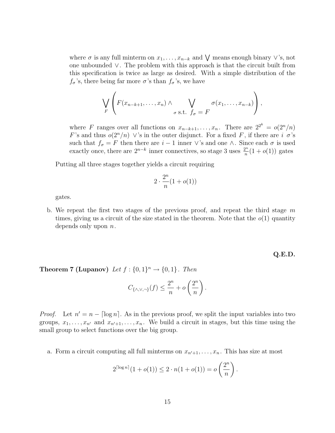where  $\sigma$  is any full minterm on  $x_1, \ldots, x_{n-k}$  and  $\bigvee$  means enough binary  $\vee$ 's, not one unbounded ∨. The problem with this approach is that the circuit built from this specification is twice as large as desired. With a simple distribution of the  $f_{\sigma}$ 's, there being far more  $\sigma$ 's than  $f_{\sigma}$ 's, we have

$$
\bigvee_{F} \left( F(x_{n-k+1}, \ldots, x_n) \wedge \bigvee_{\sigma \text{ s.t. } f_{\sigma} = F} \sigma(x_1, \ldots, x_{n-k}) \right),
$$

where F ranges over all functions on  $x_{n-k+1},...,x_n$ . There are  $2^{2^k} = o(2^n/n)$ <br>Eigend there  $e^{(2n/n)}$ ,  $\lambda i_n$  in the outer disjunct. For a fixed F if there are in  $i_n$ F's and thus  $o(2^n/n)$   $\vee$ 's in the outer disjunct. For a fixed F, if there are  $i \sigma$ 's such that  $f_{\sigma} = F$  then there are  $i - 1$  inner  $\vee$ 's and one  $\wedge$ . Since each  $\sigma$  is used exactly once, there are  $2^{n-k}$  inner connectives, so stage 3 uses  $\frac{2^n}{n}(1+o(1))$  gates

Putting all three stages together yields a circuit requiring

$$
2\cdot \frac{2^n}{n}(1+o(1))
$$

gates.

b. We repeat the first two stages of the previous proof, and repeat the third stage  $m$ times, giving us a circuit of the size stated in the theorem. Note that the  $o(1)$  quantity depends only upon  $n$ .

**Q.E.D.**

**Theorem 7 (Lupanov)** Let  $f : \{0,1\}^n \rightarrow \{0,1\}$ . Then

$$
C_{\{\wedge,\vee,\neg\}}(f) \leq \frac{2^n}{n} + o\left(\frac{2^n}{n}\right).
$$

*Proof.* Let  $n' = n - \lceil \log n \rceil$ . As in the previous proof, we split the input variables into two groups,  $x_1, \ldots, x_{n'}$  and  $x_{n'+1}, \ldots, x_n$ . We build a circuit in stages, but this time using the small group to select functions over the big group.

a. Form a circuit computing all full minterms on  $x_{n'+1},...,x_n$ . This has size at most

$$
2^{\lceil \log n \rceil} (1 + o(1)) \le 2 \cdot n(1 + o(1)) = o\left(\frac{2^n}{n}\right).
$$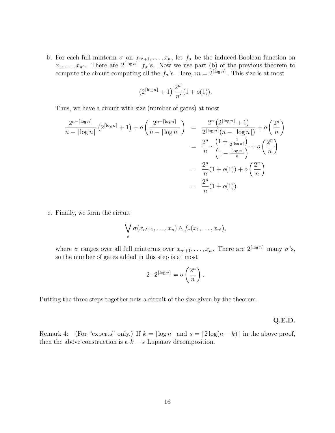b. For each full minterm  $\sigma$  on  $x_{n'+1},\ldots,x_n$ , let  $f_{\sigma}$  be the induced Boolean function on  $x_1,\ldots,x_{n'}$ . There are  $2^{\lceil \log n \rceil} f_\sigma$ 's. Now we use part (b) of the previous theorem to compute the circuit computing all the  $f_{\sigma}$ 's. Here,  $m = 2^{\lceil \log n \rceil}$ . This size is at most

$$
(2^{\lceil \log n \rceil} + 1) \frac{2^{n'}}{n'} (1 + o(1)).
$$

Thus, we have a circuit with size (number of gates) at most

$$
\frac{2^{n-\lceil \log n \rceil}}{n - \lceil \log n \rceil} \left( 2^{\lceil \log n \rceil} + 1 \right) + o\left( \frac{2^{n-\lceil \log n \rceil}}{n - \lceil \log n \rceil} \right) = \frac{2^n \left( 2^{\lceil \log n \rceil} + 1 \right)}{2^{\lceil \log n \rceil} (n - \lceil \log n \rceil)} + o\left( \frac{2^n}{n} \right)
$$

$$
= \frac{2^n}{n} \cdot \frac{\left( 1 + \frac{1}{2^{\lceil \log n \rceil}} \right)}{\left( 1 - \frac{\lceil \log n \rceil}{n} \right)} + o\left( \frac{2^n}{n} \right)
$$

$$
= \frac{2^n}{n} (1 + o(1)) + o\left( \frac{2^n}{n} \right)
$$

$$
= \frac{2^n}{n} (1 + o(1))
$$

c. Finally, we form the circuit

$$
\bigvee_{\sigma}\sigma(x_{n'+1},\ldots,x_n)\wedge f_{\sigma}(x_1,\ldots,x_{n'}),
$$

where  $\sigma$  ranges over all full minterms over  $x_{n'+1},...,x_n$ . There are  $2^{\lceil \log n \rceil}$  many  $\sigma$ 's, so the number of gates added in this step is at most

$$
2 \cdot 2^{\lceil \log n \rceil} = o\left(\frac{2^n}{n}\right).
$$

Putting the three steps together nets a circuit of the size given by the theorem.

#### **Q.E.D.**

Remark 4: (For "experts" only.) If  $k = \lceil \log n \rceil$  and  $s = \lceil 2 \log(n - k) \rceil$  in the above proof, then the above construction is a  $k - s$  Lupanov decomposition.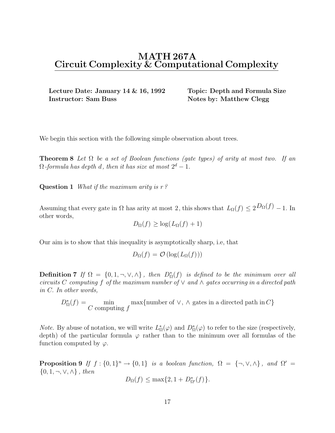## **MATH 267A Circuit Complexity & Computational Complexity**

**Lecture Date: January 14 & 16, 1992 Topic: Depth and Formula Size Instructor: Sam Buss Notes by: Matthew Clegg** 

We begin this section with the following simple observation about trees.

**Theorem 8** Let  $\Omega$  be a set of Boolean functions (gate types) of arity at most two. If an  $\Omega$ -formula has depth d, then it has size at most  $2^d - 1$ .

**Question 1** What if the maximum arity is r?

Assuming that every gate in  $\Omega$  has arity at most 2, this shows that  $L_{\Omega}(f) \leq 2D_{\Omega}(f) - 1$ . In other words,

$$
D_{\Omega}(f) \ge \log(L_{\Omega}(f) + 1)
$$

Our aim is to show that this inequality is asymptotically sharp, i.e, that

$$
D_{\Omega}(f) = \mathcal{O}\left(\log(L_{\Omega}(f))\right)
$$

**Definition 7** If  $\Omega = \{0, 1, \neg, \vee, \wedge\}$ , then  $D_{\Omega}^*(f)$  is defined to be the minimum over all given by  $C$  computing f of the maximum number of  $\vee$  and  $\wedge$  actes esseurcing in a directed noth circuits C computing f of the maximum number of  $\vee$  and  $\wedge$  gates occurring in a directed path in C. In other words,

 $D_{\Omega}^*(f) = \min_{C \text{ computing } f} \max\{\text{number of } \vee, \wedge \text{ gates in a directed path in } C\}$ 

*Note.* By abuse of notation, we will write  $L^*_{\Omega}(\varphi)$  and  $D^*_{\Omega}(\varphi)$  to refer to the size (respectively, donth) of the particular formula  $\varphi$  rather than to the minimum over all formulas of the depth) of the particular formula  $\varphi$  rather than to the minimum over all formulas of the function computed by  $\varphi$ .

**Proposition 9** If  $f : \{0,1\}^n \to \{0,1\}$  is a boolean function,  $\Omega = \{\neg, \vee, \wedge\}$ , and  $\Omega' =$  $\{0, 1, \neg, \vee, \wedge\}$ , then

$$
D_{\Omega}(f) \le \max\{2, 1 + D^*_{\Omega'}(f)\}.
$$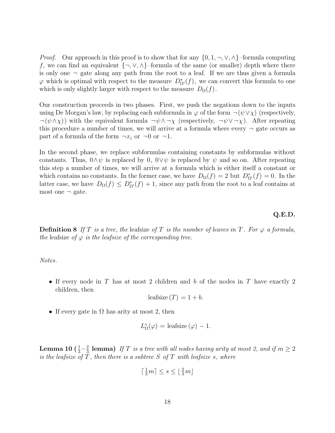*Proof.* Our approach in this proof is to show that for any  $\{0, 1, \neg, \vee, \wedge\}$ –formula computing f, we can find an equivalent  $\{\neg, \vee, \wedge\}$ -formula of the same (or smaller) depth where there is only one  $\neg$  gate along any path from the root to a leaf. If we are thus given a formula  $\varphi$  which is optimal with respect to the measure  $D_{\Omega'}^*(f)$ , we can convert this formula to one which is only dightly larger with respect to the measure  $D_{\phi}(f)$ which is only slightly larger with respect to the measure  $D_{\Omega}(f)$ .

Our construction proceeds in two phases. First, we push the negations down to the inputs using De Morgan's law, by replacing each subformula in  $\varphi$  of the form  $\neg(\psi \vee \chi)$  (respectively,  $\neg(\psi \wedge \chi)$ ) with the equivalent formula  $\neg \psi \wedge \neg \chi$  (respectively,  $\neg \psi \vee \neg \chi$ ). After repeating this procedure a number of times, we will arrive at a formula where every  $\neg$  gate occurs as part of a formula of the form  $\neg x_i$  or  $\neg 0$  or  $\neg 1$ .

In the second phase, we replace subformulas containing constants by subformulas without constants. Thus,  $0 \wedge \psi$  is replaced by  $0$ ,  $0 \vee \psi$  is replaced by  $\psi$  and so on. After repeating this step a number of times, we will arrive at a formula which is either itself a constant or which contains no constants. In the former case, we have  $D_{\Omega}(f) = 2$  but  $D_{\Omega'}^*(f) = 0$ . In the letter gase, we have  $D_{\Omega}(f) \leq D^*(f) + 1$ , since any path from the rest to a leaf contains at latter case, we have  $D_{\Omega}(f) \leq D_{\Omega'}^{*}(f) + 1$ , since any path from the root to a leaf contains at most one  $\Xi$  and most one  $\neg$  gate.

#### **Q.E.D.**

**Definition 8** If T is a tree, the leafsize of T is the number of leaves in T. For  $\varphi$  a formula, the leafsize of  $\varphi$  is the leafsize of the corresponding tree.

Notes.

• If every node in T has at most 2 children and b of the nodes in T have exactly 2 children, then

$$
leafsize(T) = 1 + b.
$$

• If every gate in  $\Omega$  has arity at most 2, then

$$
L_{\Omega}^{*}(\varphi) = \text{leafsize}(\varphi) - 1.
$$

**Lemma 10 (** $\frac{1}{3} - \frac{2}{3}$  **lemma)** If T is a tree with all nodes having arity at most 2, and if  $m \ge 2$ <br>is the leafsize of T, then there is a subtree S of T with leafsize s, where is the leafsize of  $T$ , then there is a subtree  $S$  of  $T$  with leafsize  $s$ , where

$$
\left\lceil \frac{1}{3}m\right\rceil \leq s \leq \left\lfloor \frac{2}{3}m\right\rfloor
$$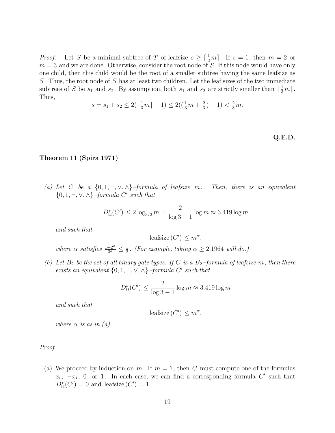*Proof.* Let S be a minimal subtree of T of leafsize  $s \geq \lceil \frac{1}{3}m \rceil$ . If  $s = 1$ , then  $m = 2$  or  $m = 3$  and we are done. Otherwise, consider the root node of S. If this node would have only  $m = 3$  and we are done. Otherwise, consider the root node of S. If this node would have only one child, then this child would be the root of a smaller subtree having the same leafsize as S. Thus, the root node of S has at least two children. Let the leaf sizes of the two immediate subtrees of S be  $s_1$  and  $s_2$ . By assumption, both  $s_1$  and  $s_2$  are strictly smaller than  $\lceil \frac{1}{3}m \rceil$ .<br>Thus Thus,

$$
s = s_1 + s_2 \le 2(\lceil \frac{1}{3}m \rceil - 1) \le 2(\left(\frac{1}{3}m + \frac{2}{3}\right) - 1) < \frac{2}{3}m.
$$

**Q.E.D.**

#### **Theorem 11 (Spira 1971)**

(a) Let C be a  $\{0, 1, \neg, \vee, \wedge\}$ -formula of leafsize m. Then, there is an equivalent  $\{0, 1, \neg, \vee, \wedge\}$  –formula C' such that

$$
D_{\Omega}^*(C') \le 2\log_{3/2} m = \frac{2}{\log 3 - 1} \log m \approx 3.419 \log m
$$

and such that

leafsize  $(C') \leq m^{\alpha}$ ,

where  $\alpha$  satisfies  $\frac{1+2^{\alpha}}{3^a} \leq \frac{1}{2}$ . (For example, taking  $\alpha \geq 2.1964$  will do.)

(b) Let  $B_2$  be the set of all binary gate types. If C is a  $B_2$ -formula of leafsize m, then there exists an equivalent  $\{0, 1, \neg, \vee, \wedge\}$  –formula C' such that

$$
D_{\Omega}^*(C') \le \frac{2}{\log 3 - 1} \log m \approx 3.419 \log m
$$

and such that

$$
leafsize(C') \le m^{\alpha},
$$

where  $\alpha$  is as in (a).

Proof.

(a) We proceed by induction on m. If  $m = 1$ , then C must compute one of the formulas  $x_i$ ,  $\neg x_i$ , 0, or 1. In each case, we can find a corresponding formula C' such that  $D_{\Omega}^*(C') = 0$  and leafsize  $(C') = 1$ .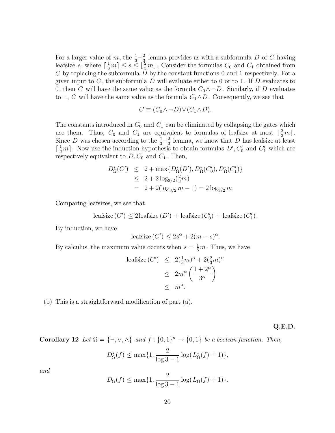For a larger value of m, the  $\frac{1}{3} - \frac{2}{3}$  lemma provides us with a subformula D of C having<br>leafsize s, where  $\lceil \frac{1}{3}m \rceil \leq s \leq \lfloor \frac{2}{3}m \rfloor$ . Consider the formulas  $C_0$  and  $C_1$  obtained from<br>C by replacing  $C$  by replacing the subformula  $D$  by the constant functions 0 and 1 respectively. For a given input to  $C$ , the subformula D will evaluate either to 0 or to 1. If D evaluates to 0, then C will have the same value as the formula  $C_0 \wedge \neg D$ . Similarly, if D evaluates to 1, C will have the same value as the formula  $C_1 \wedge D$ . Consequently, we see that

$$
C \equiv (C_0 \wedge \neg D) \vee (C_1 \wedge D).
$$

The constants introduced in  $C_0$  and  $C_1$  can be eliminated by collapsing the gates which use them. Thus,  $C_0$  and  $C_1$  are equivalent to formulas of leafsize at most  $\left\lfloor \frac{2}{3}m\right\rfloor$ .<br>Since D was chosen according to the  $\frac{1}{2}-\frac{2}{3}$  lemma, we know that D has leafsize at least Since D was chosen according to the  $\frac{1}{3} - \frac{2}{3}$  lemma, we know that D has leafsize at least  $\lceil \frac{1}{3}m \rceil$ . Now use the induction by nothesis to obtain formulas  $D'$ ,  $C'$  and  $C'$  which are  $\lceil \frac{1}{3}m \rceil$ . Now use the induction hypothesis to obtain formulas  $D', C'_0$  and  $C'_1$  which are respectively equivalent to D C<sub>0</sub> and C<sub>1</sub>. Then respectively equivalent to  $D, C_0$  and  $C_1$ . Then,

$$
D_{\Omega}^{*}(C') \leq 2 + \max\{D_{\Omega}^{*}(D'), D_{\Omega}^{*}(C'_{0}), D_{\Omega}^{*}(C'_{1})\}
$$
  
\n
$$
\leq 2 + 2\log_{3/2}(\frac{2}{3}m)
$$
  
\n
$$
= 2 + 2(\log_{3/2} m - 1) = 2\log_{3/2} m.
$$

Comparing leafsizes, we see that

$$
leafsize(C') \le 2leafsize(D') + leafsize(C'_0) + leafsize(C'_1).
$$

By induction, we have

$$
leafsize(C') \le 2s^{\alpha} + 2(m - s)^{\alpha}.
$$

By calculus, the maximum value occurs when  $s = \frac{1}{3}m$ . Thus, we have

$$
\begin{array}{rcl}\n\text{leafsize}\,(C') & \leq & 2\left(\frac{1}{3}m\right)^{\alpha} + 2\left(\frac{2}{3}m\right)^{\alpha} \\
& \leq & 2m^{\alpha}\left(\frac{1+2^{\alpha}}{3^{\alpha}}\right) \\
& \leq & m^{\alpha}.\n\end{array}
$$

(b) This is a straightforward modification of part (a).

#### **Q.E.D.**

**Corollary 12** Let  $\Omega = \{\neg, \vee, \wedge\}$  and  $f : \{0, 1\}^n \to \{0, 1\}$  be a boolean function. Then,

$$
D_{\Omega}^*(f) \le \max\{1, \frac{2}{\log 3 - 1} \log (L_{\Omega}^*(f) + 1)\},\
$$

and

$$
D_{\Omega}(f) \le \max\{1, \frac{2}{\log 3 - 1} \log (L_{\Omega}(f) + 1)\}.
$$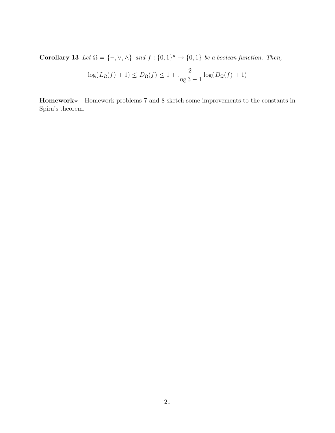**Corollary 13** Let  $\Omega = \{\neg, \vee, \wedge\}$  and  $f : \{0, 1\}^n \to \{0, 1\}$  be a boolean function. Then,

$$
\log(L_{\Omega}(f)+1) \le D_{\Omega}(f) \le 1 + \frac{2}{\log 3 - 1} \log(D_{\Omega}(f) + 1)
$$

**Homework**? Homework problems 7 and 8 sketch some improvements to the constants in Spira's theorem.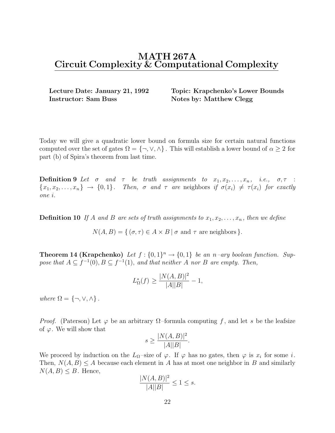## **MATH 267A Circuit Complexity & Computational Complexity**

**Instructor: Sam Buss Notes by: Matthew Clegg** 

**Lecture Date: January 21, 1992 Topic: Krapchenko's Lower Bounds**

Today we will give a quadratic lower bound on formula size for certain natural functions computed over the set of gates  $\Omega = \{\neg, \vee, \wedge\}$ . This will establish a lower bound of  $\alpha \geq 2$  for part (b) of Spira's theorem from last time.

**Definition 9** Let  $\sigma$  and  $\tau$  be truth assignments to  $x_1, x_2, \ldots, x_n$ , i.e.,  $\sigma, \tau$  :  ${x_1, x_2,...,x_n} \rightarrow {0, 1}.$  Then,  $\sigma$  and  $\tau$  are neighbors if  $\sigma(x_i) \neq \tau(x_i)$  for exactly one i.

**Definition 10** If A and B are sets of truth assignments to  $x_1, x_2, \ldots, x_n$ , then we define

 $N(A, B) = \{ (\sigma, \tau) \in A \times B \mid \sigma \text{ and } \tau \text{ are neighbors } \}.$ 

**Theorem 14 (Krapchenko)** Let  $f : \{0,1\}^n \to \{0,1\}$  be an n–ary boolean function. Suppose that  $A \subseteq f^{-1}(0), B \subseteq f^{-1}(1),$  and that neither A nor B are empty. Then,

$$
L_{\Omega}^*(f) \ge \frac{|N(A,B)|^2}{|A||B|} - 1,
$$

where  $\Omega = \{\neg, \vee, \wedge\}$ .

*Proof.* (Paterson) Let  $\varphi$  be an arbitrary  $\Omega$ –formula computing f, and let s be the leafsize of  $\varphi$ . We will show that

$$
s \ge \frac{|N(A,B)|^2}{|A||B|}.
$$

We proceed by induction on the  $L_{\Omega}$ -size of  $\varphi$ . If  $\varphi$  has no gates, then  $\varphi$  is  $x_i$  for some i. Then,  $N(A, B) \le A$  because each element in A has at most one neighbor in B and similarly  $N(A, B) \leq B$ . Hence,

$$
\frac{|N(A,B)|^2}{|A||B|} \le 1 \le s.
$$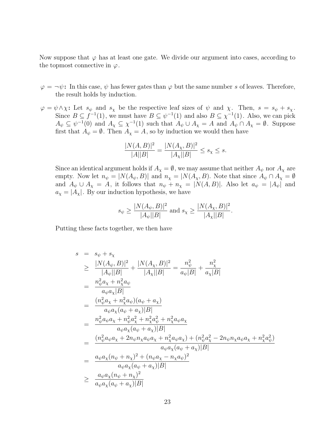Now suppose that  $\varphi$  has at least one gate. We divide our argument into cases, according to the topmost connective in  $\varphi$ .

- $\varphi = \neg \psi$ : In this case,  $\psi$  has fewer gates than  $\varphi$  but the same number s of leaves. Therefore, the result holds by induction.
- $\varphi = \psi \wedge \chi$ : Let  $s_{\psi}$  and  $s_{\chi}$  be the respective leaf sizes of  $\psi$  and  $\chi$ . Then,  $s = s_{\psi} + s_{\chi}$ . Since  $B \subseteq f^{-1}(1)$ , we must have  $B \subseteq \psi^{-1}(1)$  and also  $B \subseteq \chi^{-1}(1)$ . Also, we can pick  $A_{\psi} \subseteq \psi^{-1}(0)$  and  $A_{\chi} \subseteq \chi^{-1}(1)$  such that  $A_{\psi} \cup A_{\chi} = A$  and  $A_{\psi} \cap A_{\chi} = \emptyset$ . Suppose first that  $A_{\psi} = \emptyset$ . Then  $A_{\chi} = A$ , so by induction we would then have

$$
\frac{|N(A,B)|^2}{|A||B|} = \frac{|N(A_\chi, B)|^2}{|A_\chi||B|} \le s_\chi \le s.
$$

Since an identical argument holds if  $A_{\chi} = \emptyset$ , we may assume that neither  $A_{\psi}$  nor  $A_{\chi}$  are empty. Now let  $n_{\psi} = |N(A_{\psi}, B)|$  and  $n_{\chi} = |N(A_{\chi}, B)|$ . Note that since  $A_{\psi} \cap A_{\chi} = \emptyset$ and  $A_{\psi} \cup A_{\chi} = A$ , it follows that  $n_{\psi} + n_{\chi} = |N(A, B)|$ . Also let  $a_{\psi} = |A_{\psi}|$  and  $a_{\chi} = |A_{\chi}|$ . By our induction hypothesis, we have

$$
s_{\psi} \ge \frac{|N(A_{\psi}, B)|^2}{|A_{\psi}||B|}
$$
 and  $s_{\chi} \ge \frac{|N(A_{\chi}, B)|^2}{|A_{\chi}||B|}$ .

Putting these facts together, we then have

$$
s = s_{\psi} + s_{\chi}
$$
  
\n
$$
\geq \frac{|N(A_{\psi}, B)|^{2}}{|A_{\psi}||B|} + \frac{|N(A_{\chi}, B)|^{2}}{|A_{\chi}||B|} = \frac{n_{\psi}^{2}}{a_{\psi}|B|} + \frac{n_{\chi}^{2}}{a_{\chi}|B|}
$$
  
\n
$$
= \frac{n_{\psi}^{2}a_{\chi} + n_{\chi}^{2}a_{\psi}}{a_{\psi}a_{\chi}|B|}
$$
  
\n
$$
= \frac{(n_{\psi}^{2}a_{\chi} + n_{\chi}^{2}a_{\psi})(a_{\psi} + a_{\chi})}{a_{\psi}a_{\chi}(a_{\psi} + a_{\chi})|B|}
$$
  
\n
$$
= \frac{n_{\psi}^{2}a_{\psi}a_{\chi} + n_{\psi}^{2}a_{\chi}^{2} + n_{\chi}^{2}a_{\psi}^{2} + n_{\chi}^{2}a_{\psi}a_{\chi}}{a_{\psi}a_{\chi}(a_{\psi} + a_{\chi})|B|}
$$
  
\n
$$
= \frac{(n_{\psi}^{2}a_{\psi}a_{\chi} + 2n_{\psi}n_{\chi}a_{\psi}a_{\chi} + n_{\chi}^{2}a_{\psi}a_{\chi}) + (n_{\psi}^{2}a_{\chi}^{2} - 2n_{\psi}n_{\chi}a_{\psi}a_{\chi} + n_{\chi}^{2}a_{\psi}^{2})}{a_{\psi}a_{\chi}(a_{\psi} + a_{\chi})|B|}
$$
  
\n
$$
= \frac{a_{\psi}a_{\chi}(n_{\psi} + n_{\chi})^{2} + (n_{\psi}a_{\chi} - n_{\chi}a_{\psi})^{2}}{a_{\psi}a_{\chi}(a_{\psi} + a_{\chi})|B|}
$$
  
\n
$$
\geq \frac{a_{\psi}a_{\chi}(n_{\psi} + n_{\chi})^{2}}{a_{\psi}a_{\chi}(a_{\psi} + a_{\chi})|B|}
$$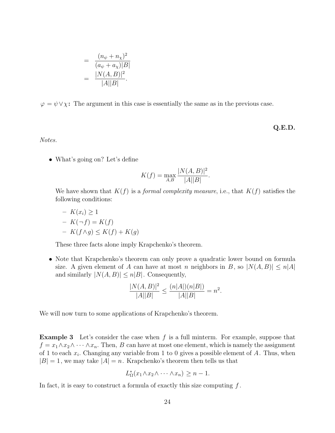$$
= \frac{(n_{\psi} + n_{\chi})^{2}}{(a_{\psi} + a_{\chi})|B|}
$$

$$
= \frac{|N(A, B)|^{2}}{|A||B|}.
$$

 $\varphi = \psi \vee \chi$ : The argument in this case is essentially the same as in the previous case.

**Q.E.D.**

Notes.

• What's going on? Let's define

$$
K(f) = \max_{A,B} \frac{|N(A,B)|^2}{|A||B|}.
$$

We have shown that  $K(f)$  is a *formal complexity measure*, i.e., that  $K(f)$  satisfies the following conditions:

$$
- K(x_i) \ge 1
$$
  
- K(-f) = K(f)  
- K(f \wedge g) \le K(f) + K(g)

These three facts alone imply Krapchenko's theorem.

• Note that Krapchenko's theorem can only prove a quadratic lower bound on formula size. A given element of A can have at most n neighbors in B, so  $|N(A, B)| \leq n|A|$ and similarly  $|N(A, B)| \leq n|B|$ . Consequently,

$$
\frac{|N(A,B)|^2}{|A||B|} \le \frac{(n|A|)(n|B|)}{|A||B|} = n^2.
$$

We will now turn to some applications of Krapchenko's theorem.

**Example 3** Let's consider the case when f is a full minterm. For example, suppose that  $f = x_1 \wedge x_2 \wedge \cdots \wedge x_n$ . Then, B can have at most one element, which is namely the assignment of 1 to each  $x_i$ . Changing any variable from 1 to 0 gives a possible element of A. Thus, when  $|B| = 1$ , we may take  $|A| = n$ . Krapchenko's theorem then tells us that

$$
L_{\Omega}^*(x_1 \wedge x_2 \wedge \cdots \wedge x_n) \geq n-1.
$$

In fact, it is easy to construct a formula of exactly this size computing  $f$ .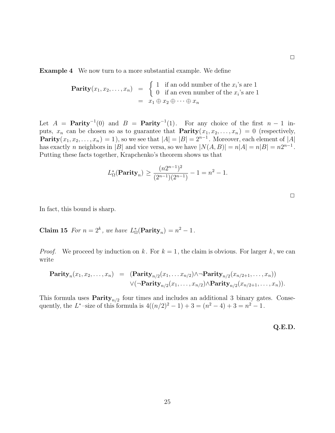**Example 4** We now turn to a more substantial example. We define

**Parity**
$$
(x_1, x_2,..., x_n)
$$
 =  $\begin{cases} 1 & \text{if an odd number of the } x_i\text{'s are 1} \\ 0 & \text{if an even number of the } x_i\text{'s are 1} \\ = x_1 \oplus x_2 \oplus \cdots \oplus x_n \end{cases}$ 

Let  $A =$  **Parity**<sup>-1</sup>(0) and  $B =$  **Parity**<sup>-1</sup>(1). For any choice of the first  $n - 1$  inputs,  $x_n$  can be chosen so as to guarantee that **Parity** $(x_1, x_2,...,x_n) = 0$  (respectively, **Parity** $(x_1, x_2,...,x_n) = 1$ , so we see that  $|A| = |B| = 2^{n-1}$ . Moreover, each element of  $|A|$ has exactly n neighbors in |B| and vice versa, so we have  $|N(A, B)| = n|A| = n|B| = n2^{n-1}$ . Putting these facts together, Krapchenko's theorem shows us that

$$
L_{\Omega}^*(
$$
**Parity**<sub>n</sub> $) \ge \frac{(n2^{n-1})^2}{(2^{n-1})(2^{n-1})} - 1 = n^2 - 1.$ 

|  | ___ |  |
|--|-----|--|

 $\Box$ 

In fact, this bound is sharp.

**Claim 15** For  $n = 2^k$ , we have  $L^*_{\Omega}(\text{Parity}_n) = n^2 - 1$ .

*Proof.* We proceed by induction on k. For  $k = 1$ , the claim is obvious. For larger k, we can write

$$
\begin{array}{rcl}\n\mathbf{Parity}_n(x_1, x_2, \ldots, x_n) & = & (\mathbf{Parity}_{n/2}(x_1, \ldots, x_{n/2}) \wedge \neg \mathbf{Parity}_{n/2}(x_{n/2+1}, \ldots, x_n)) \\
& \qquad \qquad \vee (\neg \mathbf{Parity}_{n/2}(x_1, \ldots, x_{n/2}) \wedge \mathbf{Parity}_{n/2}(x_{n/2+1}, \ldots, x_n)).\n\end{array}
$$

This formula uses  $\textbf{Parity}_{n/2}$  four times and includes an additional 3 binary gates. Consequently, the L<sup>\*</sup>-size of this formula is  $4((n/2)^2 - 1) + 3 = (n^2 - 4) + 3 = n^2 - 1$ .

**Q.E.D.**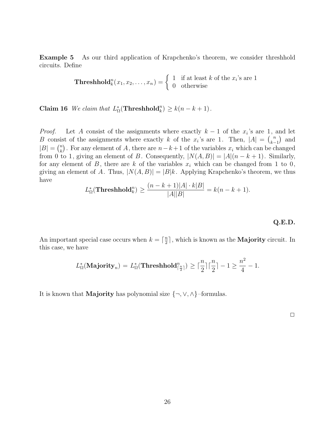**Example 5** As our third application of Krapchenko's theorem, we consider threshhold circuits. Define

**Threshold**<sub>k</sub><sup>n</sup>(x<sub>1</sub>, x<sub>2</sub>,..., x<sub>n</sub>) = 
$$
\begin{cases} 1 & \text{if at least } k \text{ of the } x_i\text{'s are 1} \\ 0 & \text{otherwise} \end{cases}
$$

**Claim 16** We claim that  $L_{\Omega}^*(\text{Threshold}_k^n) \ge k(n - k + 1)$ .

*Proof.* Let A consist of the assignments where exactly  $k - 1$  of the  $x_i$ 's are 1, and let B consist of the assignments where exactly k of the  $x_i$ 's are 1. Then,  $|A| = {n \choose k-1}$  $\binom{n}{k-1}$  and  $|B| = \binom{n}{k}$ . For any element of A, there are  $n-k+1$  of the variables  $x_i$  which can be changed from 0 to 1, giving an element of B. Consequently,  $|N(A, B)| = |A|(n - k + 1)$ . Similarly, for any element of B, there are k of the variables  $x_i$  which can be changed from 1 to 0, giving an element of A. Thus,  $|N(A, B)| = |B|k$ . Applying Krapchenko's theorem, we thus have

$$
L_{\Omega}^*(\mathbf{Threshold}_k^n) \ge \frac{(n-k+1)|A| \cdot k|B|}{|A||B|} = k(n-k+1).
$$

**Q.E.D.**

An important special case occurs when  $k = \lceil \frac{n}{2} \rceil$ , which is known as the **Majority** circuit. In this case, we have this case, we have

$$
L_{\Omega}^*(\mathbf{Majority}_n) = L_{\Omega}^*(\mathbf{Threshold}_{\lceil \frac{n}{2} \rceil}^n) \ge \lceil \frac{n}{2} \rceil \lceil \frac{n}{2} \rceil - 1 \ge \frac{n^2}{4} - 1.
$$

It is known that **Majority** has polynomial size {¬,∨,∧}–formulas.

 $\Box$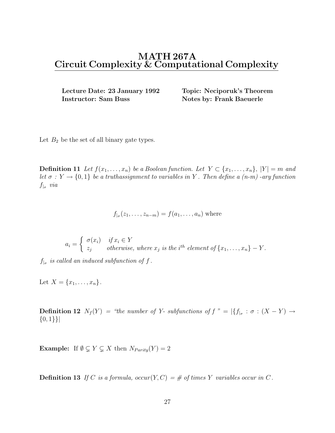## **MATH 267A Circuit Complexity & Computational Complexity**

**Lecture Date: 23 January 1992 Topic: Neciporuk's Theorem Instructor: Sam Buss Notes by: Frank Baeuerle** 

Let  $B_2$  be the set of all binary gate types.

**Definition 11** Let  $f(x_1,...,x_n)$  be a Boolean function. Let  $Y \subset \{x_1,...,x_n\}$ ,  $|Y| = m$  and let  $\sigma: Y \to \{0,1\}$  be a truthassignment to variables in Y. Then define a (n-m) -ary function  $f_{\vert_{\sigma}}$  via

$$
f_{|_{\sigma}}(z_1,\ldots,z_{n-m})=f(a_1,\ldots,a_n)
$$
 where

$$
a_i = \begin{cases} \sigma(x_i) & \text{if } x_i \in Y \\ z_j & \text{otherwise, where } x_j \text{ is the } i^{th} \text{ element of } \{x_1, \ldots, x_n\} - Y. \end{cases}
$$

 $f_{\vert_{\sigma}}$  is called an induced subfunction of f.

Let  $X = \{x_1, \ldots, x_n\}.$ 

**Definition 12**  $N_f(Y) =$  "the number of Y- subfunctions of  $f'' = |{f_{\vert_{\sigma}} : \sigma : (X - Y) \to}$  $\{0,1\}\}\$ 

**Example:** If  $\emptyset \subsetneq Y \subsetneq X$  then  $N_{Parity}(Y) = 2$ 

**Definition 13** If C is a formula,  $occur(Y, C) = \#$  of times Y variables occur in C.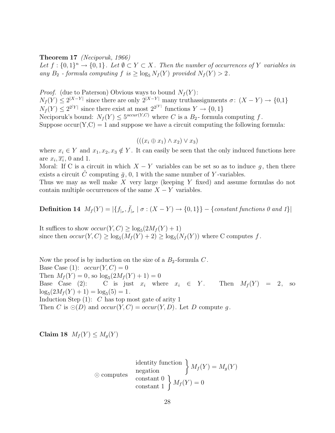#### **Theorem 17** (Neciporuk, 1966)

Let  $f: \{0,1\}^n \to \{0,1\}$ . Let  $\emptyset \subset Y \subset X$ . Then the number of occurrences of Y variables in any  $B_2$  - formula computing  $f$  is  $\geq \log_5 N_f(Y)$  provided  $N_f(Y) > 2$ .

*Proof.* (due to Paterson) Obvious ways to bound  $N_f(Y)$ :  $N_f(Y) \le 2^{|X-Y|}$  since there are only  $2^{|X-Y|}$  many truthassignments  $\sigma: (X-Y) \to \{0,1\}$  $N_f(Y) \leq 2^{2|Y|}$  since there exist at most  $2^{2^{|Y|}}$  functions  $Y \to \{0,1\}$ Neciporuk's bound:  $N_f(Y) \leq 5^{occur(Y,C)}$  where C is a  $B_2$ -formula computing f. Suppose  $\text{occur}(Y, C) = 1$  and suppose we have a circuit computing the following formula:

$$
(((x_i \oplus x_1) \wedge x_2) \vee x_3)
$$

where  $x_i \in Y$  and  $x_1, x_2, x_3 \notin Y$ . It can easily be seen that the only induced functions here are  $x_i, \overline{x_i}$ , 0 and 1.

Moral: If C is a circuit in which  $X - Y$  variables can be set so as to induce g, then there exists a circuit C computing  $\bar{g}$ , 0, 1 with the same number of Y-variables.

Thus we may as well make X very large (keeping Y fixed) and assume formulas do not contain multiple occurrences of the same  $X - Y$  variables.

## **Definition 14**  $M_f(Y) = |\{f_{\vert_{\sigma}}, \bar{f}_{\vert_{\sigma}} \mid \sigma : (X - Y) \to \{0, 1\}\}|$  – {constant functions 0 and 1}]

It suffices to show  $occur(Y, C) \geq log_5(2M_f(Y) + 1)$ since then  $occur(Y, C) \geq log_5(M_f(Y) + 2) \geq log_5(N_f(Y))$  where C computes f.

Now the proof is by induction on the size of a  $B_2$ -formula  $C$ . Base Case (1):  $occur(Y, C)=0$ Then  $M_f(Y) = 0$ , so  $\log_5(2M_f(Y) + 1) = 0$ <br>Base Case (2): C is just  $x_i$  who C is just  $x_i$  where  $x_i \in Y$ . Then  $M_f(Y) = 2$ , so  $\log_5(2M_f(Y) + 1) = \log_5(5) = 1.$ <br>Induction Step (1). C has ten m Induction Step  $(1)$ : C has top most gate of arity 1 Then C is  $\odot(D)$  and  $occur(Y, C) = occur(Y, D)$ . Let D compute q.

**Claim 18**  $M_f(Y) \leq M_g(Y)$ 

$$
\text{identity function} \n\left\{\n\begin{aligned}\nM_f(Y) &= M_g(Y) \\
\text{constant } 0 \\
\text{constant } 1\n\end{aligned}\n\right\} M_f(Y) = M_g(Y)
$$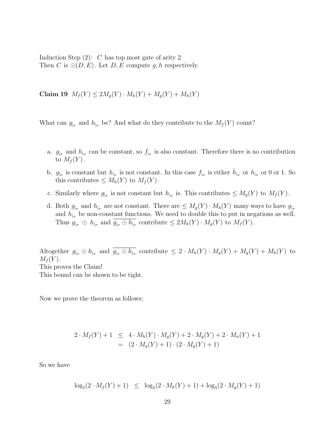Induction Step  $(2)$ : C has top most gate of arity 2 Then C is  $\odot(D, E)$ . Let D, E compute q, h respectively.

**Claim 19**  $M_f(Y) \leq 2M_g(Y) \cdot M_h(Y) + M_g(Y) + M_h(Y)$ 

What can  $g_{\vert_{\sigma}}$  and  $h_{\vert_{\sigma}}$  be? And what do they contribute to the  $M_f(Y)$  count?

- a.  $g_{\vert_{\sigma}}$  and  $h_{\vert_{\sigma}}$  can be constant, so  $f_{\vert_{\sigma}}$  is also constant. Therefore there is no contribution to  $M_f(Y)$ .
- b.  $g_{\vert_{\sigma}}$  is constant but  $h_{\vert_{\sigma}}$  is not constant. In this case  $f_{\vert_{\sigma}}$  is either  $\bar{h}_{\vert_{\sigma}}$  or  $h_{\vert_{\sigma}}$  or 0 or 1. So this contributes  $\leq M_h(Y)$  to  $M_f(Y)$ .
- c. Similarly where  $g_{\vert_{\sigma}}$  is not constant but  $h_{\vert_{\sigma}}$  is. This contributes  $\leq M_g(Y)$  to  $M_f(Y)$ .
- d. Both  $g_{\vert_{\sigma}}$  and  $h_{\vert_{\sigma}}$  are not constant. There are  $\leq M_g(Y) \cdot M_h(Y)$  many ways to have  $g_{\vert_{\sigma}}$ and  $h_{\vert_{\sigma}}$  be non-constant functions. We need to double this to put in negations as well. Thus  $g_{\vert_{\sigma}} \odot h_{\vert_{\sigma}}$  and  $\overline{g_{\vert_{\sigma}} \odot h_{\vert_{\sigma}}}$  contribute  $\leq 2M_h(Y) \cdot M_g(Y)$  to  $M_f(Y)$ .

Altogether  $g_{\vert_{\sigma}} \odot h_{\vert_{\sigma}}$  and  $\overline{g_{\vert_{\sigma}} \odot h_{\vert_{\sigma}}}$  contribute  $\leq 2 \cdot M_h(Y) \cdot M_g(Y) + M_g(Y) + M_h(Y)$  to  $M_f(Y)$ . This proves the Claim! This bound can be shown to be tight.

Now we prove the theorem as follows:

$$
2 \cdot M_f(Y) + 1 \leq 4 \cdot M_h(Y) \cdot M_g(Y) + 2 \cdot M_g(Y) + 2 \cdot M_n(Y) + 1
$$
  
= 
$$
(2 \cdot M_g(Y) + 1) \cdot (2 \cdot M_g(Y) + 1)
$$

So we have

$$
\log_5(2 \cdot M_f(Y) + 1) \leq \log_5(2 \cdot M_h(Y) + 1) + \log_5(2 \cdot M_g(Y) + 1)
$$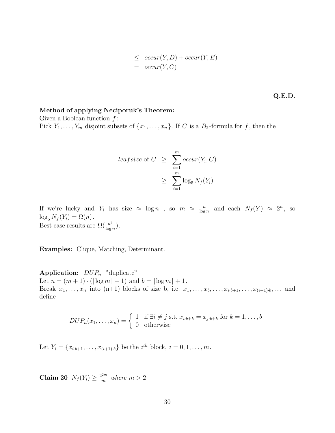$$
\leq \quad \text{occur}(Y, D) + \text{occur}(Y, E) \\
 = \quad \text{occur}(Y, C)
$$

**Q.E.D.**

### **Method of applying Neciporuk's Theorem:**

Given a Boolean function  $f$ : Pick  $Y_1, \ldots, Y_m$  disjoint subsets of  $\{x_1, \ldots, x_n\}$ . If C is a  $B_2$ -formula for f, then the

$$
leafsize \space of \space C \geq \sum_{i=1}^{m} occur(Y_i, C) \geq \sum_{i=1}^{m} loc_{5} N_{f}(Y_i)
$$

If we're lucky and  $Y_i$  has size  $\approx \log n$ , so  $m \approx \frac{n}{\log n}$  and each  $N_f(Y) \approx 2^n$ , so  $\log N_f(Y) = O(n)$ .  $\log_5 N_f(Y_i) = \Omega(n).$ Best case results are  $\Omega(\frac{n^2}{\log n})$ .

**Examples:** Clique, Matching, Determinant.

**Application:**  $DUP_n$  "duplicate" Let  $n = (m + 1) \cdot (\lceil \log m \rceil + 1)$  and  $b = \lceil \log m \rceil + 1$ . Break  $x_1, \ldots, x_n$  into (n+1) blocks of size b, i.e.  $x_1, \ldots, x_b, \ldots, x_{i \cdot b+1}, \ldots, x_{(i+1)\cdot b}, \ldots$  and define

$$
DUP_n(x_1,\ldots,x_n) = \begin{cases} 1 & \text{if } \exists i \neq j \text{ s.t. } x_{i\cdot b+k} = x_{j\cdot b+k} \text{ for } k = 1,\ldots,b \\ 0 & \text{otherwise} \end{cases}
$$

Let  $Y_i = \{x_{i \cdot b+1}, \dots, x_{(i+1) \cdot b}\}\)$  be the  $i^{th}$  block,  $i = 0, 1, \dots, m$ .

**Claim 20**  $N_f(Y_i) \geq \frac{2^{2m}}{m}$  where  $m > 2$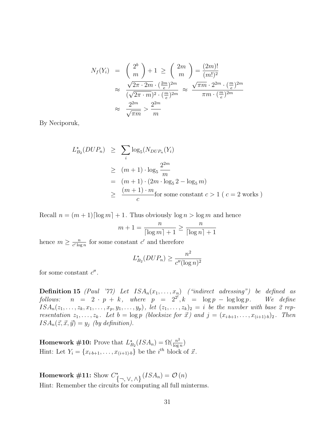$$
N_f(Y_i) = \binom{2^b}{m} + 1 \ge \binom{2m}{m} = \frac{(2m)!}{(m!)^2}
$$
  
\n
$$
\approx \frac{\sqrt{2\pi \cdot 2m} \cdot (\frac{2m}{e})^{2m}}{(\sqrt{2\pi \cdot m})^2 \cdot (\frac{m}{e})^{2m}} \approx \frac{\sqrt{\pi m} \cdot 2^{2m} \cdot (\frac{m}{e})^{2m}}{\pi m \cdot (\frac{m}{e})^{2m}}
$$
  
\n
$$
\approx \frac{2^{2m}}{\sqrt{\pi m}} > \frac{2^{2m}}{m}
$$

By Neciporuk,

$$
L_{B_2}^{\star}(DUP_n) \geq \sum_i \log_5(N_{DUP_n}(Y_i)
$$
  
\n
$$
\geq (m+1) \cdot \log_5 \frac{2^{2m}}{m}
$$
  
\n
$$
= (m+1) \cdot (2m \cdot \log_5 2 - \log_5 m)
$$
  
\n
$$
\geq \frac{(m+1) \cdot m}{c} \text{for some constant } c > 1 \text{ ( } c = 2 \text{ works )}
$$

Recall  $n = (m + 1) \lceil \log m \rceil + 1$ . Thus obviously  $\log n > \log m$  and hence

$$
m+1 = \frac{n}{\lceil \log m \rceil + 1} \ge \frac{n}{\lceil \log n \rceil + 1}
$$

hence  $m \geq \frac{n}{c' \log n}$  for some constant  $c'$  and therefore

$$
L_{B_2}^{\star}(DUP_n) \ge \frac{n^2}{c''(\log n)^2}
$$

for some constant  $c''$ .

**Definition 15** (Paul '77) Let  $ISA_n(x_1,...,x_n)$  ("indirect adressing") be defined as follows:  $n = 2 \cdot p + k$ , where  $p = 2^{2^l}, k = \log p - \log \log p$ . We define follows:  $n = 2 \cdot p + k$ , where  $p = 2^{2^l}, k = \log p - \log \log p$ . We define  $ISA_n(z_1,\ldots,z_k,x_1,\ldots,x_p,y_1,\ldots,y_p)$ , let  $(z_1,\ldots,z_k)_2 = i$  be the number with base 2 representation  $z_1, \ldots, z_k$ . Let  $b = \log p$  (blocksize for  $\vec{x}$ ) and  $j = (x_{i \cdot b+1}, \ldots, x_{(i+1) \cdot b})_2$ . Then  $ISA_n(\vec{z}, \vec{x}, \vec{y}) = y_j$  (by definition).

**Homework #10:** Prove that  $L_{B_2}^{\star}(ISA_n) = \Omega(\frac{n^2}{\log n})$ Hint: Let  $Y_i = \{x_{i \cdot b+1}, \ldots, x_{(i+1) \cdot b}\}\)$  be the  $i^{th}$  block of  $\vec{x}$ .

**Homework** #11: Show  $C^*_{\{\neg, \vee, \wedge\}}(ISA_n) = \mathcal{O}(n)$ Hint: Remember the circuits for computing all full minterms.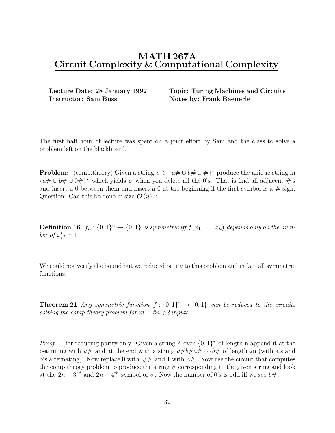## **MATH 267A Circuit Complexity & Computational Complexity**

**Instructor: Sam Buss Notes by: Frank Baeuerle** 

**Lecture Date: 28 January 1992 Topic: Turing Machines and Circuits**

The first half hour of lecture was spent on a joint effort by Sam and the class to solve a problem left on the blackboard.

**Problem:** (comp.theory) Given a string  $\sigma \in \{a \# \cup b \# \cup \# \}^*$  produce the unique string in  ${a\# \cup b\# \cup 0\#}^*$  which yields  $\sigma$  when you delete all the 0's. That is find all adjacent  $\#$ 's and insert a 0 between them and insert a 0 at the beginning if the first symbol is a  $\#$  sign. Question: Can this be done in size  $\mathcal{O}(n)$ ?

**Definition 16**  $f_n : \{0,1\}^n \to \{0,1\}$  is symmetric iff  $f(x_1,...,x_n)$  depends only on the number of  $x_i's = 1$ .

We could not verify the bound but we reduced parity to this problem and in fact all symmetric functions.

**Theorem 21** Any symmetric function  $f: \{0,1\}^n \to \{0,1\}$  can be reduced to the circuits solving the comp. theory problem for  $m = 2n + 2$  inputs.

*Proof.* (for reducing parity only) Given a string  $\delta$  over  $\{0,1\}^*$  of length n append it at the beginning with  $a\#$  and at the end with a string  $a\#b\#a\# \cdots b\#$  of length 2n (with a's and b's alternating). Now replace 0 with  $\#\#$  and 1 with  $a\#$ . Now use the circuit that computes the comp. theory problem to produce the string  $\sigma$  corresponding to the given string and look at the  $2n + 3^{rd}$  and  $2n + 4^{th}$  symbol of  $\sigma$ . Now the number of 0's is odd iff we see  $b\#$ .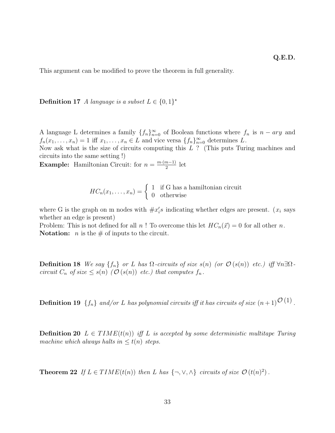This argument can be modified to prove the theorem in full generality.

**Definition 17** A language is a subset  $L \in \{0,1\}^{\star}$ 

A language L determines a family  $\{f_n\}_{n=0}^{\infty}$  of Boolean functions where  $f_n$  is  $n = ary$  and  $f(x) = 1$  if  $x = x \in I$  and viag varge  $[f_n]$ <sup>∞</sup> determines L  $f_n(x_1,\ldots,x_n) = 1$  iff  $x_1,\ldots,x_n \in L$  and vice versa  $\{f_n\}_{n=0}^{\infty}$  determines L.<br>Now set what is the size of circuits computing this  $L^2$  (This puts Turi

Now ask what is the size of circuits computing this L ? (This puts Turing machines and circuits into the same setting !)

**Example:** Hamiltonian Circuit: for  $n = \frac{m \cdot (m-1)}{2}$  let

$$
HC_n(x_1,\ldots,x_n) = \begin{cases} 1 & \text{if } G \text{ has a hamiltonian circuit} \\ 0 & \text{otherwise} \end{cases}
$$

where G is the graph on m nodes with  $\#x_i's$  indicating whether edges are present. ( $x_i$  says whether an edge is present)

Problem: This is not defined for all n! To overcome this let  $HC_n(\vec{x}) = 0$  for all other n. **Notation:** *n* is the  $\#$  of inputs to the circuit.

**Definition 18** We say  $\{f_n\}$  or L has  $\Omega$ -circuits of size  $s(n)$  (or  $\mathcal{O}(s(n))$  etc.) iff  $\forall n \exists \Omega$ circuit  $C_n$  of size  $\leq s(n)$  ( $\mathcal{O}(s(n))$  etc.) that computes  $f_n$ .

**Definition 19**  $\{f_n\}$  and/or L has polynomial circuits iff it has circuits of size  $(n+1)^{\mathcal{O}(1)}$ .

**Definition 20**  $L \in TIME(t(n))$  iff L is accepted by some deterministic multitape Turing machine which always halts in  $\leq t(n)$  steps.

**Theorem 22** If  $L \in TIME(t(n))$  then L has  $\{\neg, \vee, \wedge\}$  circuits of size  $\mathcal{O}(t(n)^2)$ .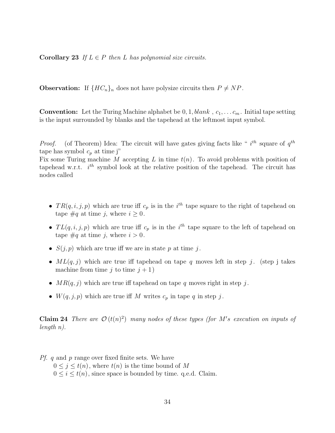**Corollary 23** If  $L \in P$  then L has polynomial size circuits.

**Observation:** If  ${HC_n}_n$  does not have polysize circuits then  $P \neq NP$ .

**Convention:** Let the Turing Machine alphabet be  $0, 1, blank, c_1, \ldots c_m$ . Initial tape setting is the input surrounded by blanks and the tapehead at the leftmost input symbol.

*Proof.* (of Theorem) Idea: The circuit will have gates giving facts like "  $i^{th}$  square of  $q^{th}$ tape has symbol  $c_p$  at time j"

Fix some Turing machine M accepting L in time  $t(n)$ . To avoid problems with position of tapehead w.r.t.  $i^{th}$  symbol look at the relative position of the tapehead. The circuit has nodes called

- $TR(q, i, j, p)$  which are true iff  $c_p$  is in the i<sup>th</sup> tape square to the right of tapehead on tape  $\#q$  at time *i*, where  $i \geq 0$ .
- $TL(q, i, j, p)$  which are true iff  $c_p$  is in the i<sup>th</sup> tape square to the left of tapehead on tape  $\#q$  at time *i*, where  $i > 0$ .
- $S(j, p)$  which are true iff we are in state p at time j.
- $ML(q, j)$  which are true iff tapehead on tape q moves left in step j. (step j takes machine from time j to time  $j + 1$ )
- $MR(q, j)$  which are true iff tapehead on tape q moves right in step j.
- $W(q, j, p)$  which are true iff M writes  $c_p$  in tape q in step j.

**Claim 24** There are  $\mathcal{O}(t(n)^2)$  many nodes of these types (for M's execution on inputs of length n).

Pf. q and p range over fixed finite sets. We have  $0 \leq j \leq t(n)$ , where  $t(n)$  is the time bound of M  $0 \leq i \leq t(n)$ , since space is bounded by time. q.e.d. Claim.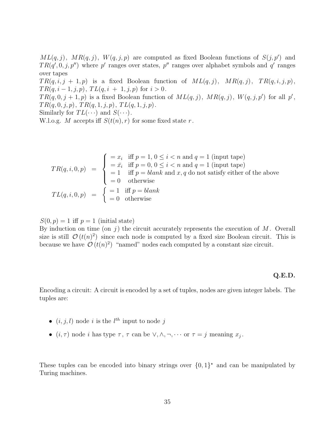$ML(q, j)$ ,  $MR(q, j)$ ,  $W(q, j, p)$  are computed as fixed Boolean functions of  $S(j, p')$  and  $TR(q', 0, j, p'')$  where p' ranges over states, p'' ranges over alphabet symbols and q' ranges over tapes

 $TR(q, i, j + 1, p)$  is a fixed Boolean function of  $ML(q, j)$ ,  $MR(q, j)$ ,  $TR(q, i, j, p)$ ,  $TR(q, i-1, j, p), TL(q, i + 1, j, p)$  for  $i > 0$ .

 $TR(q, 0, j + 1, p)$  is a fixed Boolean function of  $ML(q, j)$ ,  $MR(q, j)$ ,  $W(q, j, p')$  for all p',  $TR(q, 0, j, p), TR(q, 1, j, p), TL(q, 1, j, p).$ 

Similarly for  $TL(\cdots)$  and  $S(\cdots)$ .

W.l.o.g. M accepts iff  $S(t(n), r)$  for some fixed state r.

$$
TR(q, i, 0, p) = \begin{cases} = x_i & \text{iff } p = 1, 0 \le i < n \text{ and } q = 1 \text{ (input tape)} \\ = \bar{x}_i & \text{iff } p = 0, 0 \le i < n \text{ and } q = 1 \text{ (input tape)} \\ = 1 & \text{iff } p = blank \text{ and } x, q \text{ do not satisfy either of the above} \\ = 0 & \text{otherwise} \end{cases}
$$
  

$$
TL(q, i, 0, p) = \begin{cases} = 1 & \text{iff } p = blank \\ = 0 & \text{otherwise} \end{cases}
$$

 $S(0, p) = 1$  iff  $p = 1$  (initial state)

By induction on time (on j) the circuit accurately represents the execution of  $M$ . Overall size is still  $\mathcal{O}(t(n)^2)$  since each node is computed by a fixed size Boolean circuit. This is because we have  $\mathcal{O}(t(n)^2)$  "named" nodes each computed by a constant size circuit.

#### **Q.E.D.**

Encoding a circuit: A circuit is encoded by a set of tuples, nodes are given integer labels. The tuples are:

- $(i, j, l)$  node i is the  $l^{th}$  input to node j
- $(i, \tau)$  node *i* has type  $\tau$ ,  $\tau$  can be  $\vee, \wedge, \neg, \cdots$  or  $\tau = j$  meaning  $x_j$ .

These tuples can be encoded into binary strings over  $\{0,1\}^*$  and can be manipulated by Turing machines.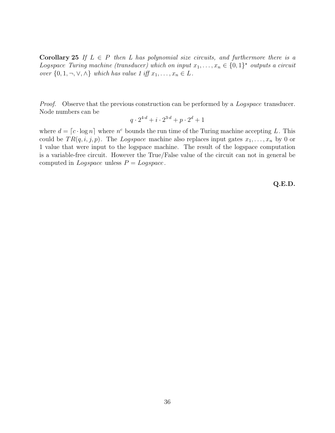**Corollary 25** If  $L \in P$  then L has polynomial size circuits, and furthermore there is a Logspace Turing machine (transducer) which on input  $x_1, \ldots, x_n \in \{0,1\}^*$  outputs a circuit over  $\{0, 1, \neg, \vee, \wedge\}$  which has value 1 iff  $x_1, \ldots, x_n \in L$ .

*Proof.* Observe that the previous construction can be performed by a *Logspace* transducer. Node numbers can be

$$
q \cdot 2^{4 \cdot d} + i \cdot 2^{3 \cdot d} + p \cdot 2^d + 1
$$

where  $d = [c \cdot \log n]$  where  $n^c$  bounds the run time of the Turing machine accepting L. This could be  $TR(q, i, j, p)$ . The Logspace machine also replaces input gates  $x_1, \ldots, x_n$  by 0 or 1 value that were input to the logspace machine. The result of the logspace computation is a variable-free circuit. However the True/False value of the circuit can not in general be computed in *Logspace* unless  $P = Logspace$ .

**Q.E.D.**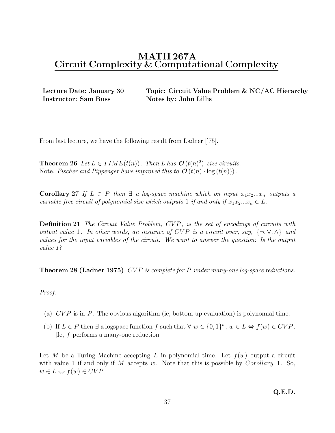**Instructor: Sam Buss Notes by: John Lillis** 

**Lecture Date: January 30 Topic: Circuit Value Problem & NC/AC Hierarchy**

From last lecture, we have the following result from Ladner ['75].

**Theorem 26** Let  $L \in TIME(t(n))$ . Then L has  $\mathcal{O}(t(n)^2)$  size circuits. Note. Fischer and Pippenger have improved this to  $\mathcal{O}(t(n) \cdot \log(t(n)))$ .

**Corollary 27** If  $L \in P$  then  $\exists a \text{ log-space machine which on input } x_1 x_2 ... x_n$  outputs a variable-free circuit of polynomial size which outputs 1 if and only if  $x_1x_2...x_n \in L$ .

**Definition 21** The Circuit Value Problem, CVP, is the set of encodings of circuits with output value 1. In other words, an instance of CVP is a circuit over, say,  $\{\neg, \vee, \wedge\}$  and values for the input variables of the circuit. We want to answer the question: Is the output value 1?

**Theorem 28 (Ladner 1975)** CVP is complete for P under many-one log-space reductions.

### Proof.

- (a)  $CVP$  is in P. The obvious algorithm (ie, bottom-up evaluation) is polynomial time.
- (b) If  $L \in P$  then  $\exists$  a logspace function f such that  $\forall w \in \{0,1\}^*, w \in L \Leftrightarrow f(w) \in CVP$ . [Ie, f performs a many-one reduction]

Let M be a Turing Machine accepting L in polynomial time. Let  $f(w)$  output a circuit with value 1 if and only if M accepts w. Note that this is possible by Corollary 1. So,  $w \in L \Leftrightarrow f(w) \in CVP$ .

**Q.E.D.**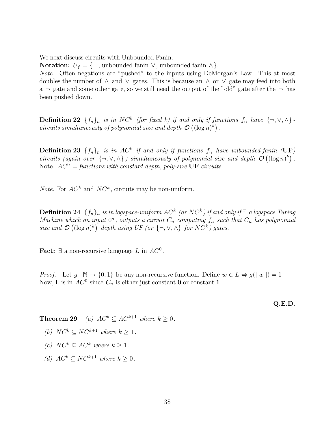We next discuss circuits with Unbounded Fanin.

**Notation:**  $U_f = \{\neg \text{, unbounded fanin} \lor \text{, unbounded fanin} \land \}.$ 

Note. Often negations are "pushed" to the inputs using DeMorgan's Law. This at most doubles the number of  $\land$  and  $\lor$  gates. This is because an  $\land$  or  $\lor$  gate may feed into both a  $\lnot$  gate and some other gate, so we still need the output of the "old" gate after the  $\lnot$  has been pushed down.

**Definition 22**  $\{f_n\}_n$  is in NC<sup>k</sup> (for fixed k) if and only if functions  $f_n$  have  $\{\neg, \vee, \wedge\}$ . circuits simultaneously of polynomial size and depth  $\mathcal{O}((\log n)^k)$ .

**Definition 23**  $\{f_n\}_n$  is in AC<sup>k</sup> if and only if functions  $f_n$  have unbounded-fanin (UF) circuits (again over  $\{\neg, \vee, \wedge\}$ ) simultaneously of polynomial size and depth  $\mathcal{O}((\log n)^k)$ . Note.  $AC^0$  = functions with constant depth, poly-size **UF** circuits.

*Note.* For  $AC^k$  and  $NC^k$ , circuits may be non-uniform.

**Definition 24**  ${f_n}_n$  is in logspace-uniform  $AC^k$  (or  $NC^k$ ) if and only if ∃ a logspace Turing Machine which on input  $0^n$ , outputs a circuit  $C_n$  computing  $f_n$  such that  $C_n$  has polynomial size and  $\mathcal{O}((\log n)^k)$  depth using UF (or  $\{\neg, \vee, \wedge\}$  for  $NC^k$ ) gates.

**Fact:**  $\exists$  a non-recursive language L in  $AC^0$ .

*Proof.* Let  $g : \mathbb{N} \to \{0,1\}$  be any non-recursive function. Define  $w \in L \Leftrightarrow g(|w|) = 1$ . Now, L is in  $AC^0$  since  $C_n$  is either just constant **0** or constant **1**.

**Q.E.D.**

**Theorem 29** (a)  $AC^k \subseteq AC^{k+1}$  where  $k \geq 0$ .

- (b)  $NC^k \subset NC^{k+1}$  where  $k \geq 1$ .
- (c)  $NC^k \subset AC^k$  where  $k \geq 1$ .
- (d)  $AC^k \subset NC^{k+1}$  where  $k > 0$ .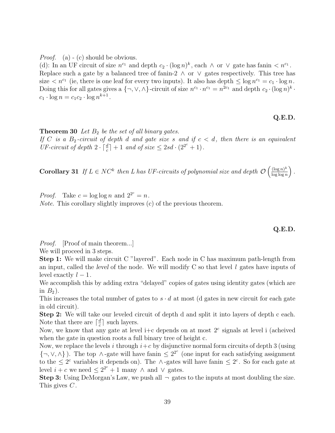*Proof.* (a) - (c) should be obvious.

(d): In an UF circuit of size  $n^{c_1}$  and depth  $c_2 \cdot (\log n)^k$ , each  $\wedge$  or  $\vee$  gate has fanin  $\langle n^{c_1} \cdot \rangle$ . Replace such a gate by a balanced tree of fanin-2  $\land$  or  $\lor$  gates respectively. This tree has size  $\langle n^{c_1} \rangle$  (ie, there is one leaf for every two inputs). It also has depth  $\leq \log n^{c_1} = c_1 \cdot \log n$ . Doing this for all gates gives a  $\{\neg, \vee, \wedge\}$ -circuit of size  $n^{c_1} \cdot n^{c_1} = n^{2c_1}$  and depth  $c_2 \cdot (\log n)^k$ .  $c_1 \cdot \log n = c_1 c_2 \cdot \log n^{k+1}$ .

### **Q.E.D.**

**Theorem 30** Let  $B_2$  be the set of all binary gates.

If C is a  $B_2$ -circuit of depth d and gate size s and if  $c < d$ , then there is an equivalent UF-circuit of depth  $2 \cdot \lceil \frac{d}{c} \rceil + 1$  and of size  $\leq 2sd \cdot (2^{2^c} + 1)$ .

**Corollary 31** If  $L \in NC^k$  then L has UF-circuits of polynomial size and depth  $\mathcal{O}\left(\frac{(\log n)^k}{\log \log n}\right)$  $\log \log n$ ´ .

*Proof.* Take  $c = \log \log n$  and  $2^{2^c} = n$ . Note. This corollary slightly improves (c) of the previous theorem.

**Q.E.D.**

*Proof.* [Proof of main theorem...]

We will proceed in 3 steps.

**Step 1:** We will make circuit C "layered". Each node in C has maximum path-length from an input, called the *level* of the node. We will modify C so that level l gates have inputs of level exactly  $l-1$ .

We accomplish this by adding extra "delayed" copies of gates using identity gates (which are in  $B_2$ ).

This increases the total number of gates to  $s \cdot d$  at most (d gates in new circuit for each gate in old circuit).

**Step 2:** We will take our leveled circuit of depth d and split it into layers of depth c each. Note that there are  $\lceil \frac{d}{c} \rceil$  such layers.

Now, we know that any gate at level i+c depends on at most  $2^c$  signals at level i (acheived when the gate in question roots a full binary tree of height c.

Now, we replace the levels i through  $i+c$  by disjunctive normal form circuits of depth 3 (using  $\{\neg, \vee, \wedge\}$ ). The top  $\wedge$ -gate will have fanin  $\leq 2^{2^c}$  (one input for each satisfying assignment to the  $\leq 2^c$  variables it depends on). The ∧-gates will have fanin  $\leq 2^c$ . So for each gate at level  $i + c$  we need  $\leq 2^{2^c} + 1$  many  $\wedge$  and  $\vee$  gates.

**Step 3:** Using DeMorgan's Law, we push all  $\neg$  gates to the inputs at most doubling the size. This gives  $C$ .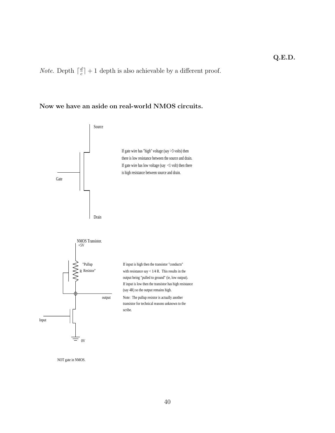*Note.* Depth  $\lceil \frac{d}{c} \rceil + 1$  depth is also achievable by a different proof.

## **Now we have an aside on real-world NMOS circuits.**



NOT gate in NMOS.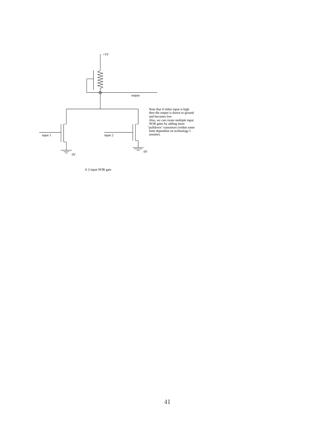

A 2-input NOR gate

 $\hat{\boldsymbol{\beta}}$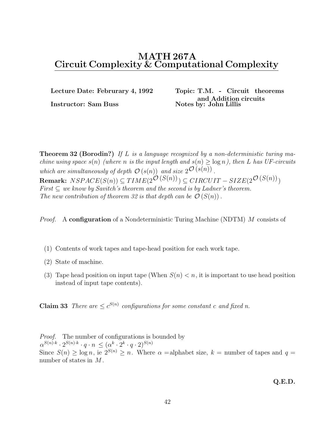**Instructor: Sam Buss Notes by: John Lillis** 

**Lecture Date: Februrary 4, 1992 Topic: T.M. - Circuit theorems and Addition circuits**

**Theorem 32 (Borodin?)** If L is a language recognized by a non-deterministic turing machine using space  $s(n)$  (where n is the input length and  $s(n) \geq \log n$ ), then L has UF-circuits which are simultaneously of depth  $\mathcal{O}(s(n))$  and size  $2^{\mathcal{O}(s(n))}$ . **Remark:**  $NSPACE(S(n)) \subseteq TIME(2^{\tilde{\mathcal{O}}(S(n))}) \subseteq CIRCUIT - SIZE(2^{\tilde{\mathcal{O}}(S(n))})$ First  $\subseteq$  we know by Savitch's theorem and the second is by Ladner's theorem. The new contribution of theorem 32 is that depth can be  $\mathcal{O}(S(n))$ .

Proof. A **configuration** of a Nondeterministic Turing Machine (NDTM) M consists of

- (1) Contents of work tapes and tape-head position for each work tape.
- (2) State of machine.
- (3) Tape head position on input tape (When  $S(n) < n$ , it is important to use head position instead of input tape contents).

**Claim 33** There are  $\langle c^{S(n)} \rangle$  configurations for some constant c and fixed n.

*Proof.* The number of configurations is bounded by  $\alpha^{S(n)\cdot k} \cdot 2^{S(n)\cdot k} \cdot q \cdot n \leq (\alpha^k \cdot 2^k \cdot q \cdot 2)^{S(n)}$ Since  $S(n) \ge \log n$ , ie  $2^{S(n)} \ge n$ . Where  $\alpha$  =alphabet size,  $k$  = number of tapes and  $q$  = number of states in  $M$ .

**Q.E.D.**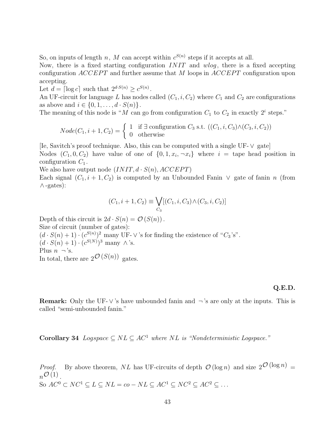So, on inputs of length n, M can accept within  $c^{S(n)}$  steps if it accepts at all.

Now, there is a fixed starting configuration  $INT$  and  $wlog$ , there is a fixed accepting configuration  $ACCEPT$  and further assume that M loops in  $ACCEPT$  configuration upon accepting.

Let  $d = \lceil \log c \rceil$  such that  $2^{d \cdot S(n)} > c^{S(n)}$ .

An UF-circuit for language L has nodes called  $(C_1, i, C_2)$  where  $C_1$  and  $C_2$  are configurations as above and  $i \in \{0, 1, \ldots, d \cdot S(n)\}.$ 

The meaning of this node is "M can go from configuration  $C_1$  to  $C_2$  in exactly 2<sup>i</sup> steps."

$$
Node(C_1, i + 1, C_2) = \begin{cases} 1 & \text{if } \exists \text{ configuration } C_3 \text{ s.t. } ((C_1, i, C_3) \land (C_3, i, C_2)) \\ 0 & \text{otherwise} \end{cases}
$$

[Ie, Savitch's proof technique. Also, this can be computed with a single UF-∨ gate] Nodes  $(C_1, 0, C_2)$  have value of one of  $\{0, 1, x_i, \neg x_i\}$  where  $i = \text{tape head position in}$ configuration  $C_1$ .

We also have output node  $(INIT, d \cdot S(n), ACCEPT)$ 

Each signal  $(C_1, i + 1, C_2)$  is computed by an Unbounded Fanin  $\vee$  gate of fanin n (from ∧-gates):

$$
(C_1, i + 1, C_2) \equiv \bigvee_{C_3} [(C_1, i, C_3) \wedge (C_3, i, C_2)]
$$

Depth of this circuit is  $2d \cdot S(n) = \mathcal{O}(S(n))$ . Size of circuit (number of gates):  $(d \cdot S(n) + 1) \cdot (c^{S(n)})^2$  many UF- $\vee$ 's for finding the existence of " $C_3$ 's".  $(d \cdot S(n) + 1) \cdot (c^{S(N)})^3$  many  $\wedge$ 's. Plus  $n \neg$ 's. In total, there are  $2^{\mathcal{O}}(S(n))$  gates.

### **Q.E.D.**

**Remark:** Only the UF-∨'s have unbounded fanin and ¬'s are only at the inputs. This is called "semi-unbounded fanin."

**Corollary 34** Logspace  $\subseteq NL \subseteq AC^1$  where NL is "Nondeterministic Logspace."

*Proof.* By above theorem, NL has UF-circuits of depth  $\mathcal{O}(\log n)$  and size  $2^{\mathcal{O}(\log n)}$  =  $n\mathcal{O}(1)$ So  $AC^0 \subset NC^1 \subseteq L \subseteq NL = co - NL \subseteq AC^1 \subseteq NC^2 \subseteq AC^2 \subseteq ...$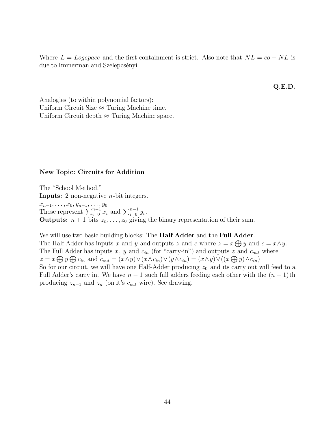Where  $L = Logspace$  and the first containment is strict. Also note that  $NL = co - NL$  is due to Immerman and Szelepcsényi.

**Q.E.D.**

Analogies (to within polynomial factors): Uniform Circuit Size  $\approx$  Turing Machine time. Uniform Circuit depth  $\approx$  Turing Machine space.

### **New Topic: Circuits for Addition**

The "School Method." **Inputs:** 2 non-negative n-bit integers.  $x_{n-1}, \ldots, x_0, y_{n-1}, \ldots, y_0$ <br>These represent  $\sum_{i=0}^{n-1} x_i$  and  $\sum_{i=0}^{n-1} y_i$ .<br>Outputs:  $n+1$  bits  $\alpha$  and  $\alpha$  ariting **Outputs:**  $n + 1$  bits  $z_n, \ldots, z_0$  giving the binary representation of their sum.

We will use two basic building blocks: The **Half Adder** and the **Full Adder**. The Half Adder has inputs x and y and outputs z and c where  $z = x \bigoplus y$  and  $c = x \wedge y$ . The Full Adder has inputs x, y and  $c_{in}$  (for "carry-in") and outputs z and  $c_{out}$  where  $z = x \bigoplus y \bigoplus c_{in}$  and  $c_{out} = (x \wedge y) \vee (x \wedge c_{in}) \vee (y \wedge c_{in}) = (x \wedge y) \vee ((x \bigoplus y) \wedge c_{in})$ So for our circuit, we will have one Half-Adder producing  $z_0$  and its carry out will feed to a Full Adder's carry in. We have  $n-1$  such full adders feeding each other with the  $(n-1)$ th producing  $z_{n-1}$  and  $z_n$  (on it's  $c_{out}$  wire). See drawing.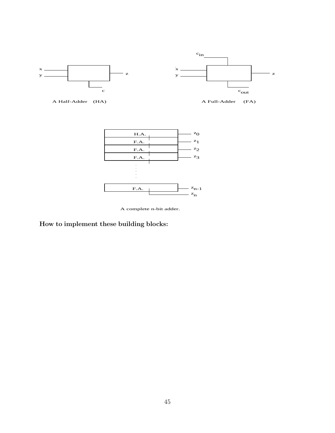

A Half-Adder (HA) <br>A Full-Adder (FA)



A complete n-bit adder.

**How to implement these building blocks:**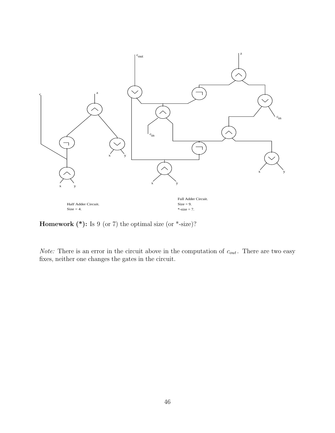

**Homework (\*):** Is 9 (or 7) the optimal size (or \*-size)?

*Note:* There is an error in the circuit above in the computation of  $c_{out}$ . There are two easy fixes, neither one changes the gates in the circuit.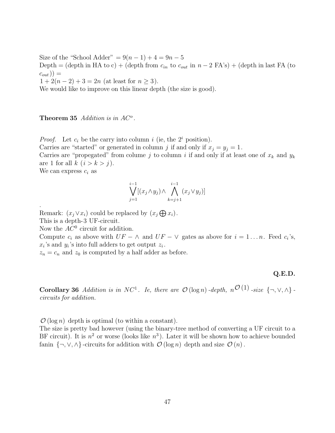Size of the "School Adder" =  $9(n-1) + 4 = 9n - 5$ Depth = (depth in HA to c) + (depth from  $c_{in}$  to  $c_{out}$  in  $n-2$  FA's) + (depth in last FA (to  $(c_{out})) =$  $1 + 2(n - 2) + 3 = 2n$  (at least for  $n \ge 3$ ). We would like to improve on this linear depth (the size is good).

**Theorem 35** Addition is in  $AC^o$ .

*Proof.* Let  $c_i$  be the carry into column i (ie, the  $2^i$  position).

Carries are "started" or generated in column j if and only if  $x_i = y_i = 1$ .

Carries are "propegated" from column j to column i if and only if at least one of  $x_k$  and  $y_k$ are 1 for all  $k$   $(i > k > j)$ .

We can express  $c_i$  as

.

$$
\bigvee_{j=1}^{i-1} [(x_j \wedge y_j) \wedge \bigwedge_{k=j+1}^{i-1} (x_j \vee y_j)]
$$

Remark:  $(x_j \vee x_i)$  could be replaced by  $(x_j \bigoplus x_i)$ . This is a depth-3 UF-circuit.

Now the  $AC^0$  circuit for addition.

Compute  $c_i$  as above with  $UF - \wedge$  and  $UF - \vee$  gates as above for  $i = 1 \dots n$ . Feed  $c_i$ 's,  $x_i$ 's and  $y_i$ 's into full adders to get output  $z_i$ .

 $z_n = c_n$  and  $z_0$  is computed by a half adder as before.

## **Q.E.D.**

**Corollary 36** Addition is in NC<sup>1</sup>. Ie, there are  $\mathcal{O}(\log n)$ -depth,  $n^{\mathcal{O}(1)}$ -size  $\{\neg, \vee, \wedge\}$ circuits for addition.

 $\mathcal{O}(\log n)$  depth is optimal (to within a constant).

The size is pretty bad however (using the binary-tree method of converting a UF circuit to a BF circuit). It is  $n^2$  or worse (looks like  $n^3$ ). Later it will be shown how to achieve bounded fanin  $\{\neg, \vee, \wedge\}$ -circuits for addition with  $\mathcal{O}(\log n)$  depth and size  $\mathcal{O}(n)$ .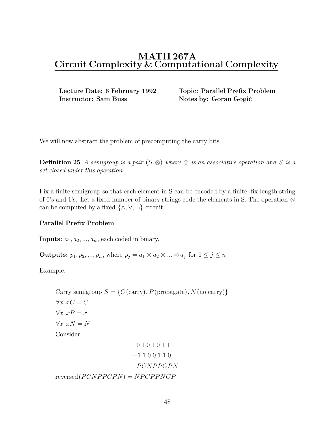**Instructor: Sam Buss Notes by: Goran Gogić** 

**Lecture Date: 6 February 1992 Topic: Parallel Prefix Problem**

We will now abstract the problem of precomputing the carry bits.

**Definition 25** A semigroup is a pair  $(S, \otimes)$  where  $\otimes$  is an associative operation and S is a set closed under this operation.

Fix a finite semigroup so that each element in S can be encoded by a finite, fix-length string of 0's and 1's. Let a fixed-number of binary strings code the elements in S. The operation ⊗ can be computed by a fixed  $\{\wedge, \vee, \neg\}$  circuit.

## **Parallel Prefix Problem**

**Inputs:**  $a_1, a_2, \ldots, a_n$ , each coded in binary.

**Outputs:**  $p_1, p_2, ..., p_n$ , where  $p_j = a_1 \otimes a_2 \otimes ... \otimes a_j$  for  $1 \leq j \leq n$ 

Example:

Carry semigroup  $S = \{C \text{ (carry)}\}, P \text{ (propagate)}\}, N \text{ (no carry)}\}$  $\forall x \ xC = C$  $\forall x \ xP = x$  $\forall x \ xN = N$ Consider 0101011

+1 1 0 0 1 1 0 PCNPPCPN  $reversed(PCNPPCPN) = NPCPPNCP$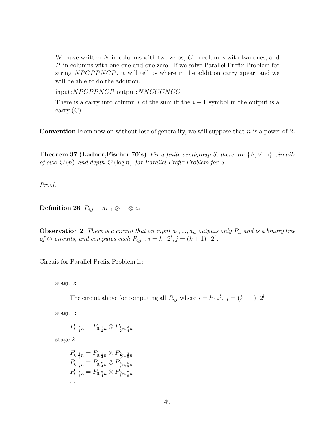We have written  $N$  in columns with two zeros,  $C$  in columns with two ones, and P in columns with one one and one zero. If we solve Parallel Prefix Problem for string NPCPPNCP, it will tell us where in the addition carry apear, and we will be able to do the addition.

input:NPCPPNCP output:NNCCCNCC

There is a carry into column i of the sum iff the  $i + 1$  symbol in the output is a carry (C).

**Convention** From now on without lose of generality, we will suppose that n is a power of 2.

**Theorem 37 (Ladner,Fischer 70's)** Fix a finite semigroup S, there are  $\{\wedge, \vee, \neg\}$  circuits of size  $\mathcal{O}(n)$  and depth  $\mathcal{O}(\log n)$  for Parallel Prefix Problem for S.

Proof.

**Definition 26**  $P_{i,j} = a_{i+1} \otimes ... \otimes a_j$ 

**Observation 2** There is a circuit that on input  $a_1, ..., a_n$  outputs only  $P_n$  and is a binary tree of  $\otimes$  circuits, and computes each  $P_{i,j}$ ,  $i = k \cdot 2^l$ ,  $j = (k+1) \cdot 2^l$ .

Circuit for Parallel Prefix Problem is:

stage 0:

The circuit above for computing all  $P_{i,j}$  where  $i = k \cdot 2^l$ ,  $j = (k+1) \cdot 2^l$ 

stage 1:

 $P_{0,\frac{3}{4}n} = P_{0,\frac{1}{2}n} \otimes P_{\frac{1}{2}n,\frac{3}{4}n}$ 

stage 2:

 $P_{0,\frac{3}{8}n} = P_{0,\frac{1}{4}n} \otimes P_{\frac{2}{8}n,\frac{3}{8}n}$  $P_{0,\frac{5}{8}n} = P_{0,\frac{2}{4}n} \otimes P_{\frac{4}{8}n,\frac{5}{8}n}$  $P_{0,\frac{7}{8}n} = P_{0,\frac{3}{4}n} \otimes P_{\frac{6}{8}n,\frac{7}{8}n}$ ...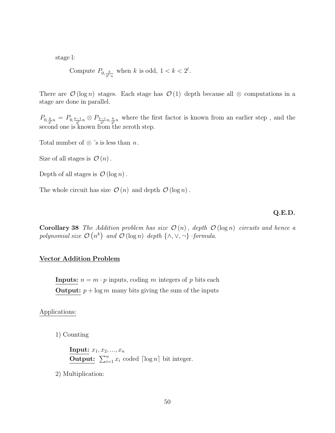stage l:

Compute 
$$
P_{0, \frac{k}{2^l \cdot n}}
$$
 when  $k$  is odd,  $1 < k < 2^l$ .

There are  $\mathcal{O}(\log n)$  stages. Each stage has  $\mathcal{O}(1)$  depth because all ⊗ computations in a stage are done in parallel.

 $P_{0, \frac{k}{2^l}n} = P_{0, \frac{k-1}{2^l}n} \otimes P_{\frac{k-1}{2^l}n, \frac{k}{2^l}n}$  where the first factor is known from an earlier step, and the second one is known from the zeroth step.

Total number of  $\otimes$  's is less than n.

Size of all stages is  $\mathcal{O}(n)$ .

Depth of all stages is  $\mathcal{O}(\log n)$ .

The whole circuit has size  $\mathcal{O}(n)$  and depth  $\mathcal{O}(\log n)$ .

#### **Q.E.D.**

**Corollary 38** The Addition problem has size  $\mathcal{O}(n)$ , depth  $\mathcal{O}(\log n)$  circuits and hence a polynomial size  $\mathcal{O}(n^k)$  and  $\mathcal{O}(\log n)$  depth  $\{\wedge, \vee, \neg\}$ -formula.

## **Vector Addition Problem**

**Inputs:**  $n = m \cdot p$  inputs, coding m integers of p bits each **Output:**  $p + \log m$  many bits giving the sum of the inputs

## Applications:

1) Counting

**Input:**  $x_1, x_2, ..., x_n$ **Output:**  $\sum_{i=1}^{n} x_i$  coded  $\lceil \log n \rceil$  bit integer.

2) Multiplication: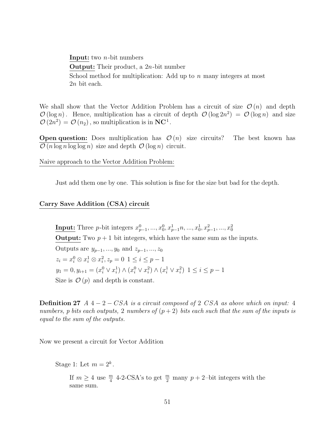**Input:** two n-bit numbers **Output:** Their product, a 2n-bit number School method for multiplication: Add up to  $n$  many integers at most 2n bit each.

We shall show that the Vector Addition Problem has a circuit of size  $\mathcal{O}(n)$  and depth  $\mathcal{O}(\log n)$ . Hence, multiplication has a circuit of depth  $\mathcal{O}(\log 2n^2) = \mathcal{O}(\log n)$  and size  $\mathcal{O}(2n^2) = \mathcal{O}(n_2)$ , so multiplication is in **NC**<sup>1</sup>.

**Open question:** Does multiplication has  $\mathcal{O}(n)$  size circuits? The best known has  $\mathcal{O}(n \log n \log \log n)$  size and depth  $\mathcal{O}(\log n)$  circuit.

Naive approach to the Vector Addition Problem:

Just add them one by one. This solution is fine for the size but bad for the depth.

## **Carry Save Addition (CSA) circuit**

**Input:** Three *p*-bit integers  $x_{p-1}^0, ..., x_0^0, x_{p-1}^1, ..., x_0^1, x_{p-1}^2, ..., x_0^2$ **Output:** Two  $p + 1$  bit integers, which have the same sum as the inputs. Outputs are  $y_{p-1},...,y_0$  and  $z_{p-1},...,z_0$  $z_i = x_i^0 \otimes x_i^1 \otimes x_i^2, z_p = 0 \; 1 \leq i \leq p-1$  $y_1 = 0, y_{i+1} = (x_i^0 \vee x_i^1) \wedge (x_i^0 \vee x_i^2) \wedge (x_i^1 \vee x_i^2) \; 1 \leq i \leq p-1$ Size is  $\mathcal{O}(p)$  and depth is constant.

**Definition 27** A 4 − 2 − CSA is a circuit composed of 2 CSA as above which on input: 4 numbers, p bits each outputs, 2 numbers of  $(p+2)$  bits each such that the sum of the inputs is equal to the sum of the outputs.

Now we present a circuit for Vector Addition

Stage 1: Let  $m = 2^k$ .

If  $m \geq 4$  use  $\frac{m}{4}$  4-2-CSA's to get  $\frac{m}{2}$  many  $p + 2$ -bit integers with the same sum.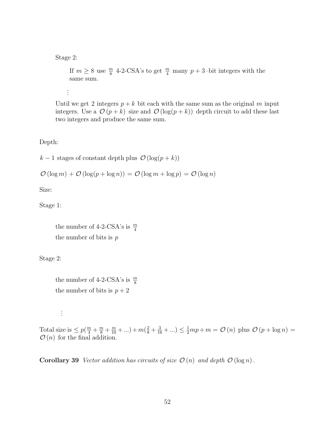### Stage 2:

If  $m \geq 8$  use  $\frac{m}{8}$  4-2-CSA's to get  $\frac{m}{4}$  many  $p + 3$ -bit integers with the same sum.

. . .

Until we get 2 integers  $p + k$  bit each with the same sum as the original m input integers. Use a  $\mathcal{O}(p+k)$  size and  $\mathcal{O}(\log(p+k))$  depth circuit to add these last two integers and produce the same sum.

Depth:

 $k-1$  stages of constant depth plus  $\mathcal{O}(\log(p+k))$ 

$$
\mathcal{O}(\log m) + \mathcal{O}(\log(p + \log n)) = \mathcal{O}(\log m + \log p) = \mathcal{O}(\log n)
$$

Size:

Stage 1:

the number of 4-2-CSA's is  $\frac{m}{4}$ the number of bits is  $p$ 

Stage 2:

the number of 4-2-CSA's is  $\frac{m}{8}$ the number of bits is  $p + 2$ 

. . .

Total size is  $\leq p(\frac{m}{4} + \frac{m}{8} + \frac{m}{10} + ...) + m(\frac{2}{8} + \frac{3}{16} + ...) \leq \frac{1}{2}mp + m = \mathcal{O}(n)$  plus  $\mathcal{O}(p + \log n) = \mathcal{O}(n)$  for the final addition  $\mathcal{O}(n)$  for the final addition.

**Corollary 39** Vector addition has circuits of size  $\mathcal{O}(n)$  and depth  $\mathcal{O}(\log n)$ .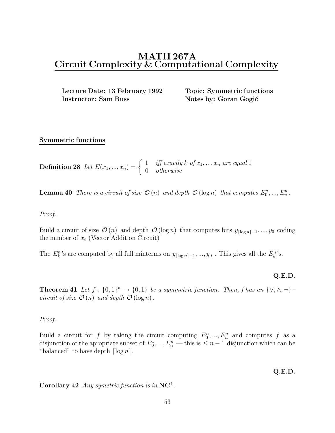**Lecture Date: 13 February 1992 Topic: Symmetric functions Instructor: Sam Buss Notes by: Goran Gogić** 

## **Symmetric functions**

**Definition 28** Let  $E(x_1, ..., x_n) = \begin{cases} 1 & \text{iff exactly } k \text{ of } x_1, ..., x_n \text{ are equal 1} \\ 0 & \text{otherwise} \end{cases}$ 

**Lemma 40** There is a circuit of size  $\mathcal{O}(n)$  and depth  $\mathcal{O}(\log n)$  that computes  $E_0^n, ..., E_n^n$ .

## Proof.

Build a circuit of size  $\mathcal{O}(n)$  and depth  $\mathcal{O}(\log n)$  that computes bits  $y_{\lceil \log n \rceil - 1}, ..., y_0$  coding the number of  $x_i$  (Vector Addition Circuit)

The  $E_k^n$ 's are computed by all full minterms on  $y_{\lceil \log n \rceil - 1}, ..., y_0$ . This gives all the  $E_k^n$ 's.

## **Q.E.D.**

**Theorem 41** Let  $f : \{0,1\}^n \to \{0,1\}$  be a symmetric function. Then, f has an  $\{\vee, \wedge, \neg\}$ circuit of size  $\mathcal{O}(n)$  and depth  $\mathcal{O}(\log n)$ .

### Proof.

Build a circuit for f by taking the circuit computing  $E_0^n, ..., E_n^n$  and computes f as a disjunction of the encounter of  $F^1$  of  $F^n$  this is  $\leq n-1$  disjunction which can be disjunction of the apropriate subset of  $E_0^1, ..., E_n^n$  — this is  $\leq n-1$  disjunction which can be "belonged" to have donth [log<sub>n</sub>] "balanced" to have depth  $\lceil \log n \rceil$ .

**Q.E.D.**

**Corollary 42** Any symetric function is in **NC**<sup>1</sup> .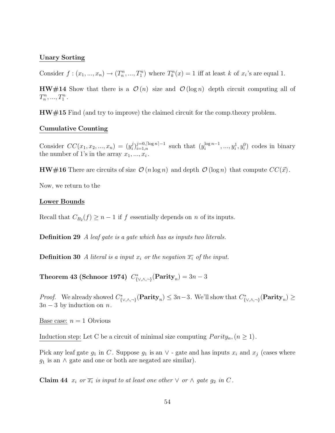## **Unary Sorting**

Consider  $f: (x_1, ..., x_n) \to (T_n^n, ..., T_1^n)$  where  $T_k^n(x) = 1$  iff at least k of  $x_i$ 's are equal 1.

**HW#14** Show that there is a  $\mathcal{O}(n)$  size and  $\mathcal{O}(\log n)$  depth circuit computing all of  $T_n^n, ..., T_1^n$ .

**HW#15** Find (and try to improve) the claimed circuit for the comp.theory problem.

### **Cumulative Counting**

Consider  $CC(x_1, x_2, ..., x_n) = (y_i^j)_{i=1,n}^{j=0, \lceil \log n \rceil-1}$  such that  $(y_i^{\log n-1}, ..., y_i^1, y_i^0)$  codes in binary the number of 1's in the array  $x_1, ..., x_i$ .

**HW#16** There are circuits of size  $\mathcal{O}(n \log n)$  and depth  $\mathcal{O}(\log n)$  that compute  $CC(\vec{x})$ .

Now, we return to the

## **Lower Bounds**

Recall that  $C_{B_2}(f) \geq n-1$  if f essentially depends on n of its inputs.

**Definition 29** A leaf gate is a gate which has as inputs two literals.

**Definition 30** A literal is a input  $x_i$  or the negation  $\overline{x_i}$  of the input.

**Theorem 43 (Schnoor 1974)**  $C^*_{\{\vee,\wedge,\neg\}}(\text{Parity}_n) = 3n - 3$ 

*Proof.* We already showed  $C^*_{\{\vee,\wedge,\neg\}}(\textbf{Parity}_n) \leq 3n-3$ . We'll show that  $C^*_{\{\vee,\wedge,\neg\}}(\textbf{Parity}_n) \geq$  $3n-3$  by induction on n.

<u>Base case:</u>  $n = 1$  Obvious

Induction step: Let C be a circuit of minimal size computing  $Parity_n, (n \geq 1)$ .

Pick any leaf gate  $g_1$  in C. Suppose  $g_1$  is an  $\vee$  - gate and has inputs  $x_i$  and  $x_j$  (cases where  $g_1$  is an  $\wedge$  gate and one or both are negated are similar).

**Claim 44**  $x_i$  or  $\overline{x_i}$  is input to at least one other  $\vee$  or  $\wedge$  gate  $g_2$  in C.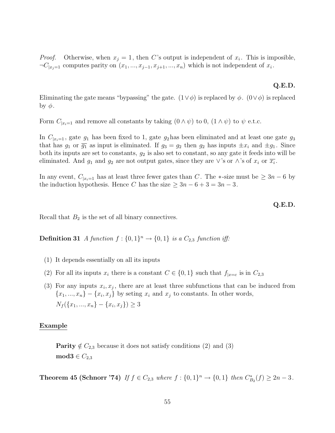*Proof.* Otherwise, when  $x_j = 1$ , then C's output is independent of  $x_i$ . This is imposible,  $\neg C_{|x_i=1}$  computes parity on  $(x_1, ..., x_{j-1}, x_{j+1}, ..., x_n)$  which is not independent of  $x_i$ .

### **Q.E.D.**

Eliminating the gate means "bypassing" the gate.  $(1 \vee \phi)$  is replaced by  $\phi$ .  $(0 \vee \phi)$  is replaced by  $φ$ .

Form  $C_{|x_i=1}$  and remove all constants by taking  $(0 \wedge \psi)$  to  $0$ ,  $(1 \wedge \psi)$  to  $\psi$  e.t.c.

In  $C_{x_i=1}$ , gate  $g_1$  has been fixed to 1, gate  $g_2$  has been eliminated and at least one gate  $g_3$ that has  $g_1$  or  $\overline{g_1}$  as input is eliminated. If  $g_3 = g_2$  then  $g_2$  has inputs  $\pm x_i$  and  $\pm g_1$ . Since both its inputs are set to constants,  $g_2$  is also set to constant, so any gate it feeds into will be eliminated. And  $g_1$  and  $g_2$  are not output gates, since they are ∨'s or ∧'s of  $x_i$  or  $\overline{x_i}$ .

In any event,  $C_{|x_i=1}$  has at least three fewer gates than C. The  $*$ -size must be  $\geq 3n-6$  by the induction hypothesis. Hence C has the size  $\geq 3n - 6 + 3 = 3n - 3$ .

#### **Q.E.D.**

Recall that  $B_2$  is the set of all binary connectives.

**Definition 31** A function  $f: \{0, 1\}^n \rightarrow \{0, 1\}$  is a  $C_{2,3}$  function iff:

- (1) It depends essentially on all its inputs
- (2) For all its inputs  $x_i$  there is a constant  $C \in \{0,1\}$  such that  $f_{|x=c}$  is in  $C_{2,3}$
- (3) For any inputs  $x_i, x_j$ , there are at least three subfunctions that can be induced from  ${x_1, ..., x_n} - {x_i, x_j}$  by seting  $x_i$  and  $x_j$  to constants. In other words,  $N_f({x_1, ..., x_n} - {x_i, x_j}) > 3$

#### **Example**

**Parity**  $\notin C_{2,3}$  because it does not satisfy conditions (2) and (3)  $\mathbf{mod3} \in C_{2,3}$ 

**Theorem 45 (Schnorr '74)** If  $f \in C_{2,3}$  where  $f : \{0,1\}^n \to \{0,1\}$  then  $C_{B_2}^*(f) \ge 2n-3$ .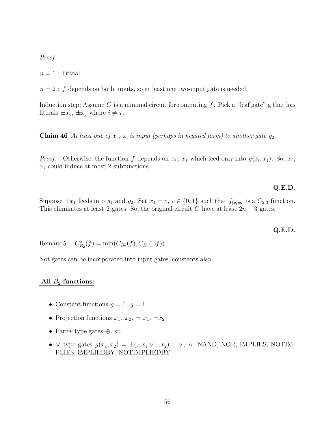Proof.

 $n=1$ : Trivial

 $n = 2$ : f depends on both inputs, so at least one two-input gate is needed.

Induction step; Assume C is a minimal circuit for computing  $f$ . Pick a "leaf gate" g that has literals  $\pm x_i$ ,  $\pm x_j$  where  $i \neq j$ .

**Claim 46** At least one of  $x_i$ ,  $x_j$  is input (perhaps in negated form) to another gate  $g_2$ .

*Proof.* Otherwise, the function f depends on  $x_i$ ,  $x_j$  which feed only into  $g(x_i, x_j)$ . So,  $x_i$ ,  $x_j$  could induce at most 2 subfunctions.

## **Q.E.D.**

Suppose  $\pm x_1$  feeds into  $g_1$  and  $g_2$ . Set  $x_1 = c, c \in \{0, 1\}$  such that  $f_{x_i=c}$  is a  $C_{2,3}$  function. This eliminates at least 2 gates. So, the original circuit C have at least  $2n-3$  gates.

### **Q.E.D.**

Remark 5:  $C_{B_2}^*(f) = \min(C_{B_2}(f), C_{B_2}(\neg f))$ 

Not gates can be incorporated into input gates, constants also.

### **All** <sup>B</sup>2 **functions:**

- Constant functions  $g = 0, g = 1$
- Projection functions  $x_1, x_2, \neg x_1, \neg x_2$
- Parity type gates  $\oplus$ ,  $\Leftrightarrow$
- ∨ type gates  $g(x_1, x_2) = \pm(\pm x_1 \vee \pm x_2)$ : ∨, ∧, NAND, NOR, IMPLIES, NOTIM-PLIES, IMPLIEDBY, NOTIMPLIEDBY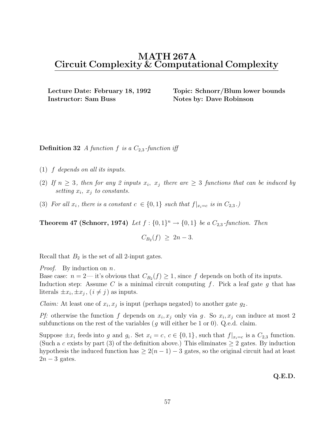**Instructor: Sam Buss Notes by: Dave Robinson** 

**Lecture Date: February 18, 1992 Topic: Schnorr/Blum lower bounds**

**Definition 32** A function f is a  $C_{2,3}$ -function iff

- (1) f depends on all its inputs.
- (2) If  $n \geq 3$ , then for any 2 inputs  $x_i$ ,  $x_j$  there are  $\geq 3$  functions that can be induced by setting  $x_i$ ,  $x_j$  to constants.
- (3) For all  $x_i$ , there is a constant  $c \in \{0,1\}$  such that  $f|_{x_i=c}$  is in  $C_{2,3}$ .)

**Theorem 47 (Schnorr, 1974)** Let  $f : \{0,1\}^n \rightarrow \{0,1\}$  be a  $C_{2,3}$ -function. Then

$$
C_{B_2}(f) \geq 2n-3.
$$

Recall that  $B_2$  is the set of all 2-input gates.

*Proof.* By induction on  $n$ .

Base case:  $n = 2$ — it's obvious that  $C_{B_2}(f) \geq 1$ , since f depends on both of its inputs. Induction step: Assume C is a minimal circuit computing  $f$ . Pick a leaf gate  $g$  that has literals  $\pm x_i, \pm x_j, (i \neq j)$  as inputs.

*Claim:* At least one of  $x_i, x_j$  is input (perhaps negated) to another gate  $g_2$ .

Pf: otherwise the function f depends on  $x_i, x_j$  only via g. So  $x_i, x_j$  can induce at most 2 subfunctions on the rest of the variables  $(g$  will either be 1 or 0). Q.e.d. claim.

Suppose  $\pm x_i$  feeds into g and  $g_i$ . Set  $x_i = c, c \in \{0, 1\}$ , such that  $f|_{x_i=c}$  is a  $C_{2,3}$  function. (Such a c exists by part (3) of the definition above.) This eliminates  $\geq 2$  gates. By induction hypothesis the induced function has  $\geq 2(n-1)-3$  gates, so the original circuit had at least  $2n-3$  gates.

**Q.E.D.**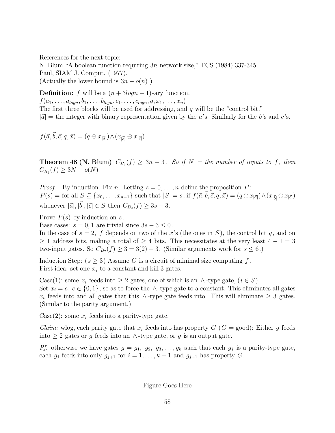References for the next topic: N. Blum "A boolean function requiring 3n network size," TCS (1984) 337-345. Paul, SIAM J. Comput. (1977). (Actually the lower bound is  $3n - o(n)$ .)

**Definition:** f will be a  $(n + 3logn + 1)$ -ary function.  $f(a_1, \ldots, a_{logn}, b_1, \ldots, b_{logn}, c_1, \ldots, c_{logn}, q, x_1, \ldots, x_n)$ The first three blocks will be used for addressing, and  $q$  will be the "control bit."  $|\vec{a}|$  = the integer with binary representation given by the a's. Similarly for the b's and c's.

 $f(\vec{a}, \vec{b}, \vec{c}, q, \vec{x}) = (q \oplus x_{|\vec{a}|}) \wedge (x_{|\vec{b}|} \oplus x_{|\vec{c}|})$ 

**Theorem 48 (N. Blum)**  $C_{B_2}(f) \geq 3n-3$ . So if  $N =$  the number of inputs to f, then  $C_{B_2}(f) \geq 3N - o(N)$ .

*Proof.* By induction. Fix n. Letting  $s = 0, \ldots, n$  define the proposition P:  $P(s) = \text{for all } S \subseteq \{x_0, \ldots, x_{n-1}\}\text{ such that } |S| = s, \text{ if } f(\vec{a}, \vec{b}, \vec{c}, q, \vec{x}) = (q \oplus x_{|\vec{a}|}) \wedge (x_{|\vec{b}|} \oplus x_{|\vec{c}|})$ whenever  $|\vec{a}|, |\vec{b}|, |\vec{c}| \in S$  then  $C_{B_2}(f) \ge 3s - 3$ .

Prove  $P(s)$  by induction on s.

Base cases:  $s = 0, 1$  are trivial since  $3s - 3 \leq 0$ .

In the case of  $s = 2$ , f depends on two of the x's (the ones in S), the control bit q, and on  $\geq 1$  address bits, making a total of  $\geq 4$  bits. This necessitates at the very least  $4-1=3$ two-input gates. So  $C_{B_2}(f) \geq 3 = 3(2) - 3$ . (Similar arguments work for  $s \leq 6$ .)

Induction Step:  $(s \geq 3)$  Assume C is a circuit of minimal size computing f. First idea: set one  $x_i$  to a constant and kill 3 gates.

Case(1): some  $x_i$  feeds into  $\geq 2$  gates, one of which is an ∧-type gate,  $(i \in S)$ . Set  $x_i = c, c \in \{0, 1\}$ , so as to force the ∧-type gate to a constant. This eliminates all gates  $x_i$  feeds into and all gates that this ∧-type gate feeds into. This will eliminate  $\geq 3$  gates. (Similar to the parity argument.)

Case(2): some  $x_i$  feeds into a parity-type gate.

*Claim:* wlog, each parity gate that  $x_i$  feeds into has property  $G$  ( $G = \text{good}$ ): Either g feeds into ≥ 2 gates or g feeds into an ∧-type gate, or g is an output gate.

Pf: otherwise we have gates  $g = g_1, g_2, g_3, \ldots, g_k$  such that each  $g_j$  is a parity-type gate, each  $g_j$  feeds into only  $g_{j+1}$  for  $i = 1, ..., k-1$  and  $g_{j+1}$  has property G.

Figure Goes Here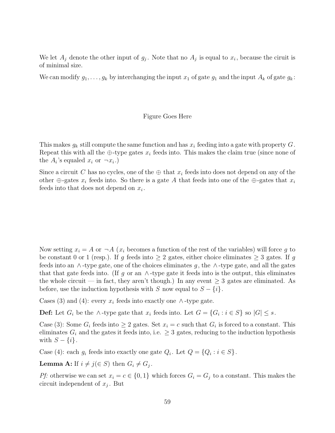We let  $A_j$  denote the other input of  $g_j$ . Note that no  $A_j$  is equal to  $x_i$ , because the ciruit is of minimal size.

We can modify  $g_1, \ldots, g_k$  by interchanging the input  $x_1$  of gate  $g_1$  and the input  $A_k$  of gate  $g_k$ :

#### Figure Goes Here

This makes  $g_k$  still compute the same function and has  $x_i$  feeding into a gate with property G. Repeat this with all the  $\oplus$ -type gates  $x_i$  feeds into. This makes the claim true (since none of the  $A_i$ 's equaled  $x_i$  or  $\neg x_i$ .)

Since a circuit C has no cycles, one of the  $\oplus$  that  $x_i$  feeds into does not depend on any of the other  $\oplus$ -gates  $x_i$  feeds into. So there is a gate A that feeds into one of the  $\oplus$ -gates that  $x_i$ feeds into that does not depend on  $x_i$ .

Now setting  $x_i = A$  or  $\neg A$  ( $x_i$  becomes a function of the rest of the variables) will force g to be constant 0 or 1 (resp.). If g feeds into  $\geq 2$  gates, either choice eliminates  $\geq 3$  gates. If g feeds into an  $\wedge$ -type gate, one of the choices eliminates g, the  $\wedge$ -type gate, and all the gates that that gate feeds into. (If g or an  $\wedge$ -type gate it feeds into is the output, this eliminates the whole circuit — in fact, they aren't though.) In any event  $\geq 3$  gates are eliminated. As before, use the induction hypothesis with S now equal to  $S - \{i\}$ .

Cases (3) and (4): every  $x_i$  feeds into exactly one ∧-type gate.

**Def:** Let  $G_i$  be the ∧-type gate that  $x_i$  feeds into. Let  $G = \{G_i : i \in S\}$  so  $|G| \leq s$ .

Case (3): Some  $G_i$  feeds into  $\geq 2$  gates. Set  $x_i = c$  such that  $G_i$  is forced to a constant. This eliminates  $G_i$  and the gates it feeds into, i.e.  $\geq 3$  gates, reducing to the induction hypothesis with  $S - \{i\}$ .

Case (4): each  $g_i$  feeds into exactly one gate  $Q_i$ . Let  $Q = \{Q_i : i \in S\}.$ 

**Lemma A:** If  $i \neq j$ ( $\in S$ ) then  $G_i \neq G_j$ .

Pf: otherwise we can set  $x_i = c \in \{0, 1\}$  which forces  $G_i = G_j$  to a constant. This makes the circuit independent of  $x_j$ . But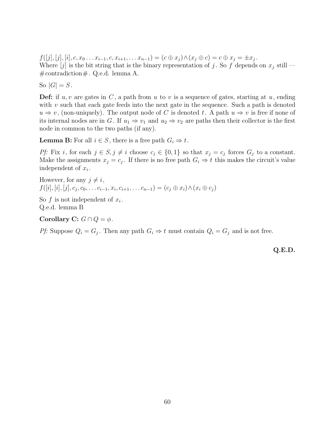$f([j], [j], [i], c, x_0 \ldots x_{i-1}, c, x_{i+1}, \ldots x_{n-1}) = (c \oplus x_j) \wedge (x_j \oplus c) = c \oplus x_j = \pm x_j$ . Where  $[j]$  is the bit string that is the binary representation of j. So f depends on  $x_j$  still —  $\#\text{contradiction}\,\#\!\!\text{. Q.e.d. lemma A.}$ 

So  $|G| = S$ .

**Def:** if  $u, v$  are gates in  $C$ , a path from  $u$  to  $v$  is a sequence of gates, starting at  $u$ , ending with  $v$  such that each gate feeds into the next gate in the sequence. Such a path is denoted  $u \Rightarrow v$ , (non-uniquely). The output node of C is denoted t. A path  $u \Rightarrow v$  is free if none of its internal nodes are in G. If  $u_1 \Rightarrow v_1$  and  $u_2 \Rightarrow v_2$  are paths then their collector is the first node in common to the two paths (if any).

**Lemma B:** For all  $i \in S$ , there is a free path  $G_i \Rightarrow t$ .

Pf: Fix i, for each  $j \in S, j \neq i$  choose  $c_j \in \{0,1\}$  so that  $x_j = c_j$  forces  $G_j$  to a constant. Make the assignments  $x_j = c_j$ . If there is no free path  $G_i \Rightarrow t$  this makes the circuit's value independent of  $x_i$ .

However, for any  $j \neq i$ ,  $f([i], [i], [j], c_i, c_0, \ldots c_{i-1}, x_i, c_{i+1}, \ldots c_{n-1}) = (c_i \oplus x_i) \wedge (x_i \oplus c_j)$ 

So  $f$  is not independent of  $x_i$ . Q.e.d. lemma B

**Corollary C:**  $G \cap Q = \phi$ .

Pf: Suppose  $Q_i = G_j$ . Then any path  $G_i \Rightarrow t$  must contain  $Q_i = G_j$  and is not free.

**Q.E.D.**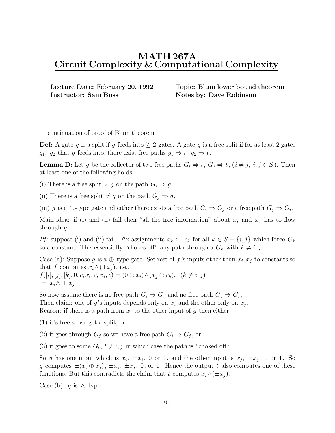**Instructor: Sam Buss Notes by: Dave Robinson** 

**Lecture Date: February 20, 1992 Topic: Blum lower bound theorem**

— continuation of proof of Blum theorem —

**Def:** A gate g is a split if g feeds into  $\geq 2$  gates. A gate g is a free split if for at least 2 gates  $g_1, g_2$  that g feeds into, there exist free paths  $g_1 \Rightarrow t, g_2 \Rightarrow t$ .

**Lemma D:** Let g be the collector of two free paths  $G_i \Rightarrow t$ ,  $G_j \Rightarrow t$ ,  $(i \neq j, i, j \in S)$ . Then at least one of the following holds:

(i) There is a free split  $\neq g$  on the path  $G_i \Rightarrow g$ .

(ii) There is a free split  $\neq g$  on the path  $G_j \Rightarrow g$ .

(iii) g is a  $\oplus$ -type gate and either there exists a free path  $G_i \Rightarrow G_j$  or a free path  $G_j \Rightarrow G_i$ .

Main idea: if (i) and (ii) fail then "all the free information" about  $x_i$  and  $x_j$  has to flow through  $q$ .

Pf: suppose (i) and (ii) fail. Fix assignments  $x_k := c_k$  for all  $k \in S - \{i, j\}$  which force  $G_k$ to a constant. This essentially "chokes off" any path through a  $G_k$  with  $k \neq i, j$ .

Case (a): Suppose g is a  $\oplus$ -type gate. Set rest of f's inputs other than  $x_i, x_j$  to constants so that f computes  $x_i \wedge (\pm x_j)$ , i.e.,  $f([i], [j], [k], 0, \vec{c}, x_i, \vec{c}, x_j, \vec{c}) = (0 \oplus x_i) \wedge (x_i \oplus c_k), \ (k \neq i, i)$  $= x_i \wedge \pm x_j$ 

So now assume there is no free path  $G_i \Rightarrow G_j$  and no free path  $G_j \Rightarrow G_i$ , Then claim: one of g's inputs depends only on  $x_i$  and the other only on  $x_j$ . Reason: if there is a path from  $x_i$  to the other input of g then either

(1) it's free so we get a split, or

(2) it goes through  $G_j$  so we have a free path  $G_i \Rightarrow G_j$ , or

(3) it goes to some  $G_l$ ,  $l \neq i, j$  in which case the path is "choked off."

So g has one input which is  $x_i$ ,  $\neg x_i$ , 0 or 1, and the other input is  $x_j$ ,  $\neg x_j$ , 0 or 1. So g computes  $\pm(x_i \oplus x_j)$ ,  $\pm x_i$ ,  $\pm x_j$ , 0, or 1. Hence the output t also computes one of these functions. But this contradicts the claim that t computes  $x_i \wedge (\pm x_j)$ .

Case (b): q is  $\wedge$ -type.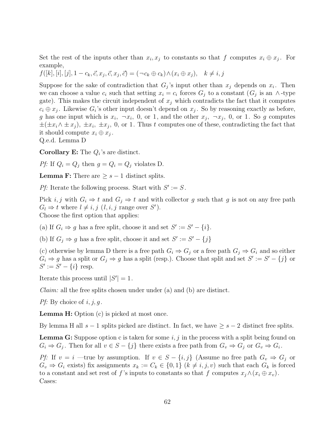Set the rest of the inputs other than  $x_i, x_j$  to constants so that f computes  $x_i \oplus x_j$ . For example,

$$
f([k],[i],[j],1-c_k,\vec{c},x_j,\vec{c},x_j,\vec{c})=(\neg c_k \oplus c_k) \land (x_i \oplus x_j), \quad k \neq i,j
$$

Suppose for the sake of contradiction that  $G_j$ 's input other than  $x_j$  depends on  $x_i$ . Then we can choose a value  $c_i$  such that setting  $x_i = c_i$  forces  $G_j$  to a constant  $(G_j$  is an ∧-type gate). This makes the circuit independent of  $x_j$  which contradicts the fact that it computes  $c_i \oplus x_j$ . Likewise  $G_i$ 's other input doesn't depend on  $x_j$ . So by reasoning exactly as before, g has one input which is  $x_i$ ,  $\neg x_i$ , 0, or 1, and the other  $x_j$ ,  $\neg x_j$ , 0, or 1. So g computes  $\pm(\pm x_i\wedge \pm x_j), \pm x_i, \pm x_j, 0$ , or 1. Thus t computes one of these, contradicting the fact that it should compute  $x_i \oplus x_j$ .

Q.e.d. Lemma D

**Corollary E:** The  $Q_i$ 's are distinct.

Pf: If  $Q_i = Q_j$  then  $g = Q_i = Q_j$  violates D.

**Lemma F:** There are  $\geq s - 1$  distinct splits.

Pf: Iterate the following process. Start with  $S' := S$ .

Pick i, j with  $G_i \Rightarrow t$  and  $G_j \Rightarrow t$  and with collector g such that g is not on any free path  $G_l \Rightarrow t$  where  $l \neq i, j \ (l, i, j \text{ range over } S').$ Choose the first option that applies:

(a) If  $G_i \Rightarrow g$  has a free split, choose it and set  $S' := S' - \{i\}.$ 

(b) If  $G_j \Rightarrow g$  has a free split, choose it and set  $S' := S' - \{j\}$ 

(c) otherwise by lemma D there is a free path  $G_i \Rightarrow G_j$  or a free path  $G_j \Rightarrow G_i$  and so either  $G_i \Rightarrow g$  has a split or  $G_j \Rightarrow g$  has a split (resp.). Choose that split and set  $S' := S' - \{j\}$  or  $S' := S' - \{i\}$  resp.

Iterate this process until  $|S'| = 1$ .

Claim: all the free splits chosen under under (a) and (b) are distinct.

*Pf*: By choice of  $i, j, q$ .

**Lemma H:** Option (c) is picked at most once.

By lemma H all  $s - 1$  splits picked are distinct. In fact, we have  $\geq s - 2$  distinct free splits.

**Lemma G:** Suppose option c is taken for some  $i, j$  in the process with a split being found on  $G_i \Rightarrow G_j$ . Then for all  $v \in S - \{j\}$  there exists a free path from  $G_v \Rightarrow G_j$  or  $G_v \Rightarrow G_i$ .

Pf: If  $v = i$  —true by assumption. If  $v \in S - \{i, j\}$  (Assume no free path  $G_v \Rightarrow G_j$  or  $G_v \Rightarrow G_i$  exists) fix assignments  $x_k := C_k \in \{0,1\}$   $(k \neq i, j, v)$  such that each  $G_k$  is forced to a constant and set rest of f's inputs to constants so that f computes  $x_i \wedge (x_i \oplus x_v)$ . Cases: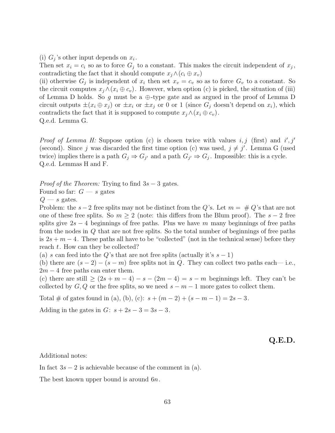(i)  $G_i$ 's other input depends on  $x_i$ .

Then set  $x_i = c_i$  so as to force  $G_i$  to a constant. This makes the circuit independent of  $x_j$ , contradicting the fact that it should compute  $x_i \wedge (c_i \oplus x_v)$ 

(ii) otherwise  $G_j$  is independent of  $x_i$  then set  $x_v = c_v$  so as to force  $G_v$  to a constant. So the circuit computes  $x_j \wedge (x_i \oplus c_v)$ . However, when option (c) is picked, the situation of (iii) of Lemma D holds. So g must be a  $\oplus$ -type gate and as argued in the proof of Lemma D circuit outputs  $\pm(x_i \oplus x_j)$  or  $\pm x_i$  or  $\pm x_j$  or 0 or 1 (since  $G_i$  doesn't depend on  $x_i$ ), which contradicts the fact that it is supposed to compute  $x_j \wedge (x_i \oplus c_v)$ . Q.e.d. Lemma G.

*Proof of Lemma H:* Suppose option (c) is chosen twice with values i, j (first) and  $i', j'$ (second). Since j was discarded the first time option (c) was used,  $j \neq j'$ . Lemma G (used twice) implies there is a path  $G_i \Rightarrow G_{i'}$  and a path  $G_{i'} \Rightarrow G_i$ . Impossible: this is a cycle. Q.e.d. Lemmas H and F.

*Proof of the Theorem:* Trying to find  $3s - 3$  gates.

Found so far:  $G - s$  gates

 $Q - s$  gates.

Problem: the s−2 free splits may not be distinct from the Q's. Let  $m = \# Q$ 's that are not one of these free splits. So  $m \geq 2$  (note: this differs from the Blum proof). The  $s - 2$  free splits give  $2s - 4$  beginnings of free paths. Plus we have m many beginnings of free paths from the nodes in Q that are not free splits. So the total number of beginnings of free paths is  $2s + m - 4$ . These paths all have to be "collected" (not in the technical sense) before they reach t. How can they be collected?

(a) s can feed into the Q's that are not free splits (actually it's  $s - 1$ )

(b) there are  $(s-2) - (s-m)$  free splits not in Q. They can collect two paths each— i.e.,  $2m - 4$  free paths can enter them.

(c) there are still  $\geq (2s + m - 4) - s - (2m - 4) = s - m$  beginnings left. They can't be collected by  $G, Q$  or the free splits, so we need  $s - m - 1$  more gates to collect them.

Total # of gates found in (a), (b), (c):  $s + (m-2) + (s-m-1) = 2s - 3$ .

Adding in the gates in  $G: s + 2s - 3 = 3s - 3$ .

**Q.E.D.**

Additional notes:

In fact  $3s - 2$  is achievable because of the comment in (a).

The best known upper bound is around  $6n$ .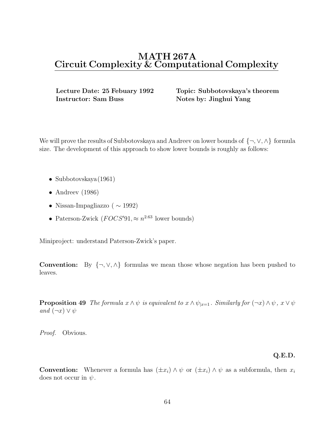**Instructor: Sam Buss Notes by: Jinghui Yang** 

**Lecture Date: 25 Febuary 1992 Topic: Subbotovskaya's theorem**

We will prove the results of Subbotovskaya and Andreev on lower bounds of {¬,∨,∧} formula size. The development of this approach to show lower bounds is roughly as follows:

- Subbotovskaya (1961)
- Andreev  $(1986)$
- Nissan-Impagliazzo ( $\sim$  1992)
- Paterson-Zwick  $(FOCS'91, \approx n^{2.63}$  lower bounds)

Miniproject: understand Paterson-Zwick's paper.

**Convention:** By  $\{\neg, \vee, \wedge\}$  formulas we mean those whose negation has been pushed to leaves.

**Proposition 49** The formula  $x \wedge \psi$  is equivalent to  $x \wedge \psi_{|x=1}$ . Similarly for  $(\neg x) \wedge \psi$ ,  $x \vee \psi$ and  $(\neg x) \vee \psi$ 

Proof. Obvious.

### **Q.E.D.**

**Convention:** Whenever a formula has  $(\pm x_i) \wedge \psi$  or  $(\pm x_i) \wedge \psi$  as a subformula, then  $x_i$ does not occur in  $\psi$ .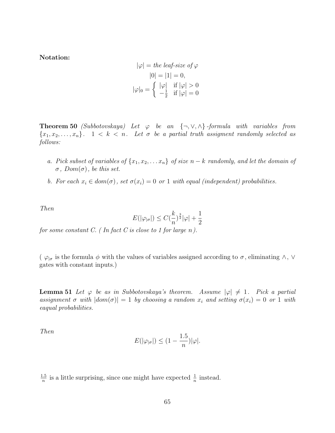**Notation:**

$$
|\varphi| = the \operatorname{leaf-size} \circ f \varphi
$$

$$
|0| = |1| = 0,
$$

$$
|\varphi|_0 = \begin{cases} |\varphi| & \text{if } |\varphi| > 0 \\ -\frac{1}{2} & \text{if } |\varphi| = 0 \end{cases}
$$

**Theorem 50** (Subbotovskaya) Let  $\varphi$  be an  $\{\neg, \vee, \wedge\}$ -formula with variables from  ${x_1, x_2,...,x_n}$ .  $1 < k < n$ . Let  $\sigma$  be a partial truth assigment randomly selected as follows:

- a. Pick subset of variables of  $\{x_1, x_2, \ldots x_n\}$  of size  $n k$  randomly, and let the domain of  $\sigma$ ,  $Dom(\sigma)$ , be this set.
- b. For each  $x_i \in dom(\sigma)$ , set  $\sigma(x_i)=0$  or 1 with equal (independent) probabilities.

Then

$$
E(|\varphi_{|\sigma}|) \le C(\frac{k}{n})^{\frac{3}{2}}|\varphi| + \frac{1}{2}
$$

for some constant  $C.$  (In fact C is close to 1 for large n).

(  $\varphi_{|\sigma}$  is the formula  $\phi$  with the values of variables assigned according to  $\sigma$ , eliminating  $\wedge$ ,  $\vee$ gates with constant inputs.)

**Lemma 51** Let  $\varphi$  be as in Subbotovskaya's theorem. Assume  $|\varphi| \neq 1$ . Pick a partial assignment  $\sigma$  with  $|dom(\sigma)| = 1$  by choosing a random  $x_i$  and setting  $\sigma(x_i) = 0$  or 1 with eaqual probabilities.

Then

$$
E(|\varphi_{|\sigma}|) \le (1 - \frac{1.5}{n})|\varphi|.
$$

 $\frac{1.5}{n}$  is a little surprising, since one might have expected  $\frac{1}{n}$  instead.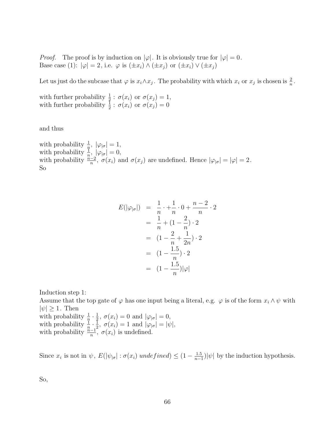*Proof.* The proof is by induction on  $|\varphi|$ . It is obviously true for  $|\varphi| = 0$ . Base case (1):  $|\varphi| = 2$ , i.e.  $\varphi$  is  $(\pm x_i) \wedge (\pm x_j)$  or  $(\pm x_i) \vee (\pm x_j)$ 

Let us just do the subcase that  $\varphi$  is  $x_i \wedge x_j$ . The probability with which  $x_i$  or  $x_j$  is chosen is  $\frac{2}{n}$ .

with further probability  $\frac{1}{2}$ :  $\sigma(x_i)$  or  $\sigma(x_j) = 1$ ,<br>with further probability  $\frac{1}{2}$ :  $\sigma(x_i)$  or  $\sigma(x_j) = 0$ 

and thus

with probability  $\frac{1}{p}$ ,  $|\varphi_{|\sigma}| = 1$ , with probability  $\frac{1}{n}$ ,  $|\varphi_{|\sigma}| = 0$ , with probability  $\frac{n-2}{n}$ ,  $\sigma(x_i)$  and  $\sigma(x_j)$  are undefined. Hence  $|\varphi_{|\sigma}| = |\varphi| = 2$ . So

$$
E(|\varphi_{|\sigma}|) = \frac{1}{n} \cdot + \frac{1}{n} \cdot 0 + \frac{n-2}{n} \cdot 2
$$
  
=  $\frac{1}{n} + (1 - \frac{2}{n}) \cdot 2$   
=  $(1 - \frac{2}{n} + \frac{1}{2n}) \cdot 2$   
=  $(1 - \frac{1.5}{n}) \cdot 2$   
=  $(1 - \frac{1.5}{n}) |\varphi|$ 

Induction step 1:

Assume that the top gate of  $\varphi$  has one input being a literal, e.g.  $\varphi$  is of the form  $x_i \wedge \psi$  with  $|\psi| > 1$ . Then with probability  $\frac{1}{n} \cdot \frac{1}{2}$ ,  $\sigma(x_i) = 0$  and  $|\varphi_{|\sigma}| = 0$ ,<br>with probability  $\frac{1}{n} \cdot \frac{1}{2}$ ,  $\sigma(x_i) = 1$  and  $|\varphi_{|\sigma}| = |\psi|$ ,<br>with probability  $\frac{n-1}{n}$ ,  $\sigma(x_i)$  is undefined.

Since  $x_i$  is not in  $\psi$ ,  $E(|\psi_{|\sigma}| : \sigma(x_i)$  undefined)  $\leq (1 - \frac{1.5}{n-1}) |\psi|$  by the induction hypothesis.

So,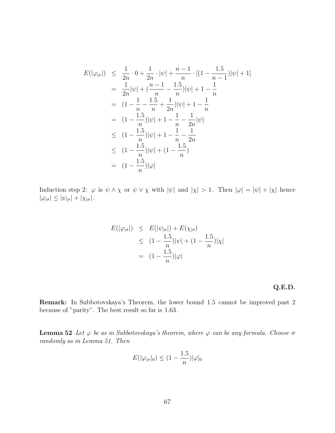$$
E(|\varphi_{|\sigma}|) \leq \frac{1}{2n} \cdot 0 + \frac{1}{2n} \cdot |\psi| + \frac{n-1}{n} \cdot [(1 - \frac{1.5}{n-1})|\psi| + 1]
$$
  
\n
$$
= \frac{1}{2n} |\psi| + (\frac{n-1}{n} - \frac{1.5}{n})|\psi| + 1 - \frac{1}{n}
$$
  
\n
$$
= (1 - \frac{1}{n} - \frac{1.5}{n} + \frac{1}{2n})|\psi| + 1 - \frac{1}{n}
$$
  
\n
$$
= (1 - \frac{1.5}{n})|\psi| + 1 - \frac{1}{n} - \frac{1}{2n}|\psi|
$$
  
\n
$$
\leq (1 - \frac{1.5}{n})|\psi| + 1 - \frac{1}{n} - \frac{1}{2n}
$$
  
\n
$$
\leq (1 - \frac{1.5}{n})|\psi| + (1 - \frac{1.5}{n})
$$
  
\n
$$
= (1 - \frac{1.5}{n})|\varphi|
$$

Induction step 2:  $\varphi$  is  $\psi \wedge \chi$  or  $\psi \vee \chi$  with  $|\psi|$  and  $|\chi| > 1$ . Then  $|\varphi| = |\psi| + |\chi|$  hence  $|\varphi_{|\sigma}| \leq |\psi_{|\sigma}| + |\chi_{|\sigma}|.$ 

$$
E(|\varphi_{|\sigma}|) \leq E(|\psi_{|\sigma}|) + E(\chi_{|\sigma})
$$
  
\n
$$
\leq (1 - \frac{1.5}{n})|\psi| + (1 - \frac{1.5}{n})|\chi|
$$
  
\n
$$
= (1 - \frac{1.5}{n})|\varphi|
$$

**Q.E.D.**

**Remark:** In Subbotovskaya's Theorem, the lower bound 1.5 cannot be improved past 2 because of "parity". The best result so far is 1.63.

**Lemma 52** Let  $\varphi$  be as in Subbotovskaya's theorem, where  $\varphi$  can be any formula. Choose  $\sigma$ randomly as in Lemma 51. Then

$$
E(|\varphi_{|\sigma}|_0) \le (1 - \frac{1.5}{n})|\varphi|_0
$$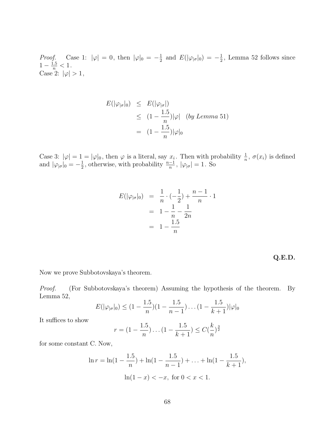*Proof.* Case 1:  $|\varphi| = 0$ , then  $|\varphi|_0 = -\frac{1}{2}$  and  $E(|\varphi_{|\sigma}|_0) = -\frac{1}{2}$ , Lemma 52 follows since  $1 - \frac{1.5}{n} < 1$ . Case 2:  $|\varphi| > 1$ ,

$$
E(|\varphi_{|\sigma}|_0) \leq E(|\varphi_{|\sigma}|)
$$
  
\n
$$
\leq (1 - \frac{1.5}{n})|\varphi| \quad (by Lemma 51)
$$
  
\n
$$
= (1 - \frac{1.5}{n})|\varphi|_0
$$

Case 3:  $|\varphi| = 1 = |\varphi|_0$ , then  $\varphi$  is a literal, say  $x_i$ . Then with probability  $\frac{1}{n}$ ,  $\sigma(x_i)$  is defined and  $|\varphi_{|\sigma}|_0 = -\frac{1}{2}$ , otherwise, with probability  $\frac{n-1}{n}$ ,  $|\varphi_{|\sigma}| = 1$ . So

$$
E(|\varphi_{|\sigma}|_0) = \frac{1}{n} \cdot \left(-\frac{1}{2}\right) + \frac{n-1}{n} \cdot 1
$$
  
=  $1 - \frac{1}{n} - \frac{1}{2n}$   
=  $1 - \frac{1.5}{n}$ 

**Q.E.D.**

Now we prove Subbotovskaya's theorem.

Proof. (For Subbotovskaya's theorem) Assuming the hypothesis of the theorem. By Lemma 52,

$$
E(|\varphi_{|\sigma}|_0) \leq (1 - \frac{1.5}{n})(1 - \frac{1.5}{n-1})\dots(1 - \frac{1.5}{k+1})|\varphi|_0
$$

It suffices to show

$$
r = (1 - \frac{1.5}{n}) \dots (1 - \frac{1.5}{k+1}) \le C(\frac{k}{n})^{\frac{3}{2}}
$$

for some constant C. Now,

$$
\ln r = \ln(1 - \frac{1.5}{n}) + \ln(1 - \frac{1.5}{n-1}) + \dots + \ln(1 - \frac{1.5}{k+1}),
$$

$$
\ln(1 - x) < -x, \text{ for } 0 < x < 1.
$$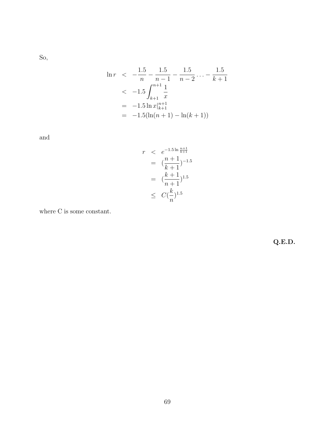So,

$$
\ln r < -\frac{1.5}{n} - \frac{1.5}{n-1} - \frac{1.5}{n-2} \dots - \frac{1.5}{k+1}
$$
\n
$$
\leq -1.5 \int_{k+1}^{n+1} \frac{1}{x}
$$
\n
$$
= -1.5 \ln x \Big|_{k+1}^{n+1}
$$
\n
$$
= -1.5(\ln(n+1) - \ln(k+1))
$$

and

$$
r < e^{-1.5 \ln \frac{n+1}{k+1}} \\
= \left(\frac{n+1}{k+1}\right)^{-1.5} \\
= \left(\frac{k+1}{n+1}\right)^{1.5} \\
\leq C\left(\frac{k}{n}\right)^{1.5}
$$

where C is some constant.

**Q.E.D.**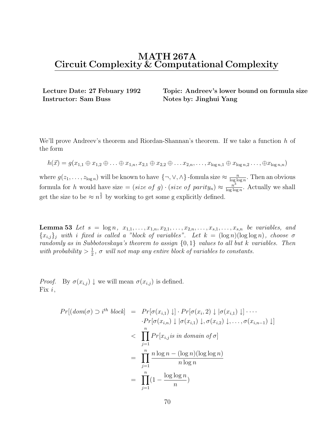**Instructor: Sam Buss Notes by: Jinghui Yang** 

**Lecture Date: 27 Febuary 1992 Topic: Andreev's lower bound on formula size**

We'll prove Andreev's theorem and Riordan-Shannan's theorem. If we take a function  $h$  of the form

$$
h(\vec{x}) = g(x_{1,1} \oplus x_{1,2} \oplus \ldots \oplus x_{1,n}, x_{2,1} \oplus x_{2,2} \oplus \ldots x_{2,n}, \ldots, x_{\log n,1} \oplus x_{\log n,2} \ldots, \oplus x_{\log n,n})
$$

where  $g(z_1,...,z_{\log n})$  will be known to have  $\{\neg, \vee, \wedge\}$ -fomula size  $\approx \frac{n}{\log \log n}$ . Then an obvious formula for h would have size  $=(size\ of\ g) \cdot (size\ of\ parity_n) \approx \frac{n^3}{\log \log n}$ . Actually we shall get the size to be  $\approx n^{\frac{3}{2}}$  by working to get some g explicitly defined.

**Lemma 53** Let  $s = \log n, x_{1,1},...,x_{1,n}, x_{2,1},...,x_{2,n},...,x_{s,1},...,x_{s,n}$  be variables, and  ${x_{i,j}}_j$  with i fixed is called a "block of variables". Let  $k = (\log n)(\log \log n)$ , choose  $\sigma$ randomly as in Subbotovskaya's theorem to assign  $\{0,1\}$  values to all but k variables. Then with probability  $> \frac{1}{2}$ ,  $\sigma$  will not map any entire block of variables to constants.

*Proof.* By  $\sigma(x_{i,j}) \downarrow$  we will mean  $\sigma(x_{i,j})$  is defined. Fix  $i$ ,

$$
Pr[(dom(\sigma) \supset i^{th} block] = Pr[\sigma(x_{i,1}) \downarrow] \cdot Pr[\sigma(x_{i,2}) \downarrow | \sigma(x_{i,1}) \downarrow] \cdots
$$

$$
\cdot Pr[\sigma(x_{i,n}) \downarrow | \sigma(x_{i,1}) \downarrow, \sigma(x_{i,2}) \downarrow, \dots, \sigma(x_{i,n-1}) \downarrow]
$$

$$
< \prod_{j=1}^{n} Pr[x_{i,j} \text{ is in domain of } \sigma]
$$

$$
= \prod_{j=1}^{n} \frac{n \log n - (\log n)(\log \log n)}{n \log n}
$$

$$
= \prod_{j=1}^{n} (1 - \frac{\log \log n}{n})
$$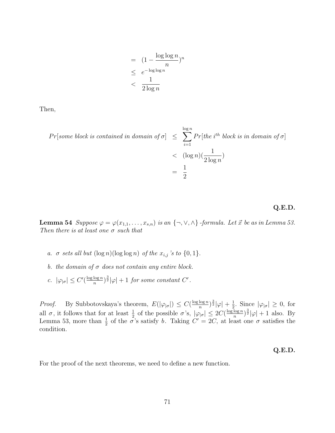$$
= (1 - \frac{\log \log n}{n})^n
$$
  
\n
$$
\leq e^{-\log \log n}
$$
  
\n
$$
< \frac{1}{2 \log n}
$$

Then,

$$
Pr[some block is contained in domain of \sigma] \le \sum_{i=1}^{\log n} Pr[the i^{th} block is in domain of \sigma]
$$
  

$$
< (\log n)(\frac{1}{2 \log n})
$$
  

$$
= \frac{1}{2}
$$

### **Q.E.D.**

**Lemma 54** Suppose  $\varphi = \varphi(x_{1,1}, \ldots, x_{s,n})$  is an  $\{\neg, \vee, \wedge\}$  -formula. Let  $\vec{x}$  be as in Lemma 53. Then there is at least one  $\sigma$  such that

- a.  $\sigma$  sets all but  $(\log n)(\log \log n)$  of the  $x_{i,j}$  's to  $\{0,1\}$ .
- b. the domain of  $\sigma$  does not contain any entire block.
- c.  $|\varphi_{|\sigma}| \leq C'(\frac{\log \log n}{n})^{\frac{3}{2}} |\varphi| + 1$  for some constant  $C'$ .

*Proof.* By Subbotovskaya's theorem,  $E(|\varphi_{|\sigma}|) \leq C(\frac{\log \log n}{n})^{\frac{3}{2}}|\varphi| + \frac{1}{2}$ . Since  $|\varphi_{|\sigma}| \geq 0$ , for all *σ*, it follows that for at least  $\frac{1}{2}$  of the possible *σ*'s,  $|\varphi_{|\sigma}| \leq 2C(\frac{\log \log n}{n})^{\frac{3}{2}}|\varphi| +$ Lemma 53, more than  $\frac{1}{2}$  of the  $\sigma$ 's satisfy b. Taking  $C' = 2C$ , at least one  $\sigma$  satisfies the condition condition.

### **Q.E.D.**

For the proof of the next theorems, we need to define a new function.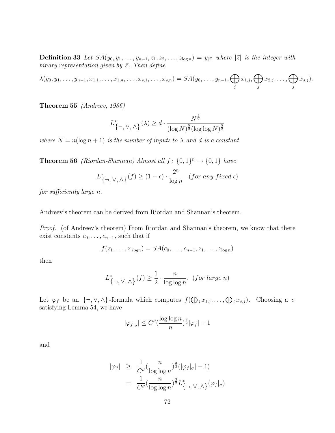**Definition 33** Let  $SA(y_0, y_1, \ldots, y_{n-1}, z_1, z_2, \ldots, z_{\log n}) = y_{|\vec{z}|}$  where  $|\vec{z}|$  is the integer with binary representation given by  $\vec{z}$ . Then define

 $\lambda(y_0, y_1, \ldots, y_{n-1}, x_{1,1}, \ldots, x_{1,n}, \ldots, x_{s,1}, \ldots, x_{s,n}) = SA(y_0, \ldots, y_{n-1}, \bigoplus$  $\bigoplus_j x_{1,j}, \bigoplus_j$  $\bigoplus_j x_{2,j}, \ldots, \bigoplus_j$  $x_{s,j}$ ).

**Theorem 55** (Andreev, 1986)

$$
L^*_{\{\neg,\vee,\wedge\}}(\lambda) \ge d \cdot \frac{N^{\frac{3}{2}}}{(\log N)^{\frac{5}{2}}(\log \log N)^{\frac{5}{2}}}
$$

where  $N = n(\log n + 1)$  is the number of inputs to  $\lambda$  and d is a constant.

**Theorem 56** (Riordan-Shannan) Almost all  $f: \{0, 1\}^n \rightarrow \{0, 1\}$  have

$$
L_{\{\neg,\ \vee,\ \wedge\}}^*(f) \geq (1-\epsilon)\cdot \frac{2^n}{\log n} \quad \text{\it (for any fixed $\epsilon$)}
$$

for sufficiently large n.

Andreev's theorem can be derived from Riordan and Shannan's theorem.

Proof. (of Andreev's theorem) From Riordan and Shannan's theorem, we know that there exist constants  $c_0, \ldots, c_{n-1}$ , such that if

$$
f(z_1,\ldots,z_{logn})=SA(c_0,\ldots,c_{n-1},z_1,\ldots,z_{logn})
$$

then

$$
L_{\{\neg, \vee, \wedge\}}^*(f) \ge \frac{1}{2} \cdot \frac{n}{\log \log n}.
$$
 (for large n)

Let  $\varphi_f$  be an  $\{\neg, \vee, \wedge\}$ -formula which computes  $f(\bigoplus_j x_{1,j}, \dots, \bigoplus_j x_{s,j})$ . Choosing a  $\sigma$ satisfying Lemma 54, we have

$$
|\varphi_{f|_{\sigma}}| \leq C''(\frac{\log\log n}{n})^{\frac{3}{2}}|\varphi_f| + 1
$$

and

$$
|\varphi_f| \geq \frac{1}{C''} \left( \frac{n}{\log \log n} \right)^{\frac{3}{2}} (|\varphi_f|_{\sigma}|-1)
$$
  
= 
$$
\frac{1}{C''} \left( \frac{n}{\log \log n} \right)^{\frac{3}{2}} L^*_{\{\neg, \vee, \wedge\}} (\varphi_f|_{\sigma})
$$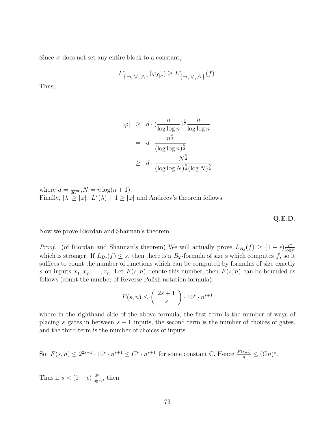Since  $\sigma$  does not set any entire block to a constant,

$$
L^*_{\{\neg, \vee, \wedge\}}(\varphi_{f_{|\sigma}}) \geq L^*_{\{\neg, \vee, \wedge\}}(f).
$$

Thus,

$$
|\varphi| \geq d \cdot \left(\frac{n}{\log \log n}\right)^{\frac{3}{2}} \frac{n}{\log \log n}
$$
  
= 
$$
d \cdot \frac{n^{\frac{5}{2}}}{(\log \log n)^{\frac{5}{2}}}
$$
  

$$
\geq d \cdot \frac{N^{\frac{5}{2}}}{(\log \log N)^{\frac{5}{2}} (\log N)^{\frac{5}{2}}}
$$

where  $d = \frac{1}{2C''}, N = n \log(n + 1)$ .<br>Finally,  $|\lambda| \ge |\varphi|$ ,  $L^*(\lambda) + 1 \ge |\varphi|$  and Andreev's theorem follows.

**Q.E.D.**

Now we prove Riordan and Shannan's theorem.

*Proof.* (of Riordan and Shannan's theorem) We will actually prove  $L_{B_2}(f) \geq (1 - \epsilon) \frac{2^n}{\log n}$ <br>which is stronger. If  $L_{\epsilon}(f) \leq e$ , then there is a B, formula of size s which computes f, so it which is stronger. If  $L_{B_2}(f) \leq s$ , then there is a  $B_2$ -formula of size s which computes f, so it suffices to count the number of functions which can be computed by formulas of size exactly s on inputs  $x_1, x_2, \ldots, x_n$ . Let  $F(s, n)$  denote this number, then  $F(s, n)$  can be bounded as follows (count the number of Reverse Polish notation formula):

$$
F(s, n) \leq {2s + 1 \choose s} \cdot 10^s \cdot n^{s+1}
$$

where in the righthand side of the above formula, the first term is the number of ways of placing s gates in between  $s + 1$  inputs, the second term is the number of choices of gates, and the third term is the number of choices of inputs.

So, 
$$
F(s, n) \le 2^{2s+1} \cdot 10^s \cdot n^{s+1} \le C^s \cdot n^{s+1}
$$
 for some constant C. Hence  $\frac{F(s,n)}{n} \le (Cn)^s$ .

Thus if  $s < (1 - \epsilon) \frac{2^n}{\log n}$ , then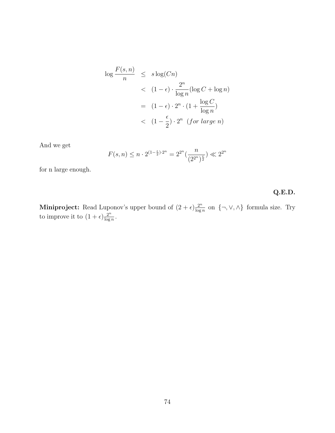$$
\log \frac{F(s, n)}{n} \leq s \log(Cn)
$$
  

$$
< (1 - \epsilon) \cdot \frac{2^n}{\log n} (\log C + \log n)
$$
  

$$
= (1 - \epsilon) \cdot 2^n \cdot (1 + \frac{\log C}{\log n})
$$
  

$$
< (1 - \frac{\epsilon}{2}) \cdot 2^n \quad (\text{for large } n)
$$

And we get

$$
F(s, n) \le n \cdot 2^{(1 - \frac{\epsilon}{2}) \cdot 2^n} = 2^{2^n} \left(\frac{n}{(2^{2^n})^{\frac{\epsilon}{2}}}\right) \ll 2^{2^n}
$$

for n large enough.

# **Q.E.D.**

**Miniproject:** Read Luponov's upper bound of  $(2 + \epsilon) \frac{2^n}{\log n}$  on  $\{\neg, \vee, \wedge\}$  formula size. Try to improve it to  $(1 + \epsilon) \frac{2^n}{\log n}$ .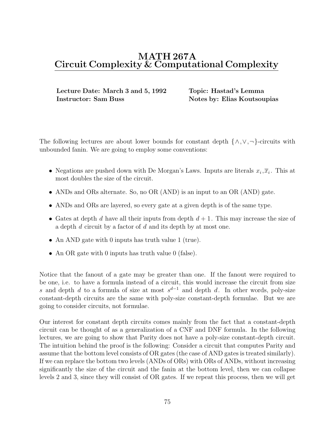# **MATH 267A Circuit Complexity & Computational Complexity**

**Lecture Date: March 3 and 5, 1992 Topic: Hastad's Lemma Instructor: Sam Buss Notes by: Elias Koutsoupias** 

The following lectures are about lower bounds for constant depth  $\{\wedge, \vee, \neg\}$ -circuits with unbounded fanin. We are going to employ some conventions:

- Negations are pushed down with De Morgan's Laws. Inputs are literals  $x_i, \overline{x}_i$ . This at most doubles the size of the circuit.
- ANDs and ORs alternate. So, no OR (AND) is an input to an OR (AND) gate.
- ANDs and ORs are layered, so every gate at a given depth is of the same type.
- Gates at depth d have all their inputs from depth  $d+1$ . This may increase the size of a depth d circuit by a factor of d and its depth by at most one.
- An AND gate with 0 inputs has truth value 1 (true).
- An OR gate with 0 inputs has truth value 0 (false).

Notice that the fanout of a gate may be greater than one. If the fanout were required to be one, i.e. to have a formula instead of a circuit, this would increase the circuit from size s and depth d to a formula of size at most  $s^{d-1}$  and depth d. In other words, poly-size constant-depth circuits are the same with poly-size constant-depth formulae. But we are going to consider circuits, not formulae.

Our interest for constant depth circuits comes mainly from the fact that a constant-depth circuit can be thought of as a generalization of a CNF and DNF formula. In the following lectures, we are going to show that Parity does not have a poly-size constant-depth circuit. The intuition behind the proof is the following: Consider a circuit that computes Parity and assume that the bottom level consists of OR gates (the case of AND gates is treated similarly). If we can replace the bottom two levels (ANDs of ORs) with ORs of ANDs, without increasing significantly the size of the circuit and the fanin at the bottom level, then we can collapse levels 2 and 3, since they will consist of OR gates. If we repeat this process, then we will get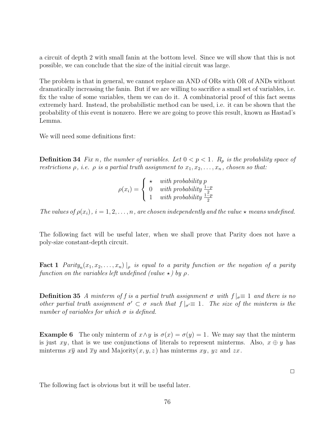a circuit of depth 2 with small fanin at the bottom level. Since we will show that this is not possible, we can conclude that the size of the initial circuit was large.

The problem is that in general, we cannot replace an AND of ORs with OR of ANDs without dramatically increasing the fanin. But if we are willing to sacrifice a small set of variables, i.e. fix the value of some variables, them we can do it. A combinatorial proof of this fact seems extremely hard. Instead, the probabilistic method can be used, i.e. it can be shown that the probability of this event is nonzero. Here we are going to prove this result, known as Hastad's Lemma.

We will need some definitions first:

**Definition 34** Fix n, the number of variables. Let  $0 < p < 1$ . R<sub>p</sub> is the probability space of restrictions  $\rho$ , i.e.  $\rho$  is a partial truth assignment to  $x_1, x_2, \ldots, x_n$ , chosen so that:

|                       |                  | with probability $p$             |
|-----------------------|------------------|----------------------------------|
| $\rho(x_i) = \langle$ | $\left( \right)$ | with probability $\frac{1-p}{2}$ |
|                       |                  | with probability $\frac{1-p}{2}$ |

The values of  $\rho(x_i)$ ,  $i = 1, 2, \ldots, n$ , are chosen independently and the value  $\star$  means undefined.

The following fact will be useful later, when we shall prove that Parity does not have a poly-size constant-depth circuit.

**Fact 1**  $Parity_n(x_1, x_2,...,x_n)$  |<sub>p</sub> is equal to a parity function or the negation of a parity function on the variables left undefined (value  $\star$ ) by  $\rho$ .

**Definition 35** A minterm of f is a partial truth assignment  $\sigma$  with  $f|_{\sigma} \equiv 1$  and there is no other partial truth assignment  $\sigma' \subset \sigma$  such that  $f|_{\sigma} \equiv 1$ . The size of the minterm is the number of variables for which  $\sigma$  is defined.

**Example 6** The only minterm of  $x \wedge y$  is  $\sigma(x) = \sigma(y) = 1$ . We may say that the minterm is just xy, that is we use conjunctions of literals to represent minterms. Also,  $x \oplus y$  has minterms  $x\overline{y}$  and  $\overline{x}y$  and Majority $(x, y, z)$  has minterms  $xy$ ,  $yz$  and  $zx$ .

 $\Box$ 

The following fact is obvious but it will be useful later.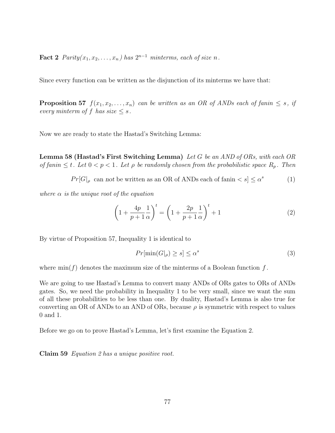**Fact 2**  $Parity(x_1, x_2, \ldots, x_n)$  has  $2^{n-1}$  minterms, each of size n.

Since every function can be written as the disjunction of its minterms we have that:

**Proposition 57**  $f(x_1, x_2, \ldots, x_n)$  can be written as an OR of ANDs each of fanin  $\leq s$ , if every minterm of f has size  $\leq s$ .

Now we are ready to state the Hastad's Switching Lemma:

**Lemma 58 (Hastad's First Switching Lemma)** Let G be an AND of ORs, with each OR of fanin  $\leq t$ . Let  $0 < p < 1$ . Let  $\rho$  be randomly chosen from the probabilistic space  $R_p$ . Then

$$
Pr[G]_{\rho} \text{ can not be written as an OR of ANDs each of } \{ \text{f} \text{anin} < s \} \leq \alpha^s \tag{1}
$$

where  $\alpha$  is the unique root of the equation

$$
\left(1 + \frac{4p}{p+1} \frac{1}{\alpha}\right)^t = \left(1 + \frac{2p}{p+1} \frac{1}{\alpha}\right)^t + 1\tag{2}
$$

By virtue of Proposition 57, Inequality 1 is identical to

$$
Pr[\min(G|_{\rho}) \ge s] \le \alpha^s \tag{3}
$$

where  $\min(f)$  denotes the maximum size of the minterms of a Boolean function f.

We are going to use Hastad's Lemma to convert many ANDs of ORs gates to ORs of ANDs gates. So, we need the probability in Inequality 1 to be very small, since we want the sum of all these probabilities to be less than one. By duality, Hastad's Lemma is also true for converting an OR of ANDs to an AND of ORs, because  $\rho$  is symmetric with respect to values 0 and 1.

Before we go on to prove Hastad's Lemma, let's first examine the Equation 2.

**Claim 59** Equation 2 has a unique positive root.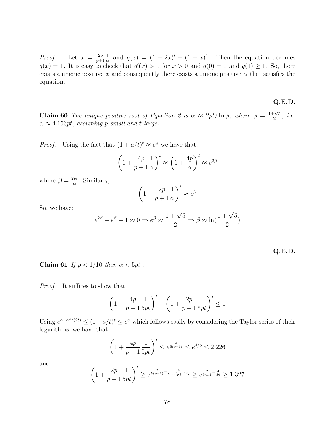*Proof.* Let  $x = \frac{2p}{n+1}$  $\frac{2p}{p+1} \frac{1}{\alpha}$  and  $q(x) = (1+2x)^t - (1+x)^t$ . Then the equation becomes  $q(x) = 1$ . It is easy to check that  $q'(x) > 0$  for  $x > 0$  and  $q(0) = 0$  and  $q(1) \ge 1$ . So, there exists a unique positive x and consequently there exists a unique positive  $\alpha$  that satisfies the equation.

**Claim 60** The unique positive root of Equation 2 is  $\alpha \approx 2pt/\ln \phi$ , where  $\phi = \frac{1+\sqrt{5}}{2}$  $\frac{1}{2}$ , *i.e.*  $\alpha \approx 4.156pt$ , assuming p small and t large.

*Proof.* Using the fact that  $(1 + a/t)^t \approx e^a$  we have that:

$$
\left(1 + \frac{4p}{p+1} \frac{1}{\alpha}\right)^t \approx \left(1 + \frac{4p}{\alpha}\right)^t \approx e^{2\beta}
$$

where  $\beta = \frac{2pt}{\alpha}$ . Similarly,

$$
\left(1 + \frac{2p}{p+1} \frac{1}{\alpha}\right)^t \approx e^{\beta}
$$

So, we have:

$$
e^{2\beta} - e^{\beta} - 1 \approx 0 \Rightarrow e^{\beta} \approx \frac{1 + \sqrt{5}}{2} \Rightarrow \beta \approx \ln(\frac{1 + \sqrt{5}}{2})
$$

|  | г.<br>٠ |  |
|--|---------|--|
|--|---------|--|

**Q.E.D.**

**Claim 61** If  $p < 1/10$  then  $\alpha < 5pt$ .

Proof. It suffices to show that

$$
\left(1+\frac{4p}{p+1}\frac{1}{5pt}\right)^t - \left(1+\frac{2p}{p+1}\frac{1}{5pt}\right)^t \le 1
$$

Using  $e^{a-a^2/(2t)} \leq (1+a/t)^t \leq e^a$  which follows easily by considering the Taylor series of their logarithms, we have that:

$$
\left(1 + \frac{4p}{p+1} \frac{1}{5pt}\right)^t \le e^{\frac{4}{5(p+1)}} \le e^{4/5} \le 2.226
$$

and

$$
\left(1 + \frac{2p}{p+1} \frac{1}{5pt}\right)^t \ge e^{\frac{2}{5(p+1)} - \frac{4}{2 \cdot 25(p+1)^2 t}} \ge e^{\frac{2}{5 \cdot 1.1} - \frac{4}{50}} \ge 1.327
$$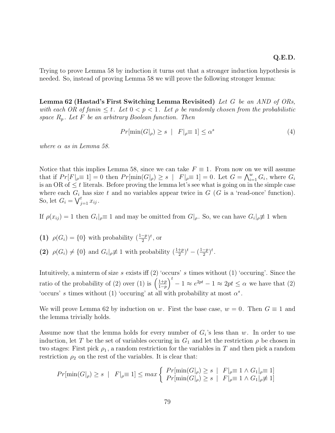Trying to prove Lemma 58 by induction it turns out that a stronger induction hypothesis is needed. So, instead of proving Lemma 58 we will prove the following stronger lemma:

**Lemma 62 (Hastad's First Switching Lemma Revisited)** Let G be an AND of ORs, with each OR of fanin  $\leq t$ . Let  $0 < p < 1$ . Let  $\rho$  be randomly chosen from the probabilistic space  $R_p$ . Let F be an arbitrary Boolean function. Then

$$
Pr[\min(G|_{\rho}) \ge s \mid F|_{\rho} \equiv 1] \le \alpha^s \tag{4}
$$

where  $\alpha$  as in Lemma 58.

Notice that this implies Lemma 58, since we can take  $F \equiv 1$ . From now on we will assume that if  $Pr[F |_{\rho} \equiv 1] = 0$  then  $Pr[\min(G |_{\rho}) \ge s | F |_{\rho} \equiv 1] = 0$ . Let  $G = \bigwedge_{i=1}^{w} G_i$ , where  $G_i$ <br>is an OB of  $\le t$  literals. Before proving the lemma let's see what is going on in the simple case is an OR of  $\leq t$  literals. Before proving the lemma let's see what is going on in the simple case where each  $G_i$  has size t and no variables appear twice in  $G$  (G is a 'read-once' function). So, let  $G_i = \bigvee_{j=1}^t x_{ij}$ .

If  $\rho(x_{ij}) = 1$  then  $G_i|_{\rho} \equiv 1$  and may be omitted from  $G|_{\rho}$ . So, we can have  $G_i|_{\rho} \not\equiv 1$  when

- **(1)**  $\rho(G_i) = \{0\}$  with probability  $\left(\frac{1-p}{2}\right)^t$ , or
- (2)  $\rho(G_i) \neq \{0\}$  and  $G_i|_{\rho} \neq 1$  with probability  $\left(\frac{1+p}{2}\right)^t \left(\frac{1-p}{2}\right)^t$ .

Intuitively, a minterm of size s exists iff  $(2)$  'occurs' s times without  $(1)$  'occuring'. Since the ratio of the probability of (2) over (1) is  $\left(\frac{1+p}{1-p}\right)$  $\frac{1-p}{11}$  $\int_{0}^{t} -1 \approx e^{2pt} - 1 \approx 2pt \leq \alpha$  we have that (2) 'occurs' s times without (1) 'occuring' at all with probability at most  $\alpha^s$ .

We will prove Lemma 62 by induction on w. First the base case,  $w = 0$ . Then  $G \equiv 1$  and the lemma trivially holds.

Assume now that the lemma holds for every number of  $G_i$ 's less than w. In order to use induction, let T be the set of variables occuring in  $G_1$  and let the restriction  $\rho$  be chosen in two stages: First pick  $\rho_1$ , a random restriction for the variables in T and then pick a random restriction  $\rho_2$  on the rest of the variables. It is clear that:

$$
Pr[\min(G|_{\rho}) \ge s \mid F|_{\rho} \equiv 1] \le max \left\{ \begin{array}{ll} Pr[\min(G|_{\rho}) \ge s \mid F|_{\rho} \equiv 1 \land G_1|_{\rho} \equiv 1] \\ Pr[\min(G|_{\rho}) \ge s \mid F|_{\rho} \equiv 1 \land G_1|_{\rho} \not\equiv 1] \end{array} \right.
$$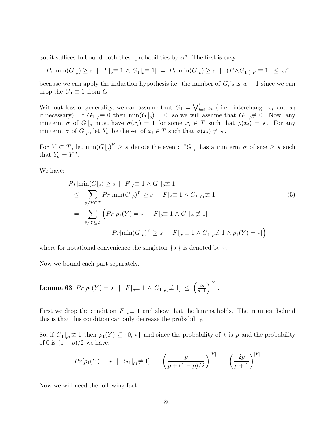So, it suffices to bound both these probabilities by  $\alpha^s$ . The first is easy:

$$
Pr[\min(G|_{\rho}) \ge s \mid F|_{\rho} \equiv 1 \land G_1|_{\rho} \equiv 1] = Pr[\min(G|_{\rho}) \ge s \mid (F \land G_1|) \rho \equiv 1] \le \alpha^{s}
$$

because we can apply the induction hypothesis i.e. the number of  $G_i$ 's is  $w - 1$  since we can drop the  $G_1 \equiv 1$  from  $G$ .

Without loss of generality, we can assume that  $G_1 = \bigvee_{i=1}^t x_i$  (i.e. interchange  $x_i$  and  $\overline{x}_i$  if necessary) If  $C_i \rvert = 0$  then  $\min(C_i \rvert) = 0$  so we will assume that  $C_i \rvert \neq 0$ . Now any if necessary). If  $G_1|_{\rho} \equiv 0$  then  $\min(G|_{\rho}) = 0$ , so we will assume that  $G_1|_{\rho} \not\equiv 0$ . Now, any minterm  $\sigma$  of  $G|_{\rho}$  must have  $\sigma(x_i) = 1$  for some  $x_i \in T$  such that  $\rho(x_i) = \star$ . For any minterm  $\sigma$  of  $G|_{\rho}$ , let  $Y_{\sigma}$  be the set of  $x_i \in T$  such that  $\sigma(x_i) \neq \star$ .

For  $Y \subset T$ , let  $\min(G|_{\rho})^Y \geq s$  denote the event: " $G|_{\rho}$  has a minterm  $\sigma$  of size  $\geq s$  such that  $Y_{\sigma} = Y$ ".

We have:

$$
Pr[\min(G|_{\rho}) \ge s \mid F|_{\rho} \equiv 1 \land G_1|_{\rho} \neq 1]
$$
  
\n
$$
\le \sum_{\emptyset \ne Y \subseteq T} Pr[\min(G|_{\rho})^Y \ge s \mid F|_{\rho} \equiv 1 \land G_1|_{\rho_1} \neq 1]
$$
  
\n
$$
= \sum_{\emptyset \ne Y \subseteq T} \left( Pr[\rho_1(Y) = \star \mid F|_{\rho} \equiv 1 \land G_1|_{\rho_1} \neq 1] \cdot
$$
  
\n
$$
\cdot Pr[\min(G|_{\rho})^Y \ge s \mid F|_{\rho_1} \equiv 1 \land G_1|_{\rho} \neq 1 \land \rho_1(Y) = \star] \right)
$$
\n(5)

where for notational convenience the singleton  $\{\star\}$  is denoted by  $\star$ .

Now we bound each part separately.

**Lemma 63** 
$$
Pr[\rho_1(Y) = \star \mid F]_{\rho} \equiv 1 \wedge G_1|_{\rho_1} \neq 1] \leq \left(\frac{2p}{p+1}\right)^{|Y|}.
$$

First we drop the condition  $F|_{\rho} \equiv 1$  and show that the lemma holds. The intuition behind this is that this condition can only decrease the probability.

So, if  $G_1|_{\rho_1} \neq 1$  then  $\rho_1(Y) \subseteq \{0, \star\}$  and since the probability of  $\star$  is p and the probability of 0 is  $(1-p)/2$  we have:

$$
Pr[\rho_1(Y) = \star \mid G_1 |_{\rho_1} \neq 1] = \left(\frac{p}{p + (1 - p)/2}\right)^{|Y|} = \left(\frac{2p}{p + 1}\right)^{|Y|}
$$

Now we will need the following fact: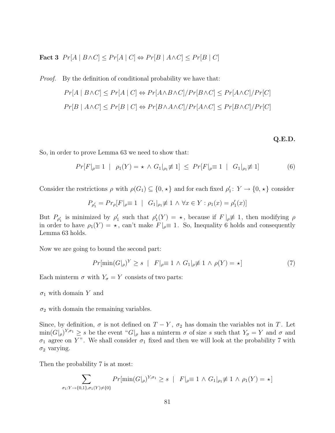Fact 3  $Pr[A \mid B \land C] \leq Pr[A \mid C] \Leftrightarrow Pr[B \mid A \land C] \leq Pr[B \mid C]$ 

Proof. By the definition of conditional probability we have that:  $Pr[A \mid B \land C] \leq Pr[A \mid C] \Leftrightarrow Pr[A \land B \land C] / Pr[B \land C] \leq Pr[A \land C] / Pr[C]$  $Pr[B \mid A \wedge C] \leq Pr[B \mid C] \Leftrightarrow Pr[B \wedge A \wedge C] / Pr[A \wedge C] \leq Pr[B \wedge C] / Pr[C]$ 

#### **Q.E.D.**

So, in order to prove Lemma 63 we need to show that:

$$
Pr[F|_{\rho} \equiv 1 \mid \rho_1(Y) = \star \wedge G_1|_{\rho_1} \not\equiv 1] \leq Pr[F|_{\rho} \equiv 1 \mid G_1|_{\rho_1} \not\equiv 1]
$$
 (6)

Consider the restrictions  $\rho$  with  $\rho(G_1) \subseteq \{0, \star\}$  and for each fixed  $\rho'_1 \colon Y \to \{0, \star\}$  consider

$$
P_{\rho'_1} = Pr_{\rho}[F|_{\rho} \equiv 1 \mid G_1|_{\rho_1} \not\equiv 1 \land \forall x \in Y : \rho_1(x) = \rho'_1(x)]
$$

But  $P_{\rho_1}$  is minimized by  $\rho_1'$  such that  $\rho_1'(Y) = \star$ , because if  $F|_{\rho} \neq 1$ , then modifying  $\rho$  is order to have  $\rho(X) = \star$  can't make  $F|_{\rho} = 1$ . So Inequality 6 holds and consequently in order to have  $\rho_1(Y) = \star$ , can't make  $F|_{\rho} \equiv 1$ . So, Inequality 6 holds and consequently Lemma 63 holds.

Now we are going to bound the second part:

$$
Pr[\min(G|_{\rho})^Y \ge s \mid F|_{\rho} \equiv 1 \land G_1|_{\rho} \neq 1 \land \rho(Y) = \star]
$$
\n<sup>(7)</sup>

Each minterm  $\sigma$  with  $Y_{\sigma} = Y$  consists of two parts:

 $\sigma_1$  with domain Y and

 $\sigma_2$  with domain the remaining variables.

Since, by definition,  $\sigma$  is not defined on  $T - Y$ ,  $\sigma_2$  has domain the variables not in T. Let  $\min(G|_{\rho})^{Y,\sigma_1} \geq s$  be the event " $G|_{\rho}$  has a minterm  $\sigma$  of size s such that  $Y_{\sigma} = Y$  and  $\sigma$  and  $\sigma_1$  agree on Y". We shall consider  $\sigma_1$  fixed and then we will look at the probability 7 with  $\sigma_2$  varying.

Then the probability 7 is at most:

$$
\sum_{\sigma_1: Y \to \{0,1\}, \sigma_1(Y) \neq \{0\}} Pr[\min(G|_{\rho})^{Y, \sigma_1} \ge s \mid F|_{\rho} \equiv 1 \land G_1|_{\rho_1} \not\equiv 1 \land \rho_1(Y) = \star]
$$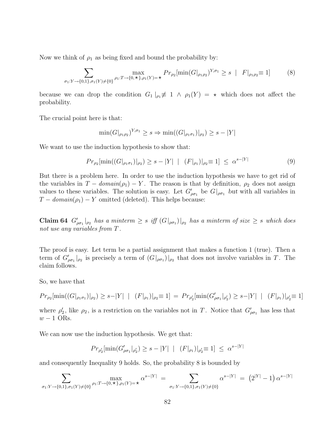Now we think of  $\rho_1$  as being fixed and bound the probability by:

$$
\sum_{\sigma_1:Y \to \{0,1\},\sigma_1(Y)\neq\{0\}} \max_{\rho_1: T \to \{0,\star\},\rho_1(Y)=\star} Pr_{\rho_2}[\min(G|_{\rho_1\rho_2})^{Y,\sigma_1} \ge s \mid F|_{\rho_1\rho_2} \equiv 1]
$$
(8)

because we can drop the condition  $G_1 |_{\rho_1} \neq 1 \wedge \rho_1(Y) = \star$  which does not affect the probability.

The crucial point here is that:

$$
\min(G|_{\rho_1\rho_2})^{Y,\sigma_1} \ge s \Rightarrow \min((G|_{\rho_1\sigma_1})|_{\rho_2}) \ge s - |Y|
$$

We want to use the induction hypothesis to show that:

$$
Pr_{\rho_2}[\min((G|_{\rho_1\sigma_1})|_{\rho_2}) \ge s - |Y| \mid (F|_{\rho_1})|_{\rho_2} \equiv 1] \le \alpha^{s - |Y|} \tag{9}
$$

But there is a problem here. In order to use the induction hypothesis we have to get rid of the variables in  $T - domain(\rho_1) - Y$ . The reason is that by definition,  $\rho_2$  does not assign values to these variables. The solution is easy. Let  $G'_{\rho\sigma_1}$  be  $G|_{\rho\sigma_1}$  *but* with all variables in  $T_{\rho\sigma_1}$  density (a) W emitted (delated). This halve because.  $T - domain(\rho_1) - Y$  omitted (deleted). This helps because:

**Claim 64**  $G'_{\rho\sigma_1}|_{\rho_2}$  has a minterm  $\geq s$  iff  $(G|_{\rho\sigma_1})|_{\rho_2}$  has a minterm of size  $\geq s$  which does not use any variables from  $T$ .

The proof is easy. Let term be a partial assignment that makes a function 1 (true). Then a term of  $G'_{\rho\sigma_1}|_{\rho_2}$  is precisely a term of  $(G|_{\rho\sigma_1})|_{\rho_2}$  that does not involve variables in T. The claim follows.

So, we have that

$$
Pr_{\rho_2}[\min((G|_{\rho_1\sigma_1})|_{\rho_2}) \ge s - |Y| \mid (F|_{\rho_1})|_{\rho_2} \equiv 1] = Pr_{\rho_2'}[\min(G_{\rho\sigma_1}'|_{\rho_2}') \ge s - |Y| \mid (F|_{\rho_1})|_{\rho_2'} \equiv 1]
$$

where  $\rho'_2$ , like  $\rho_2$ , is a restriction on the variables not in T. Notice that  $G'_{\rho\sigma_1}$  has less that  $w - 1$  ORs.

We can now use the induction hypothesis. We get that:

$$
Pr_{\rho_2'}[\min(G_{\rho\sigma_1}'|_{\rho_2'}) \ge s - |Y| \mid (F|_{\rho_1})|_{\rho_2'} \equiv 1] \le \alpha^{s - |Y|}
$$

and consequently Inequality 9 holds. So, the probability 8 is bounded by

$$
\sum_{\sigma_1:Y \to \{0,1\},\sigma_1(Y)\neq \{0\}} \max_{\rho_1: T \to \{0,\star\},\rho_1(Y)=\star} \alpha^{s-|Y|} = \sum_{\sigma_1:Y \to \{0,1\},\sigma_1(Y)\neq \{0\}} \alpha^{s-|Y|} = (2^{|Y|} - 1) \alpha^{s-|Y|}
$$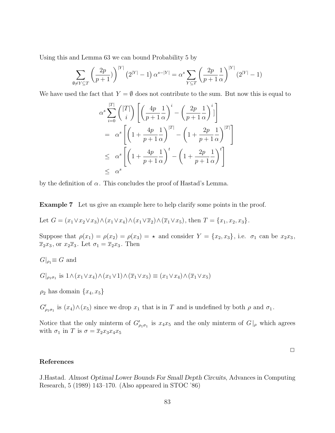Using this and Lemma 63 we can bound Probability 5 by

$$
\sum_{\emptyset \neq Y \subseteq T} \left( \frac{2p}{p+1} \right)^{|Y|} (2^{|Y|} - 1) \alpha^{s - |Y|} = \alpha^s \sum_{Y \subseteq T} \left( \frac{2p}{p+1} \frac{1}{\alpha} \right)^{|Y|} (2^{|Y|} - 1)
$$

We have used the fact that  $Y = \emptyset$  does not contribute to the sum. But now this is equal to

$$
\alpha^s \sum_{i=0}^{|T|} {\binom{|T|}{i}} \left[ \left( \frac{4p}{p+1} \frac{1}{\alpha} \right)^i - \left( \frac{2p}{p+1} \frac{1}{\alpha} \right)^i \right]
$$
  
=  $\alpha^s \left[ \left( 1 + \frac{4p}{p+1} \frac{1}{\alpha} \right)^{|T|} - \left( 1 + \frac{2p}{p+1} \frac{1}{\alpha} \right)^{|T|} \right]$   
 $\leq \alpha^s \left[ \left( 1 + \frac{4p}{p+1} \frac{1}{\alpha} \right)^t - \left( 1 + \frac{2p}{p+1} \frac{1}{\alpha} \right)^t \right]$   
 $\leq \alpha^s$ 

by the definition of  $\alpha$ . This concludes the proof of Hastad's Lemma.

**Example 7** Let us give an example here to help clarify some points in the proof.

Let 
$$
G = (x_1 \vee x_2 \vee x_3) \wedge (x_1 \vee x_4) \wedge (x_1 \vee \overline{x}_2) \wedge (\overline{x}_1 \vee x_5)
$$
, then  $T = \{x_1, x_2, x_3\}$ .

Suppose that  $\rho(x_1) = \rho(x_2) = \rho(x_3) = \star$  and consider  $Y = \{x_2, x_3\}$ , i.e.  $\sigma_1$  can be  $x_2x_3$ ,  $\overline{x}_2x_3$ , or  $x_2\overline{x}_3$ . Let  $\sigma_1 = \overline{x}_2x_3$ . Then

 $G|_{\rho_1} \equiv G$  and

$$
G|_{\rho_1\sigma_1} \text{ is } 1 \wedge (x_1 \vee x_4) \wedge (x_1 \vee 1) \wedge (\overline{x}_1 \vee x_5) \equiv (x_1 \vee x_4) \wedge (\overline{x}_1 \vee x_5)
$$

 $\rho_2$  has domain  $\{x_4, x_5\}$ 

 $G'_{\rho_1\sigma_1}$  is  $(x_4)\wedge(x_5)$  since we drop  $x_1$  that is in T and is undefined by both  $\rho$  and  $\sigma_1$ .

Notice that the only minterm of  $G'_{\rho_1\sigma_1}$  is  $x_4x_5$  and the only minterm of  $G|_{\rho}$  which agrees with  $\sigma_1$  in T is  $\sigma = \overline{x}_2 x_3 x_4 x_5$ 

 $\Box$ 

### **References**

J.Hastad. *Almost Optimal Lower Bounds For Small Depth Circuits*, Advances in Computing Research, 5 (1989) 143–170. (Also appeared in STOC '86)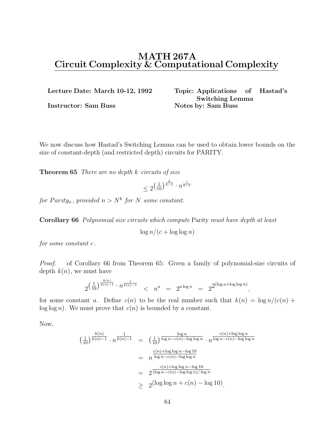# **MATH 267A Circuit Complexity & Computational Complexity**

**Lecture Date: March 10-12, 1992 Topic: Applications of Hastad's Switching Lemma Instructor: Sam Buss Notes by: Sam Buss** 

,

We now discuss how Hastad's Switching Lemma can be used to obtain lower bounds on the size of constant-depth (and restricted depth) circuits for PARITY.

**Theorem 65** There are no depth k circuits of size

$$
\leq 2^{\left(\frac{1}{10}\right)^{\frac{k}{k-1}}\cdot n^{\frac{1}{k-1}}}
$$

for Parity<sub>n</sub>, provided  $n>N^k$  for N some constant.

**Corollary 66** Polynomial size circuits which compute Parity must have depth at least

 $\log n/(c + \log \log n)$ 

for some constant c.

Proof. of Corollary 66 from Theorem 65: Given a family of polynomial-size circuits of depth  $k(n)$ , we must have

$$
2^{\left(\frac{1}{10}\right)^{\frac{k(n)}{k(n)-1}} \cdot n^{\frac{1}{k(n)-1}}} < n^a = 2^{a \log n} = 2^{2(\log a + \log \log n)}
$$

for some constant a. Define  $c(n)$  to be the real number such that  $k(n) = \log n/(c(n) +$  $log log n$ . We must prove that  $c(n)$  is bounded by a constant.

Now,

$$
\left(\frac{1}{10}\right)^{\frac{k(n)}{k(n)-1}} \cdot n^{\frac{1}{k(n)-1}} = \left(\frac{1}{10}\right)^{\frac{\log n}{\log n - c(n) - \log \log n}} \cdot n^{\frac{c(n) + \log \log n}{\log n - c(n) - \log \log n}}
$$

$$
= n^{\frac{c(n) + \log \log n - \log 10}{\log n - c(n) - \log \log n}}
$$

$$
= 2^{\frac{c(n) + \log \log n - \log 10}{(\log n - c(n) - \log \log n)/\log n}}
$$

$$
\geq 2^{\left(\log \log n + c(n) - \log 10\right)}.
$$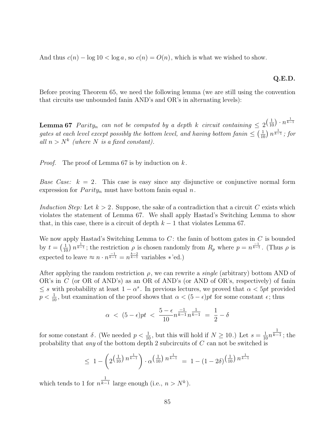And thus  $c(n) - \log 10 < \log a$ , so  $c(n) = O(n)$ , which is what we wished to show.

### **Q.E.D.**

Before proving Theorem 65, we need the following lemma (we are still using the convention that circuits use unbounded fanin AND's and OR's in alternating levels):

**Lemma 67** Parity<sub>n</sub> can not be computed by a depth k circuit containing  $\leq 2^{\left(\frac{1}{10}\right) \cdot n^{\frac{1}{k-1}}}$ gates at each level except possibly the bottom level, and having bottom fanin  $\leq (\frac{1}{10}) n^{\frac{1}{k-1}}$ ; for all  $n > N^k$  (where N is a fixed constant) all  $n>N^k$  (where N is a fixed constant).

*Proof.* The proof of Lemma 67 is by induction on  $k$ .

*Base Case:*  $k = 2$ . This case is easy since any disjunctive or conjunctive normal form expression for  $Parity_n$  must have bottom fanin equal n.

Induction Step: Let  $k > 2$ . Suppose, the sake of a contradiction that a circuit C exists which violates the statement of Lemma 67. We shall apply Hastad's Switching Lemma to show that, in this case, there is a circuit of depth  $k-1$  that violates Lemma 67.

We now apply Hastad's Switching Lemma to  $C$ : the fanin of bottom gates in  $C$  is bounded by  $t = \left(\frac{1}{10}\right)n^{\frac{1}{k-1}}$ ; the restriction  $\rho$  is chosen randomly from  $R_p$  where  $p = n^{\frac{-1}{k-1}}$ . (Thus  $\rho$  is expected to leave  $\approx n \cdot n^{\frac{-1}{k-1}} = n^{\frac{k-2}{k-1}}$  variables \*'ed.)

After applying the random restriction  $\rho$ , we can rewrite a *single* (arbitrary) bottom AND of OR's in C (or OR of AND's) as an OR of AND's (or AND of OR's, respectively) of fanin  $\leq s$  with probability at least  $1 - \alpha^s$ . In previous lectures, we proved that  $\alpha < 5pt$  provided  $p < \frac{1}{10}$ , but examination of the proof shows that  $\alpha < (5 - \epsilon)pt$  for some constant  $\epsilon$ ; thus

$$
\alpha \ < \ (5-\epsilon)pt \ < \ \frac{5-\epsilon}{10}n^{\frac{-1}{k-1}}n^{\frac{1}{k-1}} \ = \ \frac{1}{2}-\delta
$$

for some constant  $\delta$ . (We needed  $p < \frac{1}{10}$ , but this will hold if  $N \ge 10$ .) Let  $s = \frac{1}{10}n^{\overline{k-1}}$ ; the probability that *any* of the bottom denth 2 subcircuits of *C* can not be switched is probability that any of the bottom depth 2 subcircuits of C can not be switched is

$$
\leq 1 - \left(2^{\left(\frac{1}{10}\right)n^{\frac{1}{k-1}}}\right) \cdot \alpha^{\left(\frac{1}{10}\right)n^{\frac{1}{k-1}}} = 1 - \left(1 - 2\delta\right)^{\left(\frac{1}{10}\right)n^{\frac{1}{k-1}}}
$$

which tends to 1 for  $n^{\overline{k-1}}$  large enough (i.e.,  $n > N^k$ ).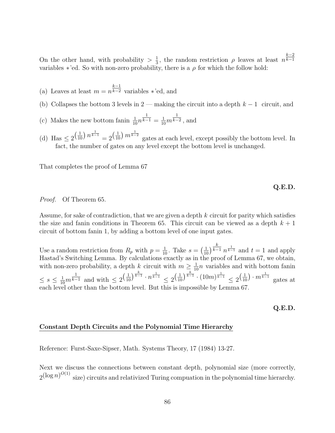On the other hand, with probability  $> \frac{1}{3}$ , the random restriction  $\rho$  leaves at least  $n^{k-2}$ <br>variables \*'ed. So with non-zero probability there is a c for which the follow hold.  $k-1$ variables \*'ed. So with non-zero probability, there is a  $\rho$  for which the follow hold:

- (a) Leaves at least  $m = n^{\frac{k-1}{k-2}}$  variables \*'ed, and
- (b) Collapses the bottom 3 levels in  $2$  making the circuit into a depth  $k-1$  circuit, and
- (c) Makes the new bottom fanin  $\frac{1}{10}n^{\overline{k-1}} = \frac{1}{10}m^{\overline{k-2}}$ , and
- (d) Has  $\leq 2^{\left(\frac{1}{10}\right)n^{\frac{1}{k-1}}}=2^{\left(\frac{1}{10}\right)m^{\frac{1}{k-2}}}$  gates at each level, except possibly the bottom level. In fact, the number of gates on any level except the bottom level is unchanged.

That completes the proof of Lemma 67

**Q.E.D.**

Proof. Of Theorem 65.

Assume, for sake of contradiction, that we are given a depth  $k$  circuit for parity which satisfies the size and fanin conditions in Theorem 65. This circuit can be viewed as a depth  $k + 1$ circuit of bottom fanin 1, by adding a bottom level of one input gates.

Use a random restriction from  $R_p$  with  $p = \frac{1}{10}$ . Take  $s = (\frac{1}{10})^{\frac{k}{k-1}}$ <br>Hastad's Switching Lemma, By calculations exactly as in the pro $k-1$   $n^{\frac{1}{k-1}}$  and  $t = 1$  and apply Hastad's Switching Lemma. By calculations exactly as in the proof of Lemma 67, we obtain, with non-zero probability, a depth k circuit with  $m \ge \frac{1}{10}n$  variables and with bottom fanin  $\leq s \leq \frac{1}{10}m^{\frac{1}{k-1}}$  and with  $\leq 2^{\left(\frac{1}{10}\right)^{\frac{k}{k-1}} \cdot n^{\frac{1}{k-1}}} \leq 2^{\left(\frac{1}{10}\right)^{\frac{k}{k-1}} \cdot (10m)^{\frac{1}{k-1}}} \leq 2^{\left(\frac{1}{10}\right) \cdot m^{\frac{1}{k-1}}}$  gates at each level other than the bottom level. But this is impossible by Lemma 67.

**Q.E.D.**

#### **Constant Depth Circuits and the Polynomial Time Hierarchy**

Reference: Furst-Saxe-Sipser, Math. Systems Theory, 17 (1984) 13-27.

Next we discuss the connections between constant depth, polynomial size (more correctly,  $2^{(\log n)^{O(1)}}$  size) circuits and relativized Turing compuation in the polynomial time hierarchy.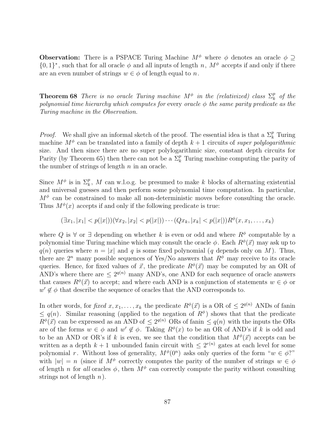**Observation:** There is a PSPACE Turing Machine  $M^{\phi}$  where  $\phi$  denotes an oracle  $\phi \supset$  $\{0,1\}^*$ , such that for all oracle  $\phi$  and all inputs of length n,  $M^{\phi}$  accepts if and only if there are an even number of strings  $w \in \phi$  of length equal to n.

**Theorem 68** There is no oracle Turing machine  $M^{\phi}$  in the (relativized) class  $\Sigma_k^p$  of the polynomial time hierarchy which computes for every oracle  $\phi$  the same parity predicate as the Turing machine in the Observation.

*Proof.* We shall give an informal sketch of the proof. The essential idea is that a  $\Sigma_k^p$  Turing machine  $M^{\phi}$  can be translated into a family of depth  $k+1$  circuits of super polylogarithmic size. And then since there are no super polylogarithmic size, constant depth circuits for Parity (by Theorem 65) then there can not be a  $\Sigma_k^p$  Turing machine computing the parity of the number of strings of length  $n$  in an oracle.

Since  $M^{\phi}$  is in  $\Sigma_k^p$ , M can w.l.o.g. be presumed to make k blocks of alternating existential and universal guesses and then perform some polynomial time computation. In particular,  $M^{\phi}$  can be constrained to make all non-deterministic moves before consulting the oracle. Thus  $M^{\phi}(x)$  accepts if and only if the following predicate is true:

$$
(\exists x_1, |x_1| < p(|x|))(\forall x_2, |x_2| < p(|x|)) \cdots (Qx_k, |x_k| < p(|x|)) R^{\phi}(x, x_1, \ldots, x_k)
$$

where Q is  $\forall$  or  $\exists$  depending on whether k is even or odd and where  $R^{\phi}$  computable by a polynomial time Turing machine which may consult the oracle  $\phi$ . Each  $R^{\phi}(\vec{x})$  may ask up to  $q(n)$  queries where  $n = |x|$  and q is some fixed polynomial (q depends only on M). Thus, there are  $2^n$  many possible sequences of Yes/No answers that  $R^{\phi}$  may receive to its oracle queries. Hence, for fixed values of  $\vec{x}$ , the predicate  $R^{\phi}(\vec{x})$  may be computed by an OR of AND's where there are  $\leq 2^{q(n)}$  many AND's, one AND for each sequence of oracle answers that causes  $R^{\phi}(\vec{x})$  to accept; and where each AND is a conjunction of statements  $w \in \phi$  or  $w' \notin \phi$  that describe the sequence of oracles that the AND corresponds to.

In other words, for fixed  $x, x_1, \ldots, x_k$  the predicate  $R^{\phi}(\vec{x})$  is a OR of  $\leq 2^{q(n)}$  ANDs of fanin  $\leq q(n)$ . Similar reasoning (applied to the negation of  $R^{\phi}$ ) shows that that the predicate  $R^{\phi}(\vec{x})$  can be expressed as an AND of  $\leq 2^{q(n)}$  ORs of fanin  $\leq q(n)$  with the inputs the ORs are of the forms  $w \in \phi$  and  $w' \notin \phi$ . Taking  $R^{\phi}(x)$  to be an OR of AND's if k is odd and to be an AND or OR's if k is even, we see that the condition that  $M^{\phi}(\vec{x})$  accepts can be written as a depth  $k + 1$  unbounded fanin circuit with  $\leq 2^{r(n)}$  gates at each level for some polynomial r. Without loss of generality,  $M^{\phi}(0^n)$  asks only queries of the form " $w \in \phi$ ?" with  $|w| = n$  (since if  $M^{\phi}$  correctly computes the parity of the number of strings  $w \in \phi$ of length n for all oracles  $\phi$ , then  $M^{\phi}$  can correctly compute the parity without consulting strings not of length  $n$ ).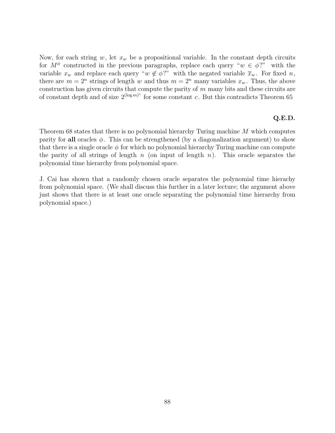Now, for each string w, let  $x_w$  be a propositional variable. In the constant depth circuits for  $M^{\phi}$  constructed in the previous paragraphs, replace each query " $w \in \phi$ ?" with the variable  $x_w$  and replace each query " $w \notin \phi$ ?" with the negated variable  $\overline{x}_w$ . For fixed n, there are  $m = 2^n$  strings of length w and thus  $m = 2^n$  many variables  $x_w$ . Thus, the above construction has given circuits that compute the parity of  $m$  many bits and these circuits are of constant depth and of size  $2^{(\log m)^c}$  for some constant c. But this contradicts Theorem 65

### **Q.E.D.**

Theorem 68 states that there is no polynomial hierarchy Turing machine M which computes parity for **all** oracles  $\phi$ . This can be strengthened (by a diagonalization argument) to show that there is a single oracle  $\phi$  for which no polynomial hierarchy Turing machine can compute the parity of all strings of length  $n$  (on input of length  $n$ ). This oracle separates the polynomial time hierarchy from polynomial space.

J. Cai has shown that a randomly chosen oracle separates the polynomial time hierachy from polynomial space. (We shall discuss this further in a later lecture; the argument above just shows that there is at least one oracle separating the polynomial time hierarchy from polynomial space.)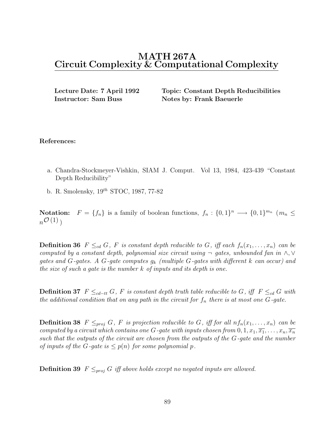# **MATH 267A Circuit Complexity & Computational Complexity**

**Instructor: Sam Buss Notes by: Frank Baeuerle** 

**Lecture Date: 7 April 1992 Topic: Constant Depth Reducibilities**

### **References:**

- a. Chandra-Stockmeyer-Vishkin, SIAM J. Comput. Vol 13, 1984, 423-439 "Constant Depth Reducibility"
- b. R. Smolensky,  $19^{th}$  STOC, 1987, 77-82

**Notation:**  $F = \{f_n\}$  is a family of boolean functions,  $f_n : \{0,1\}^n \longrightarrow \{0,1\}^{m_n}$  ( $m_n \leq$  $n^{\mathcal{O}(1)}$ 

**Definition 36**  $F \leq_{cd} G$ , F is constant depth reducible to G, iff each  $f_n(x_1,...,x_n)$  can be computed by a constant depth, polynomial size circuit using  $\neg$  gates, unbounded fan in ∧, ∨ gates and G-gates. A G-gate computes  $g_k$  (multiple G-gates with different k can occur) and the size of such a gate is the number k of inputs and its depth is one.

**Definition 37**  $F \leq_{cd-tt} G$ , F is constant depth truth table reducible to G, iff  $F \leq_{cd} G$  with the additional condition that on any path in the circuit for  $f_n$  there is at most one  $G$ -gate.

**Definition 38**  $F \leq_{proj} G$ , F is projection reducible to G, iff for all  $nf_n(x_1,...,x_n)$  can be computed by a circuit which contains one G-gate with inputs chosen from  $0, 1, x_1, \overline{x_1}, \ldots, x_n, \overline{x_n}$ such that the outputs of the circuit are chosen from the outputs of the G-gate and the number of inputs of the G-qate is  $\leq p(n)$  for some polynomial p.

**Definition 39**  $F \leq_{proj} G$  iff above holds except no negated inputs are allowed.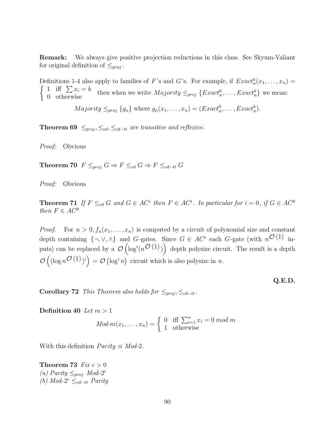**Remark:** We always give positive projection reductions in this class. See Skyum-Valiant for original definition of  $\leq_{proj}$ .

Definitions 1-4 also apply to families of F's and G's. For example, if  $Exact_n^k(x_1,...,x_n) =$  $\begin{cases} 1 & \text{iff } \sum x_i = k \\ 0 & \text{otherwise} \end{cases}$  then when we write  $Majority \leq_{proj} \{Exact_n^0, \ldots, Exact_n^k\}$  we mean:

 $Majority \leq_{proj} \{g_n\}$  where  $g_n(x_1,...,x_n) = (Exact_n^0,...,Exact_n^k).$ 

**Theorem 69**  $\leq_{proj}, \leq_{cd}, \leq_{cd-tt}$  are transitive and reflexive.

Proof: Obvious

**Theorem 70**  $F \leq_{proj} G \Rightarrow F \leq_{cd} G \Rightarrow F \leq_{cd-tt} G$ 

Proof: Obvious

**Theorem 71** If  $F \leq_{cd} G$  and  $G \in AC^i$  then  $F \in AC^i$ . In particular for  $i = 0$ , if  $G \in AC^0$ then  $F \in AC^0$ 

*Proof.* For  $n > 0, f_n(x_1,...,x_n)$  is computed by a circuit of polynomial size and constant depth containing  $\{\neg, \vee, \wedge\}$  and G-gates. Since  $G \in AC^i$  each G-gate (with  $n^{\mathcal{O}(1)}$  inputs) can be replaced by a  $\mathcal{O}(\log^i(n^{\mathcal{O}(1)}))$  depth polysize circuit. The result is a depth  $\mathcal{O}\left((\log n^{\mathcal{O}}(1))^i\right) = \mathcal{O}\left(\log^i n\right)$  circuit which is also polysize in n.

**Q.E.D.**

**Corollary 72** This Theorem also holds for  $\leq_{proj}$ ,  $\leq_{cd-tt}$ .

**Definition 40** Let  $m > 1$ 

$$
Mod-m(x_1, ..., x_n) = \begin{cases} 0 & \text{iff } \sum_{i=1}^n x_i = 0 \mod m \\ 1 & \text{otherwise} \end{cases}
$$

With this definition  $Parity \equiv Mod-2$ .

# **Theorem 73** Fix  $c > 0$

(a) Parity  $\leq_{proj} Mod-2^c$ (b) Mod- $2^c \leq_{cd-tt}$  Parity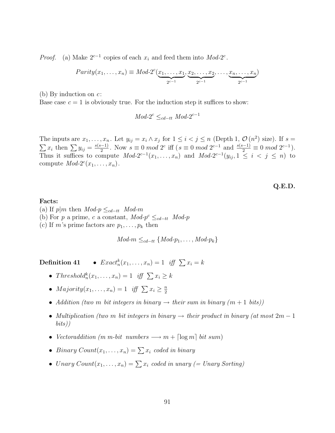*Proof.* (a) Make  $2^{c-1}$  copies of each  $x_i$  and feed them into Mod-2<sup>c</sup>.

$$
Parity(x_1, \ldots, x_n) \equiv Mod\text{-}2^c(\underbrace{x_1, \ldots, x_1}_{2^{c-1}}, \underbrace{x_2, \ldots, x_2}_{2^{c-1}}, \ldots, \underbrace{x_n, \ldots, x_n}_{2^{c-1}})
$$

(b) By induction on  $c$ :

Base case  $c = 1$  is obviously true. For the induction step it suffices to show:

$$
Mod\text{-}2^c \leq_{cd-tt} Mod\text{-}2^{c-1}
$$

The inputs are  $x_1, \ldots, x_n$ . Let  $y_{ij} = x_i \wedge x_j$  for  $1 \leq i < j \leq n$  (Depth 1,  $\mathcal{O}(n^2)$  size). If  $s = \sum x_i$  then  $\sum y_{ij} = \frac{s(s-1)}{2}$ . Now  $s \equiv 0 \mod 2^c$  iff  $(s \equiv 0 \mod 2^{c-1}$  and  $\frac{s(s-1)}{2} \equiv 0 \mod 2^{c-1}$ .  $\frac{(-1)^{n-1}}{2}$ . Now  $s \equiv 0 \mod 2^c$  iff  $(s \equiv 0 \mod 2^{c-1} \text{ and } \frac{s(s-1)}{2} \equiv 0 \mod 2^{c-1}).$ <br>mpute  $Mod^{-2c-1}(x, x)$  and  $Mod^{-2c-1}(y, 1 \leq i \leq n)$  to Thus it suffices to compute  $Mod-2^{c-1}(x_1,\ldots,x_n)$  and  $Mod-2^{c-1}(y_{ij}, 1 \leq i < j \leq n)$  to compute  $Mod-2^c(x_1,\ldots,x_n)$ .

**Q.E.D.**

## **Facts:**

(a) If  $p|m$  then  $Mod\neg p \leq_{cd-tt} Mod\neg m$ 

- (b) For p a prime, c a constant,  $Mod\text{-}p^c \leq_{cd-tt} Mod\text{-}p$
- (c) If m's prime factors are  $p_1, \ldots, p_k$  then

 $Mod-m \leq_{cd-tt} \{Mod-p_1, \ldots, Mod-p_k\}$ 

**Definition 41** •  $Exact_n^k(x_1,...,x_n)=1$  iff  $\sum x_i = k$ 

- Threshold ${}_{n}^{k}(x_1,\ldots,x_n)=1$  iff  $\sum x_i\geq k$
- $Majority(x_1,...,x_n)=1$  iff  $\sum x_i \geq \frac{n}{2}$
- Addition (two m bit integers in binary  $\rightarrow$  their sum in binary  $(m+1 \; \text{bits}))$
- Multiplication (two m bit integers in binary  $\rightarrow$  their product in binary (at most  $2m-1$ bits))
- Vectoraddition  $(m \ m\text{-}bit \ numbers \longrightarrow m + \lceil \log m \rceil \ bit \ sum)$
- Binary  $Count(x_1, \ldots, x_n) = \sum x_i$  coded in binary
- Unary  $Count(x_1,...,x_n) = \sum x_i$  coded in unary (= Unary Sorting)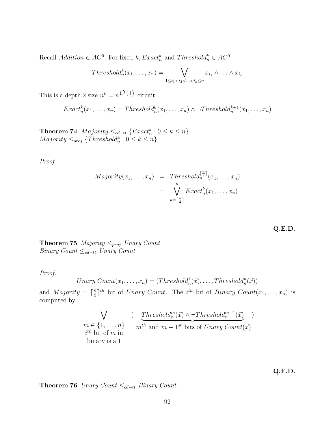Recall  $Addition \in AC^0$ . For fixed  $k, Exact_n^k$  and  $Threshold_n^k \in AC^0$ 

$$
Thresholdkn(x1,...,xn) = \bigvee_{1 \leq i_1 < i_2 < ... < i_k \leq n} x_{i_1} \wedge ... \wedge x_{i_k}
$$

This is a depth 2 size  $n^k = n^{\mathcal{O}(1)}$  circuit.

$$
Exact_n^k(x_1,...,x_n) = Threshold_n^k(x_1,...,x_n) \land \neg Threshold_n^{k+1}(x_1,...,x_n)
$$

**Theorem 74**  $Majority \leq_{cd-tt} \{Exact_n^k : 0 \leq k \leq n\}$  $Majority \leq_{proj} {Threshold_n^k : 0 \leq k \leq n}$ 

Proof.

$$
Majority(x_1, \ldots, x_n) = Threshold_n^{\lceil \frac{n}{2} \rceil}(x_1, \ldots, x_n)
$$

$$
= \bigvee_{k=\lceil \frac{n}{2} \rceil}^{n} Exact_n^k(x_1, \ldots, x_n)
$$

**Q.E.D.**

**Theorem 75** *Majority*  $\leq_{proj}$  *Unary Count* Binary Count  $\leq_{cd-tt}$  Unary Count

Proof.

Unary Count
$$
(x_1,...,x_n) = (Threshold_n^1(\vec{x}),...,Threshold_n^n(\vec{x}))
$$

and *Majority* =  $\lceil \frac{n}{2} \rceil^{th}$  bit of *Unary Count*. The *i*<sup>th</sup> bit of *Binary Count*( $x_1, \ldots, x_n$ ) is computed by computed by

$$
\bigvee_{m \in \{1, ..., n\}} (\underbrace{\text{Threshold}_n^m(\vec{x}) \land \neg \text{Threshold}_n^{m+1}(\vec{x})}_{n^{th} \text{ bit of } m \text{ in}})_{n^{th} \text{ and } m+1^{st} \text{ bits of } \text{Unary } \text{Count}(\vec{x})
$$

**Q.E.D.**

Theorem 76 Unary Count ≤<sub>cd−tt</sub> Binary Count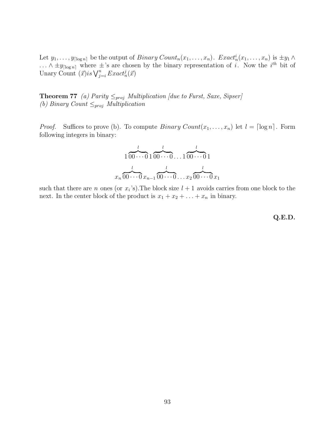Let  $y_1, \ldots, y_{\lceil \log n \rceil}$  be the output of  $Binary Count_n(x_1, \ldots, x_n)$ .  $Exact_n^i(x_1, \ldots, x_n)$  is  $\pm y_1 \wedge$ ...  $\wedge \pm y_{\lceil \log n \rceil}$  where  $\pm$ 's are chosen by the binary representation of *i*. Now the *i*<sup>th</sup> bit of Unary Count  $(\vec{x})$ is  $\bigvee_{j=i}^n Exact_n^j(\vec{x})$ 

**Theorem 77** (a) Parity  $\leq_{proj}$  Multiplication [due to Furst, Saxe, Sipser] (b) Binary Count  $\leq_{proj}$  Multiplication

*Proof.* Suffices to prove (b). To compute  $Binary Count(x_1, ..., x_n)$  let  $l = \lceil \log n \rceil$ . Form following integers in binary:

$$
\frac{1}{100\cdots 0} \underbrace{1}_{100\cdots 0} \underbrace{1}_{100\cdots 0} \underbrace{1}_{100\cdots 0} \underbrace{1}_{100\cdots 0} \underbrace{1}_{100\cdots 0} \underbrace{1}_{100\cdots 0} \underbrace{1}_{100\cdots 0} \underbrace{1}_{100\cdots 0} \underbrace{1}_{100\cdots 0} \underbrace{1}_{100\cdots 0} \underbrace{1}_{100\cdots 0} \underbrace{1}_{100\cdots 0} \underbrace{1}_{100\cdots 0} \underbrace{1}_{100\cdots 0} \underbrace{1}_{100\cdots 0} \underbrace{1}_{100\cdots 0} \underbrace{1}_{100\cdots 0} \underbrace{1}_{100\cdots 0} \underbrace{1}_{100\cdots 0} \underbrace{1}_{100\cdots 0} \underbrace{1}_{100\cdots 0} \underbrace{1}_{100\cdots 0} \underbrace{1}_{100\cdots 0} \underbrace{1}_{100\cdots 0} \underbrace{1}_{100\cdots 0} \underbrace{1}_{100\cdots 0} \underbrace{1}_{100\cdots 0} \underbrace{1}_{100\cdots 0} \underbrace{1}_{100\cdots 0} \underbrace{1}_{100\cdots 0} \underbrace{1}_{100\cdots 0} \underbrace{1}_{100\cdots 0} \underbrace{1}_{100\cdots 0} \underbrace{1}_{100\cdots 0} \underbrace{1}_{100\cdots 0} \underbrace{1}_{100\cdots 0} \underbrace{1}_{100\cdots 0} \underbrace{1}_{100\cdots 0} \underbrace{1}_{100\cdots 0} \underbrace{1}_{100\cdots 0} \underbrace{1}_{100\cdots 0} \underbrace{1}_{100\cdots 0} \underbrace{1}_{100\cdots 0} \underbrace{1}_{100\cdots 0} \underbrace{1}_{100\cdots 0} \underbrace{1}_{100\cdots 0} \underbrace{1}_{100\cdots 0} \underbrace{1}_{100\cdots 0} \underbrace{1}_{100\cdots 0} \underbrace{1}_{100\cd
$$

such that there are n ones (or  $x_i$ 's). The block size  $l + 1$  avoids carries from one block to the next. In the center block of the product is  $x_1 + x_2 + \ldots + x_n$  in binary.

**Q.E.D.**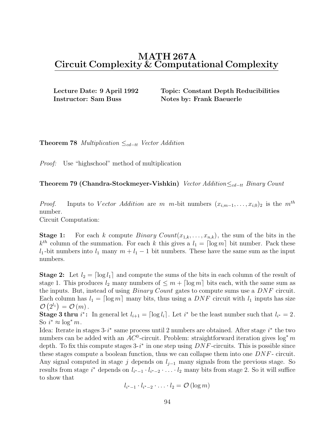# **MATH 267A Circuit Complexity & Computational Complexity**

**Instructor: Sam Buss Notes by: Frank Baeuerle** 

**Lecture Date: 9 April 1992 Topic: Constant Depth Reducibilities**

**Theorem 78** Multiplication  $\leq_{cd-tt}$  Vector Addition

Proof: Use "highschool" method of multiplication

**Theorem 79 (Chandra-Stockmeyer-Vishkin)** Vector Addition≤<sub>cd−tt</sub> Binary Count

*Proof.* Inputs to Vector Addition are m m-bit numbers  $(x_{i,m-1},...,x_{i,0})_2$  is the  $m^{th}$ number.

Circuit Computation:

**Stage 1:** For each k compute  $Binary Count(x_{1,k},...,x_{n,k})$ , the sum of the bits in the  $k<sup>th</sup>$  column of the summation. For each k this gives a  $l_1 = \lceil \log m \rceil$  bit number. Pack these l<sub>1</sub>-bit numbers into  $l_1$  many  $m + l_1 - 1$  bit numbers. These have the same sum as the input numbers.

**Stage 2:** Let  $l_2 = \lfloor \log l_1 \rfloor$  and compute the sums of the bits in each column of the result of stage 1. This produces  $l_2$  many numbers of  $\leq m + \lceil \log m \rceil$  bits each, with the same sum as the inputs. But, instead of using *Binary Count* gates to compute sums use a *DNF* circuit. Each column has  $l_1 = \lceil \log m \rceil$  many bits, thus using a DNF circuit with  $l_1$  inputs has size  $\mathcal{O}\left(2^{l_1}\right) = \mathcal{O}\left(m\right).$ 

**Stage 3 thru**  $i^*$ : In general let  $l_{i+1} = \lceil \log l_i \rceil$ . Let  $i^*$  be the least number such that  $l_{i^*} = 2$ . So  $i^* \approx \log^* m$ .

Idea: Iterate in stages  $3-i^*$  same process until 2 numbers are obtained. After stage  $i^*$  the two numbers can be added with an  $AC^0$ -circuit. Problem: straightforward iteration gives  $\log^* m$ depth. To fix this compute stages  $3-i^*$  in one step using  $DNF$ -circuits. This is possible since these stages compute a boolean function, thus we can collapse them into one DNF - circuit. Any signal computed in stage j depends on  $l_{j-1}$  many signals from the previous stage. So results from stage  $i^*$  depends on  $l_{i^*-1} \cdot l_{i^*-2} \cdot \ldots \cdot l_2$  many bits from stage 2. So it will suffice to show that

$$
l_{i^*-1}\cdot l_{i^*-2}\cdot\ldots\cdot l_2=\mathcal{O}(\log m)
$$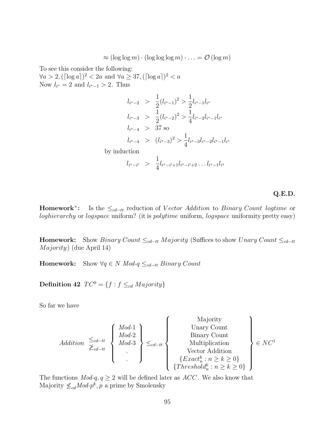$\approx (\log \log m) \cdot (\log \log \log m) \cdot \ldots = \mathcal{O}(\log m)$ 

To see this consider the following:

 $\forall a > 2, (\lceil \log a \rceil)^2 < 2a$  and  $\forall a \geq 37, (\lceil \log a \rceil)^2 < a$ Now  $l_{i^*} = 2$  and  $l_{i^*-1} > 2$ . Thus

$$
l_{i^{*}-2} > \frac{1}{2}(l_{i^{*}-1})^2 > \frac{1}{2}l_{i^{*}-1}l_{i^{*}}
$$
  
\n
$$
l_{i^{*}-3} > \frac{1}{2}(l_{i^{*}-2})^2 > \frac{1}{4}l_{i^{*}-2}l_{i^{*}-1}l_{i^{*}}
$$
  
\n
$$
l_{i^{*}-4} > 37 \text{ so}
$$
  
\n
$$
l_{i^{*}-4} > (l_{i^{*}-3})^2 > \frac{1}{4}l_{i^{*}-3}l_{i^{*}-2}l_{i^{*}-1}l_{i^{*}}
$$
  
\nby induction  
\n
$$
l_{i^{*}-i'} > \frac{1}{4}l_{i^{*}-i'+1}l_{i^{*}-i'+2} \dots l_{i^{*}-1}l_{i^{*}}
$$

**Q.E.D.**

**Homework<sup>∗</sup>:** Is the  $\leq_{cd-tt}$  reduction of Vector Addition to Binary Count logtime or loghierarchy or logspace uniform? (it is polytime uniform, logspace uniformity pretty easy)

**Homework:** Show Binary Count  $\leq_{cd-tt}$  Majority (Suffices to show Unary Count  $\leq_{cd-tt}$  $Majority)$  (due April 14)

**Homework:** Show  $\forall q \in N \; Mod\text{-}q \leq_{cd-tt} Binary \; Count$ 

**Definition 42**  $TC^0 = \{f : f \leq_{cd} Majority\}$ 

So far we have

$$
Addition \begin{array}{c} \leq_{cd-tt} \\ \geq_{cd-tt} \\ \geq_{cd-tt} \\ \vdots \end{array} \begin{Bmatrix} Mod-1 \\ Mod-2 \\ Mod-3 \\ \vdots \end{Bmatrix} \leq_{cd-tt} \begin{Bmatrix} \text{Majority} \\ \text{Unary Count} \\ \text{Minry Count} \\ \text{Multiplication} \\ \{Exact_n^k : n \geq k \geq 0 \} \\ \{Threshold_n^k : n \geq k \geq 0 \} \end{Bmatrix} \in NC^1
$$

The functions  $Mod-q$ ,  $q \geq 2$  will be defined later as  $ACC$ . We also know that Majority  $\not\leq_{cd}Mod\text{-}p^k, p$  a prime by Smolensky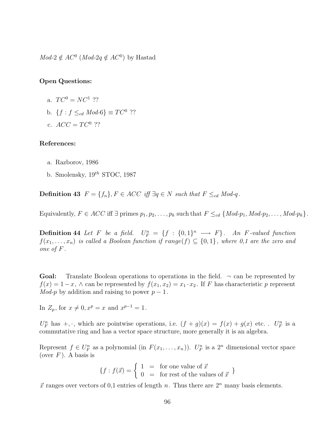$Mod-2 \notin AC^0$  (*Mod-2q*  $\notin AC^0$ ) by Hastad

## **Open Questions:**

- a.  $TC^0 = NC^1$  ??
- b.  $\{f : f \leq_{cd} Mod\text{-}6\} \equiv TC^0$  ??
- c.  $ACC = TC^0$  ??

#### **References:**

- a. Razborov, 1986
- b. Smolensky,  $19^{th}$  STOC, 1987

**Definition 43**  $F = \{f_n\}, F \in ACC$  iff  $\exists q \in N$  such that  $F \leq_{cd} Mod-q$ .

Equivalently,  $F \in ACC$  iff  $\exists$  primes  $p_1, p_2, \ldots, p_k$  such that  $F \leq_{cd} \{Mod-p_1, Mod-p_2, \ldots, Mod-p_k\}.$ 

**Definition 44** Let F be a field.  $U_F^n = \{f : \{0,1\}^n \longrightarrow F\}$ . An F-valued function  $f(x_1,...,x_n)$  is called a Boolean function if range(f)  $\subseteq$  {0,1}, where 0,1 are the zero and one of F .

**Goal:** Translate Boolean operations to operations in the field.  $\neg$  can be represented by  $f(x)=1-x$ ,  $\wedge$  can be represented by  $f(x_1, x_2) = x_1 \cdot x_2$ . If F has characteristic p represent Mod-p by addition and raising to power  $p-1$ .

In  $Z_p$ , for  $x \neq 0, x^p = x$  and  $x^{p-1} = 1$ .

 $U_F^n$  has  $\pm, \cdot$ , which are pointwise operations, i.e.  $(f+g)(x) = f(x) + g(x)$  etc. .  $U_F^n$  is a commutative ring and has a vector space structure, more generally it is an algebra.

Represent  $f \in U_F^n$  as a polynomial (in  $F(x_1, \ldots, x_n)$ ).  $U_F^n$  is a  $2^n$  dimensional vector space (over  $F$ ). A basis is

$$
\{f : f(\vec{x}) = \begin{cases} 1 & = \text{for one value of } \vec{x} \\ 0 & = \text{for rest of the values of } \vec{x} \end{cases} \}
$$

 $\vec{x}$  ranges over vectors of 0,1 entries of length n. Thus there are  $2^n$  many basis elements.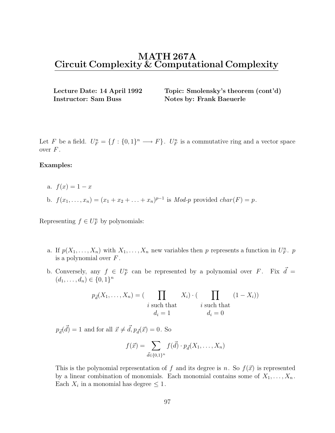# **MATH 267A Circuit Complexity & Computational Complexity**

**Instructor: Sam Buss Notes by: Frank Baeuerle** 

**Lecture Date: 14 April 1992 Topic: Smolensky's theorem (cont'd)**

Let F be a field.  $U_F^n = \{f : \{0,1\}^n \longrightarrow F\}$ .  $U_F^n$  is a commutative ring and a vector space over  $F$ .

### **Examples:**

- a.  $f(x)=1-x$
- b.  $f(x_1,...,x_n)=(x_1 + x_2 + ... + x_n)^{p-1}$  is *Mod-p* provided *char*(*F*) = *p*.

Representing  $f \in U_F^n$  by polynomials:

- a. If  $p(X_1, \ldots, X_n)$  with  $X_1, \ldots, X_n$  new variables then p represents a function in  $U_F^n$ . p is a polynomial over  $F$ .
- b. Conversely, any  $f \in U_F^n$  can be represented by a polynomial over F. Fix  $\vec{d} =$  $(d_1,\ldots,d_n) \in \{0,1\}^n$

$$
p_{\vec{d}}(X_1, \dots, X_n) = (\prod_{i \text{ such that}} X_i) \cdot (\prod_{i \text{ such that } i \text{ such that}} (1 - X_i))
$$
  

$$
d_i = 1
$$
 (1 - X<sub>i</sub>))

 $p_{\vec{d}}(\vec{d}) = 1$  and for all  $\vec{x} \neq \vec{d}, p_{\vec{d}}(\vec{x}) = 0$ . So

$$
f(\vec{x}) = \sum_{\vec{d} \in \{0,1\}^n} f(\vec{d}) \cdot p_{\vec{d}}(X_1, \dots, X_n)
$$

This is the polynomial representation of f and its degree is n. So  $f(\vec{x})$  is represented by a linear combination of monomials. Each monomial contains some of  $X_1, \ldots, X_n$ . Each  $X_i$  in a monomial has degree  $\leq 1$ .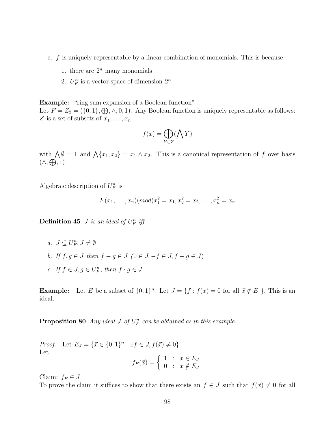- c. f is uniquely representable by a linear combination of monomials. This is because
	- 1. there are  $2^n$  many monomials
	- 2.  $U_F^n$  is a vector space of dimension  $2^n$

**Example:** "ring sum expansion of a Boolean function" Let  $F = Z_2 = (\{0, 1\}, \bigoplus, \wedge, 0, 1)$ . Any Boolean function is uniquely representable as follows: Z is a set of subsets of  $x_1, \ldots, x_n$ 

$$
f(x) = \bigoplus_{Y \in Z} (\bigwedge Y)
$$

with  $\bigwedge \emptyset = 1$  and  $\bigwedge \{x_1, x_2\} = x_1 \wedge x_2$ . This is a canonical representation of f over basis  $(\wedge, \bigoplus, 1)$ 

Algebraic description of  $U_F^n$  is

$$
F(x_1, \ldots, x_n)(mod)x_1^2 = x_1, x_2^2 = x_2, \ldots, x_n^2 = x_n
$$

**Definition 45** *J* is an ideal of  $U_F^n$  iff

- a.  $J \subseteq U_F^n, J \neq \emptyset$
- b. If  $f, g \in J$  then  $f g \in J$   $(0 \in J, -f \in J, f + g \in J)$
- c. If  $f \in J, g \in U_F^n$ , then  $f \cdot g \in J$

**Example:** Let E be a subset of  $\{0, 1\}^n$ . Let  $J = \{f : f(x) = 0 \text{ for all } \vec{x} \notin E \}$ . This is an ideal.

**Proposition 80** Any ideal  $J$  of  $U_F^n$  can be obtained as in this example.

*Proof.* Let  $E_J = \{\vec{x} \in \{0,1\}^n : \exists f \in J, f(\vec{x}) \neq 0\}$ Let

$$
f_E(\vec{x}) = \begin{cases} 1 & \colon & x \in E_J \\ 0 & \colon & x \notin E_J \end{cases}
$$

Claim:  $f_E \in J$ 

To prove the claim it suffices to show that there exists an  $f \in J$  such that  $f(\vec{x}) \neq 0$  for all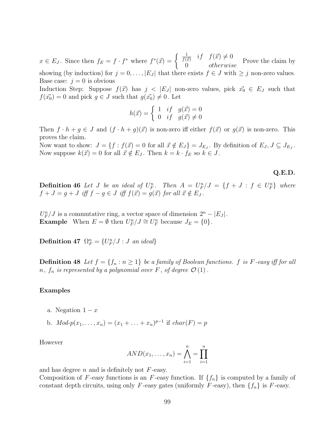$x \in E_J$ . Since then  $f_E = f \cdot f^*$  where  $f^*(\vec{x}) = \begin{cases} \frac{1}{f(\vec{x})} & \text{if } f(\vec{x}) \neq 0 \\ 0 & \text{otherwise} \end{cases}$  Prove the claim by showing (by induction) for  $j = 0, \ldots, |E_J|$  that there exists  $f \in J$  with  $\geq j$  non-zero values. Base case:  $j = 0$  is obvious

Induction Step: Suppose  $f(\vec{x})$  has  $j < |E_j|$  non-zero values, pick  $\vec{x_0} \in E_j$  such that  $f(\vec{x_0}) = 0$  and pick  $g \in J$  such that  $g(\vec{x_0}) \neq 0$ . Let

$$
h(\vec{x}) = \begin{cases} 1 & \text{if } g(\vec{x}) = 0 \\ 0 & \text{if } g(\vec{x}) \neq 0 \end{cases}
$$

Then  $f \cdot h + g \in J$  and  $(f \cdot h + g)(\vec{x})$  is non-zero iff either  $f(\vec{x})$  or  $g(\vec{x})$  is non-zero. This proves the claim.

Now want to show:  $J = \{f : f(\vec{x}) = 0 \text{ for all } \vec{x} \notin E_J\} = J_{E_J}$ . By definition of  $E_J, J \subseteq J_{E_J}$ . Now suppose  $k(\vec{x}) = 0$  for all  $\vec{x} \notin E_J$ . Then  $k = k \cdot f_E$  so  $k \in J$ .

#### **Q.E.D.**

**Definition 46** Let J be an ideal of  $U_F^n$ . Then  $A = U_F^n/J = \{f + J : f \in U_F^n\}$  where  $f + J = g + J$  iff  $f - g \in J$  iff  $f(\vec{x}) = g(\vec{x})$  for all  $\vec{x} \notin E_J$ .

 $U_F^n/J$  is a commutative ring, a vector space of dimension  $2^n - |E_J|$ . **Example** When  $E = \emptyset$  then  $U_F^n / J \cong U_F^n$  because  $J_E = \{0\}$ .

**Definition 47**  $\Omega_F^n = \{U_F^n / J : J \text{ an ideal}\}\$ 

**Definition 48** Let  $f = \{f_n : n \geq 1\}$  be a family of Boolean functions. f is F-easy iff for all n,  $f_n$  is represented by a polynomial over F, of degree  $\mathcal{O}(1)$ .

#### **Examples**

- a. Negation  $1 x$
- b.  $Mod\text{-}p(x_1,...,x_n)=(x_1 + ... + x_n)^{p-1}$  if  $char(F) = p$

However

$$
AND(x_1,...,x_n) = \bigwedge_{i=1}^n = \prod_{i=1}^n
$$

and has degree  $n$  and is definitely not  $F$ -easy.

Composition of F-easy functions is an F-easy function. If  $\{f_n\}$  is computed by a family of constant depth circuits, using only F-easy gates (uniformly F-easy), then  $\{f_n\}$  is F-easy.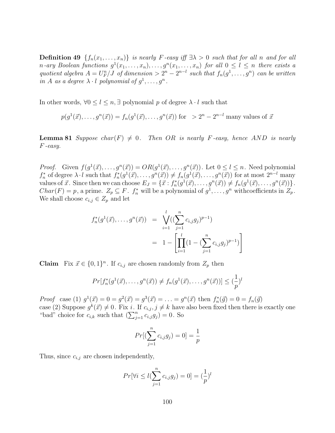**Definition 49**  $\{f_n(x_1,...,x_n)\}\$ is nearly F-easy iff  $\exists \lambda > 0$  such that for all n and for all n-ary Boolean functions  $g^1(x_1,...,x_n),...,g^n(x_1,...,x_n)$  for all  $0 \le l \le n$  there exists a quotient algebra  $A = U_F^n/J$  of dimension  $> 2^n - 2^{n-l}$  such that  $f_n(g^1,...,g^n)$  can be written in A as a degree  $\lambda \cdot l$  polynomial of  $q^1, \ldots, q^n$ .

In other words,  $\forall 0 \leq l \leq n, \exists$  polynomial p of degree  $\lambda \cdot l$  such that

$$
p(g^1(\vec{x}), \dots, g^n(\vec{x})) = f_n(g^1(\vec{x}), \dots, g^n(\vec{x}))
$$
 for  $> 2^n - 2^{n-l}$  many values of  $\vec{x}$ 

**Lemma 81** Suppose char(F)  $\neq$  0. Then OR is nearly F-easy, hence AND is nearly F -easy.

*Proof.* Given  $f(g^1(\vec{x}),...,g^n(\vec{x})) = OR(g^1(\vec{x}),...,g^n(\vec{x}))$ . Let  $0 \le l \le n$ . Need polynomial  $f_n^*$  of degree  $\lambda \cdot l$  such that  $f_n^*(g^1(\vec{x}), \ldots, g^n(\vec{x})) \neq f_n(g^1(\vec{x}), \ldots, g^n(\vec{x}))$  for at most  $2^{n-l}$  many values of  $\vec{x}$ . Since then we can choose  $E_J = \{ \vec{x} : f_n^*(g^1(\vec{x}), \ldots, g^n(\vec{x})) \neq f_n(g^1(\vec{x}), \ldots, g^n(\vec{x})) \}.$  $Char(F) = p$ , a prime.  $Z_p \subseteq F$ .  $f_n^*$  will be a polynomial of  $g^1, \ldots, g^n$  with coefficients in  $Z_p$ . We shall choose  $c_{i,j} \in Z_p$  and let

$$
f_n^*(g^1(\vec{x}), \dots, g^n(\vec{x})) = \bigvee_{i=1}^l \left( (\sum_{j=1}^n c_{i,j} g_j)^{p-1} \right)
$$
  
= 
$$
1 - \left[ \prod_{i=1}^l \left( 1 - (\sum_{j=1}^n c_{i,j} g_j)^{p-1} \right) \right]
$$

**Claim** Fix  $\vec{x} \in \{0, 1\}^n$ . If  $c_{i,j}$  are chosen randomly from  $Z_p$  then

$$
Pr[f_n^*(g^1(\vec{x}),...,g^n(\vec{x})) \neq f_n(g^1(\vec{x}),...,g^n(\vec{x}))] \leq (\frac{1}{p})^l
$$

*Proof* case (1)  $g^1(\vec{x}) = 0 = g^2(\vec{x}) = g^3(\vec{x}) = \ldots = g^n(\vec{x})$  then  $f_n^*(\vec{g}) = 0 = f_n(\vec{g})$ case (2) Suppose  $g^k(\vec{x}) \neq 0$ . Fix i. If  $c_{i,j}$ ,  $j \neq k$  have also been fixed then there is exactly one "bad" choice for  $c_{i,k}$  such that  $(\sum_{j=1}^n c_{i,j}g_j) = 0$ . So

$$
Pr[(\sum_{j=1}^{n} c_{i,j}g_j) = 0] = \frac{1}{p}
$$

Thus, since  $c_{i,j}$  are chosen independently,

$$
Pr[\forall i \le l(\sum_{j=1}^{n} c_{i,j}g_j) = 0] = (\frac{1}{p})^l
$$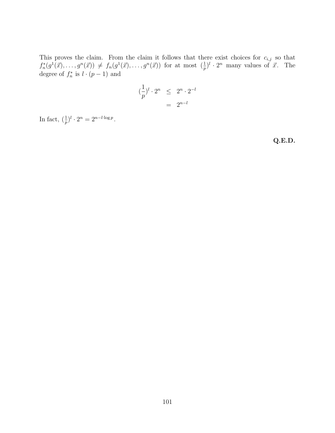This proves the claim. From the claim it follows that there exist choices for  $c_{i,j}$  so that  $f_n^*(g^1(\vec{x}),\ldots,g^n(\vec{x})) \neq f_n(g^1(\vec{x}),\ldots,g^n(\vec{x}))$  for at most  $(\frac{1}{p})^l \cdot 2^n$  many values of  $\vec{x}$ . The degree of  $f_n^*$  is  $l \cdot (p-1)$  and

$$
\left(\frac{1}{p}\right)^l \cdot 2^n \leq 2^n \cdot 2^{-l}
$$

$$
= 2^{n-l}
$$

In fact,  $\left(\frac{1}{p}\right)^l \cdot 2^n = 2^{n-l \cdot \log p}$ .

**Q.E.D.**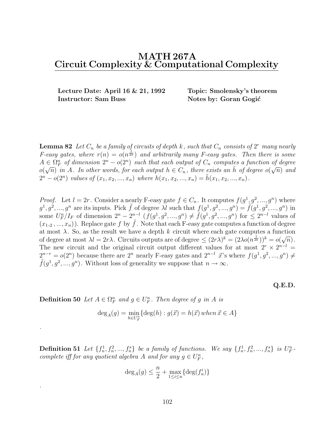# **MATH 267A Circuit Complexity & Computational Complexity**

**Lecture Date: April 16 & 21, 1992 Topic: Smolensky's theorem Instructor: Sam Buss Notes by: Goran Gogić** 

**Lemma 82** Let  $C_n$  be a family of circuits of depth k, such that  $C_n$  consists of  $2^r$  many nearly *F*-easy gates, where  $r(n) = o(n^{\frac{1}{2k}})$  and arbitrarily many *F*-easy gates. Then there is some  $A \in \Omega_F^n$  of dimension  $2^n - o(2^n)$  such that each output of  $C_n$  computes a function of degree  $A \in \Omega_F$  of annewsion  $\Omega = o(\Omega)$  such that each output of  $C_n$  computes a function of degree  $o(\sqrt{n})$  and  $o(\sqrt{n})$  in A. In other words, for each output  $h \in C_n$ , there exists an  $\tilde{h}$  of degree  $o(\sqrt{n})$  and  $2^{n} - o(2^{n})$  values of  $(x_1, x_2, ..., x_n)$  where  $h(x_1, x_2, ..., x_n) = h(x_1, x_2, ..., x_n)$ .

*Proof.* Let  $l = 2r$ . Consider a nearly F-easy gate  $f \in C_n$ . It computes  $f(g^1, g^2, ..., g^n)$  where  $g^1, g^2, ..., g^n$  are its inputs. Pick  $\tilde{f}$  of degree  $\lambda l$  such that  $f(g^1, g^2, ..., g^n) = \tilde{f}(g^1, g^2, ..., g^n)$  in some  $U_F^n/I_F$  of dimension  $2^n - 2^{n-l}$   $(f(g^1, g^2, ..., g^n) \neq \tilde{f}(g^1, g^2, ..., g^n))$  for  $\leq 2^{n-l}$  values of  $(x_1, 2, ..., x_n)$ . Replace gate f by  $\tilde{f}$ . Note that each F-easy gate computes a function of degree at most  $\lambda$ . So, as the result we have a depth k circuit where each gate computes a function at most  $\lambda$ . So, as the result we have a depth  $\kappa$  circuit where each gate computes a function of degree at most  $\lambda l = 2r\lambda$ . Circuits outputs are of degree  $\leq (2r\lambda)^k = (2\lambda o(n^{\frac{1}{2k}}))^k = o(\sqrt{n})$ . The new circuit and the original circuit output different values for at most  $2r \times 2^{n-l}$  =  $2^{n-r} = o(2^n)$  because there are  $2^n$  nearly F-easy gates and  $2^{n-l}$   $\vec{x}$ 's where  $f(g^1, g^2, ..., g^n) \neq \tilde{f}(g^1, g^2, ..., g^n)$ . Without loss of generality we suppose that  $n \to \infty$ .

#### **Q.E.D.**

**Definition 50** Let  $A \in \Omega_F^n$  and  $g \in U_F^n$ . Then degree of g in A is

.

.

$$
\deg_A(g) = \min_{h \in U_F^n} \{ \deg(h) : g(\vec{x}) = h(\vec{x}) \text{ when } \vec{x} \in A \}
$$

**Definition 51** Let  $\{f_n^1, f_n^2, ..., f_n^s\}$  be a family of functions. We say  $\{f_n^1, f_n^2, ..., f_n^s\}$  is  $U_F^n$ . complete iff for any quotient algebra A and for any  $g \in U_F^n$ ,

$$
\deg_A(g) \le \frac{n}{2} + \max_{1 \le i \le n} \{ \deg(f_n^i) \}
$$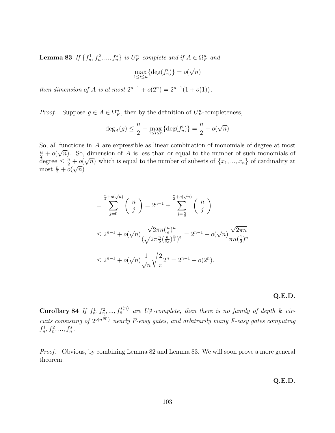**Lemma 83** If  $\{f_n^1, f_n^2, ..., f_n^s\}$  is  $U_F^n$ -complete and if  $A \in \Omega_F^n$  and

$$
\max_{1 \le i \le n} \{ \deg(f_n^i) \} = o(\sqrt{n})
$$

then dimension of A is at most  $2^{n-1} + o(2^n) = 2^{n-1}(1 + o(1)).$ 

*Proof.* Suppose  $g \in A \in \Omega_F^n$ , then by the definition of  $U_F^n$ -completeness,

$$
\deg_A(g) \le \frac{n}{2} + \max_{1 \le i \le n} \{ \deg(f_n^i) \} = \frac{n}{2} + o(\sqrt{n})
$$

So, all functions in A are expressible as linear combination of monomials of degree at most  $\frac{n}{2} + o($  $\sqrt{n}$ ). So, dimension of A is less than or equal to the number of such monomials of  $\frac{1}{2} + o(\sqrt{n})$ . So, differently of A is less than or equal to the number of such monomials of degree  $\leq \frac{n}{2} + o(\sqrt{n})$  which is equal to the number of subsets of  $\{x_1, ..., x_n\}$  of cardinality at most  $\frac{n}{2} + o(\sqrt{n})$ most  $\frac{n}{2} + o($  $\frac{+\nu}{\sqrt{n}}$ 

$$
= \sum_{j=0}^{\frac{n}{2}+o(\sqrt{n})} {n \choose j} = 2^{n-1} + \sum_{j=\frac{n}{2}}^{\frac{n}{2}+o(\sqrt{n})} {n \choose j}
$$
  

$$
\leq 2^{n-1} + o(\sqrt{n}) \frac{\sqrt{2\pi n} (\frac{n}{e})^n}{(\sqrt{2\pi \frac{n}{2}} (\frac{n}{2e})^{\frac{n}{2}})^2} = 2^{n-1} + o(\sqrt{n}) \frac{\sqrt{2\pi n}}{\pi n (\frac{1}{2})^n}
$$
  

$$
\leq 2^{n-1} + o(\sqrt{n}) \frac{1}{\sqrt{n}} \sqrt{\frac{2}{\pi}} 2^n = 2^{n-1} + o(2^n).
$$

#### **Q.E.D.**

**Corollary 84** If  $f_n^1, f_n^2, ..., f_n^{s(n)}$  are  $U_F^n$ -complete, then there is no family of depth k circuits consisting of  $2^{o(n\bar{2k})}$  nearly F-easy gates, and arbitrarily many F-easy gates computing  $f_n^1, f_n^2, ..., f_n^s$ .

Proof. Obvious, by combining Lemma 82 and Lemma 83. We will soon prove a more general theorem.

**Q.E.D.**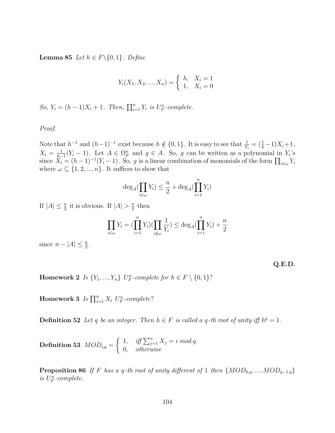**Lemma 85** Let  $h \in F \setminus \{0, 1\}$ . Define

$$
Y_i(X_1, X_2, ..., X_n) = \begin{cases} h, & X_i = 1 \\ 1, & X_i = 0 \end{cases}
$$

So,  $Y_i = (h-1)X_i + 1$ . Then,  $\prod_{i=1}^{n} Y_i$  is  $U_F^n$ -complete.

Proof.

Note that  $h^{-1}$  and  $(h-1)^{-1}$  exist because  $h \notin \{0,1\}$ . It is easy to see that  $\frac{1}{Y_i} = (\frac{1}{h} - 1)X_i + 1$ ,  $X_i = \frac{1}{h-1}(Y_i - 1)$ . Let  $A \in \Omega_F^n$  and  $g \in A$ . So, g can be written as a polynomial in  $Y_i$ 's since  $X_i - (h-1)^{-1}(Y_i - 1)$ . So, g is a linear combination of monomials of the form  $\Pi$ . since  $\tilde{X}_i = (h-1)^{-1}(Y_i-1)$ . So, g is a linear combination of monomials of the form  $\prod_{i\in\omega} Y_i$ where  $\omega \subseteq \{1, 2, ..., n\}$ . It suffices to show that

$$
\deg_A(\prod_{i\in\omega}Y_i) \leq \frac{n}{2} + \deg_A(\prod_{i=1}^n Y_i)
$$

If  $|A| \leq \frac{n}{2}$  it is obvious. If  $|A| > \frac{n}{2}$  then

$$
\prod_{i \in \omega} Y_i = \left( \prod_{i=1}^n Y_i \right) \left( \prod_{i \notin \omega} \frac{1}{Y_i} \right) \le \deg_A \left( \prod_{i=1}^n Y_i \right) + \frac{n}{2}
$$

since  $n - |A| \leq \frac{n}{2}$ .

**Q.E.D.**

**Homework 2** Is  $\{Y_1, ..., Y_n\}$  U<sub>F</sub>-complete for  $h \in F \setminus \{0, 1\}$ ?

**Homework 3** Is  $\prod_{i=1}^{n} X_i$  U<sub>F</sub>-complete?

**Definition 52** Let q be an integer. Then  $h \in F$  is called a q-th root of unity iff  $h^q = 1$ .

 $\textbf{Definition 53 \ } MOD_{i,q} =$  $\begin{cases} 1, & \text{iff } \sum_{j=1}^{n} X_j = i \text{ mod } q \\ 0, & \text{otherwise} \end{cases}$ 

**Proposition 86** If F has a q-th root of unity different of 1 then  $\{MOD_{0,q},...,MOD_{q-1,q}\}$ is  $U_F^n$ -complete.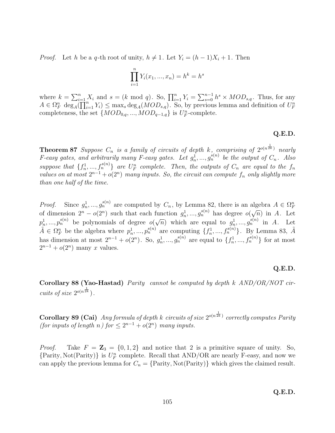*Proof.* Let h be a q-th root of unity,  $h \neq 1$ . Let  $Y_i = (h-1)X_i + 1$ . Then

$$
\prod_{i=1}^{n} Y_i(x_1, ..., x_n) = h^k = h^s
$$

where  $k = \sum_{i=1}^{n} X_i$  and  $s = (k \mod q)$ . So,  $\prod_{i=1}^{n} Y_i = \sum_{s=0}^{n-1} h^s \times MOD_{s,q}$ . Thus, for any  $A \in \Omega_F^n$  deg<sub>A</sub>( $\prod_{i=1}^{n} Y_i$ )  $\leq$  max<sub>s</sub> deg<sub>A</sub>( $MOD_{s,q}$ ). So, by previous lemma and definition of  $U_F^n$  complete and the completeness, the set  $\{MOD_{0,q},...,MOD_{q-1,q}\}$  is  $U_F^n$ -complete.

### **Q.E.D.**

**Theorem 87** Suppose  $C_n$  is a family of circuits of depth  $k$ , comprising of  $2^{o(n\bar{2k})}$  nearly F-easy gates, and arbitrarily many F-easy gates. Let  $g_n^1, ..., g_n^{s(n)}$  be the output of  $C_n$ . Also suppose that  $\{f_n^1, ..., f_n^{s(n)}\}$  are  $U_F^n$  complete. Then, the outputs of  $C_n$  are equal to the  $f_n$ values on at most  $2^{n-1} + o(2^n)$  many inputs. So, the circuit can compute  $f_n$  only slightly more than one half of the time.

*Proof.* Since  $g_n^1, ..., g_n^{s(n)}$  are computed by  $C_n$ , by Lemma 82, there is an algebra  $A \in \Omega_F^n$ of dimension  $2^n - o(2^n)$  such that each function  $g_n^1, ..., g_n^{s(n)}$  has degree  $o(\sqrt{n})$  in A. Let  $p_n^1, ..., p_n^{s(n)}$  be polynomials of degree  $o(\sqrt{n})$  which are equal to  $g_n^1, ..., g_n^{s(n)}$  in A. Let  $\tilde{A} \in \Omega_F^n$  be the algebra where  $p_n^1, ..., p_n^{s(n)}$  are computing  $\{f_n^1, ..., f_n^{s(n)}\}$ . By Lemma 83,  $\tilde{A}$ has dimension at most  $2^{n-1} + o(2^n)$ . So,  $g_n^1, ..., g_n^{s(n)}$  are equal to  $\{f_n^1, ..., f_n^{s(n)}\}$  for at most  $2^{n-1} + o(2^n)$  many x values.

#### **Q.E.D.**

**Corollary 88 (Yao-Hastad)** Parity cannot be computed by depth k AND/OR/NOT circuits of size  $2^{o(n\bar{2k}})$ .

**Corollary 89 (Cai)** Any formula of depth k circuits of size  $2^{o(n\bar{x}_k)}$  correctly computes Parity (for inputs of length n) for  $\leq 2^{n-1} + o(2^n)$  many inputs.

*Proof.* Take  $F = \mathbb{Z}_3 = \{0, 1, 2\}$  and notice that 2 is a primitive square of unity. So,  ${Parity, Not(Parity)}$  is  $U_F^n$  complete. Recall that AND/OR are nearly F-easy, and now we can apply the previous lemma for  $C_n = \{Parity, Not(Parity)\}\$  which gives the claimed result.

**Q.E.D.**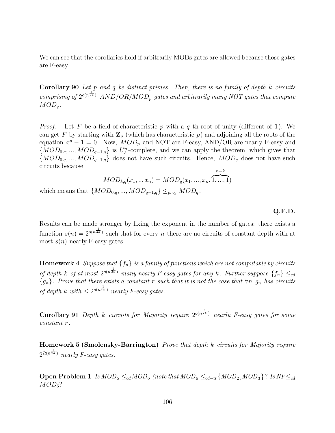We can see that the corollaries hold if arbitrarily MODs gates are allowed because those gates are F-easy.

**Corollary 90** Let p and q be distinct primes. Then, there is no family of depth k circuits comprising of  $2^{o(n\bar{2k})}$  AND/OR/MOD<sub>p</sub> gates and arbitrarily many NOT gates that compute  $MOD_q$ .

*Proof.* Let F be a field of characteristic p with a q-th root of unity (different of 1). We can get F by starting with  $\mathbf{Z}_p$  (which has characteristic p) and adjoining all the roots of the equation  $x^q - 1 = 0$ . Now,  $MOD_p$  and NOT are F-easy, AND/OR are nearly F-easy and  $\{MOD_{0,q},...,MOD_{q-1,q}\}\$  is  $U_F^n$ -complete, and we can apply the theorem, which gives that  ${MOD_{0,q},...,MOD_{q-1,q}}$  does not have such circuits. Hence,  $MOD_q$  does not have such circuits because

$$
MOD_{k,q}(x_1, ..., x_n) = MOD_q(x_1, ..., x_n, \overbrace{1, ..., 1}^{n-k})
$$
  
which means that  $\{MOD_{0,q}, ..., MOD_{q-1,q}\} \leq_{proj} MOD_q$ .

**Q.E.D.**

Results can be made stronger by fixing the exponent in the number of gates: there exists a function  $s(n)=2^{o(n\bar{2k})}$  such that for every n there are no circuits of constant depth with at most  $s(n)$  nearly F-easy gates.

**Homework 4** Suppose that  $\{f_n\}$  is a family of functions which are not computable by circuits of depth k of at most  $2^{o(n^{\frac{1}{2k}})}$  many nearly F-easy gates for any k. Further suppose  $\{f_n\} \leq_{cd}$  ${g_n}$ . Prove that there exists a constant r such that it is not the case that  $\forall n$   $g_n$  has circuits of depth k with  $\leq 2^{o(n\bar{\tau}\bar{k})}$  nearly F-easy gates.

**Corollary 91** Depth k circuits for Majority require  $2^{o(n\bar{r}\bar{k})}$  nearly F-easy gates for some constant r .

**Homework 5 (Smolensky-Barrington)** Prove that depth k circuits for Majority require  $2^{\Omega(n\bar{2k})}$  nearly F-easy gates.

**Open Problem 1** Is  $MOD_5 \leq_{cd} MOD_6$  (note that  $MOD_6 \leq_{cd-t} \{MOD_2, MOD_3\}$ ? Is  $NP \leq_{cd}$  $MOD_6$ ?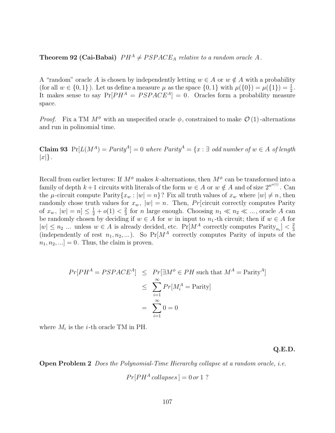## **Theorem 92 (Cai-Babai)**  $PH^A \neq PSPACE_A$  relative to a random oracle A.

A "random" oracle A is chosen by independently letting  $w \in A$  or  $w \notin A$  with a probability (for all  $w \in \{0,1\}$ ). Let us define a measure  $\mu$  as the space  $\{0,1\}$  with  $\mu(\{0\}) = \mu(\{1\}) = \frac{1}{2}$ .<br>It makes sense to say  $Pr[PH^A = PSPACF^A] = 0$  Oracles form a probability measure It makes sense to say  $Pr[PH^A = PSPACE^A] = 0$ . Oracles form a probability measure space.

*Proof.* Fix a TM  $M^{\phi}$  with an unspecified oracle  $\phi$ , constrained to make  $\mathcal{O}(1)$ -alternations and run in polinomial time.

**Claim 93**  $Pr[L(M^A) = \text{Parity}^A] = 0$  where  $\text{Parity}^A = \{x : \exists \text{ odd number of } w \in A \text{ of length }\}$  $|x|\}$ .

Recall from earlier lectures: If  $M^{\phi}$  makes k-alternations, then  $M^{\phi}$  can be transformed into a family of depth  $k+1$  circuits with literals of the form  $w \in A$  or  $w \notin A$  and of size  $2^{n^{o(1)}}$ . Can the  $\mu$ -circuit compute Parity $\{x_w : |w| = n\}$ ? Fix all truth values of  $x_w$  where  $|w| \neq n$ , then randomly chose truth values for  $x_w$ ,  $|w| = n$ . Then, Pr[circuit correctly computes Parity of  $x_w$ ,  $|w| = n \leq \frac{1}{2} + o(1) < \frac{2}{3}$  for n large enough. Choosing  $n_1 \ll n_2 \ll ...$ , oracle A can<br>be randomly chosen by deciding if  $w \in A$  for w in input to  $n_1$ , the circuit; then if  $w \in A$  for be randomly chosen by deciding if  $w \in A$  for w in input to  $n_1$ -th circuit; then if  $w \in A$  for  $|w| \leq n_2$  ... unless  $w \in A$  is already decided, etc.  $Pr[M^A$  correctly computes  $Parity_{n_i}] < \frac{2}{3}$ (independently of rest  $n_1, n_2, \ldots$ ). So Pr[ $M^A$  correctly computes Parity of inputs of the  $[n_1, n_2, \ldots] = 0$ . Thus, the claim is proven.

$$
Pr[PH^{A} = PSPACE^{A}] \le Pr[\exists M^{\phi} \in PH \text{ such that } M^{A} = \text{Parity}^{A}]
$$
  

$$
\le \sum_{i=1}^{\infty} Pr[M_{i}^{A} = \text{Parity}]
$$
  

$$
= \sum_{i=1}^{\infty} 0 = 0
$$

where  $M_i$  is the *i*-th oracle TM in PH.

**Q.E.D.**

**Open Problem 2** Does the Polynomial-Time Hierarchy collapse at a random oracle, *i.e.* 

$$
Pr[PHA collapses] = 0 or 1 ?
$$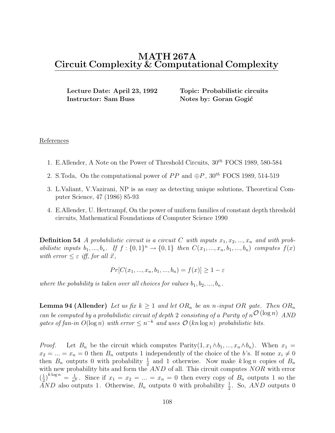# **MATH 267A Circuit Complexity & Computational Complexity**

**Lecture Date: April 23, 1992 Topic: Probabilistic circuits Instructor: Sam Buss Notes by: Goran Gogić** 

### References

- 1. E.Allender, A Note on the Power of Threshold Circuits,  $30^{th}$  FOCS 1989, 580-584
- 2. S.Toda, On the computational power of  $PP$  and  $\oplus P$ ,  $30^{th}$  FOCS 1989, 514-519
- 3. L.Valiant, V.Vazirani, NP is as easy as detecting unique solutions, Theoretical Computer Science, 47 (1986) 85-93
- 4. E.Allender, U. Hertrampf, On the power of uniform families of constant depth threshold circuits, Mathematical Foundations of Computer Science 1990

**Definition 54** A probabilistic circuit is a circuit C with inputs  $x_1, x_2, ..., x_n$  and with probabilistic inputs  $b_1, ..., b_s$ . If  $f : \{0,1\}^n \rightarrow \{0,1\}$  then  $C(x_1, ..., x_n, b_1, ..., b_n)$  computes  $f(x)$ with error  $\leq \varepsilon$  iff, for all  $\vec{x}$ ,

$$
Pr[C(x_1, ..., x_n, b_1, ..., b_n) = f(x)] \ge 1 - \varepsilon
$$

where the pobability is taken over all choices for values  $b_1, b_2, ..., b_n$ .

**Lemma 94 (Allender)** Let us fix  $k \geq 1$  and let  $OR_n$  be an n-input OR gate. Then  $OR_n$ can be computed by a probabilistic circuit of depth 2 consisting of a Parity of  $n^{\mathcal{O}}(\log n)$  AND gates of fan-in  $O(\log n)$  with error  $\leq n^{-k}$  and uses  $O(kn \log n)$  probabilistic bits.

*Proof.* Let  $B_n$  be the circuit which computes Parity $(1, x_1 \wedge b_1, ..., x_n \wedge b_n)$ . When  $x_1 =$  $x_2 = ... = x_n = 0$  then  $B_n$  outputs 1 independently of the choice of the b's. If some  $x_i \neq 0$ then  $B_n$  outputs 0 with probability  $\frac{1}{2}$  and 1 otherwise. Now make k log n copies of  $B_n$ <br>with new probability bits and form the AND of all. This circuit computes NOR with error with new probability bits and form the AND of all. This circuit computes NOR with error  $\left(\frac{1}{2}\right)^{k \log n} = \frac{1}{n^k}$ . Since if  $x_1 = x_2 = ... = x_n = 0$  then every copy of  $B_n$  outputs 1 so the AND also outputs 1. Otherwise B outputs 0 with probability  $\frac{1}{2}$ . So AND outputs 0 AND also outputs 1. Otherwise,  $B_n$  outputs 0 with probability  $\frac{1}{2}$ . So, AND outputs 0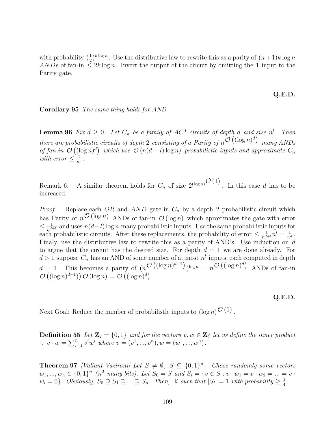with probability  $(\frac{1}{2})^{k \log n}$ . Use the distributive law to rewrite this as a parity of  $(n+1)k \log n$ <br>ANDs of fan-in  $\leq 2k \log n$ . Invert the output of the circuit by omitting the 1 input to the ANDs of fan-in  $\leq 2k \log n$ . Invert the output of the circuit by omitting the 1 input to the Parity gate.

#### **Q.E.D.**

#### **Corollary 95** The same thing holds for AND.

**Lemma 96** Fix  $d \geq 0$ . Let  $C_n$  be a family of  $AC^0$  circuits of depth d and size  $n^l$ . Then there are probabilistic circuits of depth 2 consisting of a Parity of  $n^{\mathcal{O}}(\left(\log n\right)^d)$  many ANDs of fan-in  $\mathcal{O}((\log n)^d)$  which use  $\mathcal{O}(n(d+l)\log n)$  probabilistic inputs and approximate  $C_n$ with error  $\leq \frac{1}{n^c}$ .

Remark 6: A similar theorem holds for  $C_n$  of size  $2^{(\log n)}\mathcal{O}(1)$ . In this case d has to be increased.

*Proof.* Replace each OR and  $AND$  gate in  $C_n$  by a depth 2 probabilistic circuit which has Parity of  $n^{\mathcal{O}(\log n)}$  ANDs of fan-in  $\mathcal{O}(\log n)$  which aproximates the gate with error  $\leq \frac{1}{n^{d+l}}$  and uses  $n(d+l)$  log n many probabilistic inputs. Use the same probabilistic inputs for each probabilistic circuits. After these replacements, the probability of error  $\leq \frac{1}{n^{d+1}} n^l = \frac{1}{n^d}$ . Finaly, use the distributive law to rewrite this as a parity of AND's. Use induction on d to argue that the circuit has the desired size. For depth  $d = 1$  we are done already. For  $d > 1$  suppose  $C_n$  has an AND of some number of at most  $n^l$  inputs, each computed in depth  $d = 1$ . This becomes a parity of  $(n^{\mathcal{O}\left((\log n)^{d-1}\right)})^{\log n} = n^{\mathcal{O}\left((\log n)^d\right)}$  ANDs of fan-in  $\mathcal{O}\left((\log n)^{d-1}\right)\mathcal{O}\left(\log n\right) = \mathcal{O}\left((\log n)^d\right).$ 

#### **Q.E.D.**

Next Goal: Reduce the number of probabilistic inputs to  $(\log n)^{\mathcal{O}(1)}$ .

**Definition 55** Let  $\mathbf{Z}_2 = \{0, 1\}$  and for the vectors  $v, w \in \mathbf{Z}_2^n$  let us define the inner product  $\therefore v \cdot w = \sum_{i=1}^{n} v^{i}w^{i}$  where  $v = (v^{1}, ..., v^{n}), w = (w^{1}, ..., w^{n}).$ 

**Theorem 97** [Valiant-Vazirani] Let  $S \neq \emptyset$ ,  $S \subseteq \{0,1\}^n$ . Chose randomly some vectors  $w_1, ..., w_n \in \{0,1\}^n$  ( $n^2$  many bits). Let  $S_0 = S$  and  $S_i = \{v \in S : v \cdot w_1 = v \cdot w_2 = ... = v \cdot w_n\}$  $w_i = 0\}$ . Obviously,  $S_0 \supseteq S_1 \supseteq ... \supseteq S_n$ . Then,  $\exists i$  such that  $|S_i| = 1$  with probability  $\geq \frac{1}{4}$ .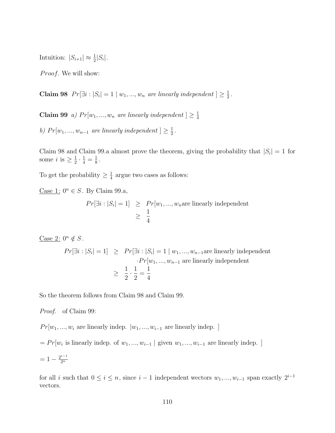Intuition:  $|S_{i+1}| \approx \frac{1}{2}|S_i|$ .

Proof. We will show:

**Claim 98**  $Pr[\exists i : |S_i| = 1 | w_1, ..., w_n$  are linearly independent  $] \geq \frac{1}{2}$ .

**Claim 99** a)  $Pr[w_1, ..., w_n]$  are linearly independent  $] \geq \frac{1}{4}$ 

b)  $Pr[w_1, ..., w_{n-1}]$  are linearly independent  $] \geq \frac{1}{2}$ .

Claim 98 and Claim 99.a almost prove the theorem, giving the probability that  $|S_i| = 1$  for some  $i$  is  $\geq \frac{1}{2} \cdot \frac{1}{4} = \frac{1}{8}$ .

To get the probability  $\geq \frac{1}{4}$  argue two cases as follows:

Case 1:  $0^n \in S$ . By Claim 99.a,

$$
Pr[\exists i : |S_i| = 1] \ge Pr[w_1, ..., w_n \text{are linearly independent}
$$

$$
\ge \frac{1}{4}
$$

Case 2:  $0^n \notin S$ .

$$
Pr[\exists i : |S_i| = 1] \ge Pr[\exists i : |S_i| = 1 | w_1, ..., w_{n-1} \text{ are linearly independent}
$$

$$
\cdot Pr[w_1, ..., w_{n-1} \text{ are linearly independent}
$$

$$
\ge \frac{1}{2} \cdot \frac{1}{2} = \frac{1}{4}
$$

So the theorem follows from Claim 98 and Claim 99.

Proof. of Claim 99:

 $Pr[w_1, ..., w_i]$  are linearly indep.  $|w_1, ..., w_{i-1}|$  are linearly indep. ]

 $= Pr[w_i$  is linearly indep. of  $w_1, ..., w_{i-1}$  | given  $w_1, ..., w_{i-1}$  are linearly indep. ]

$$
= 1 - \frac{2^{i-1}}{2^n}
$$

for all i such that  $0 \le i \le n$ , since  $i-1$  independent wectors  $w_1, ..., w_{i-1}$  span exactly  $2^{i-1}$ vectors.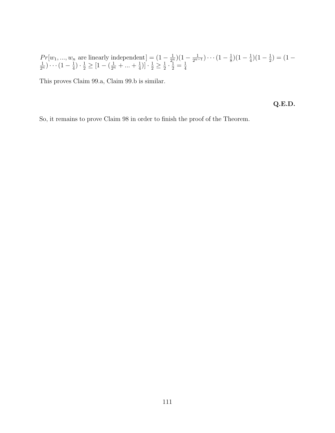$Pr[w_1, ..., w_n]$  are linearly independent  $] = (1 - \frac{1}{2^n})(1 - \frac{1}{2^{n-1}}) \cdots (1 - \frac{1}{8})(1 - \frac{1}{4})(1 - \frac{1}{2}) = (1 - \frac{1}{2^n}) \cdots (1 - \frac{1}{4}) \cdot \frac{1}{2} \geq [1 - (\frac{1}{2^n} + ... + \frac{1}{4})] \cdot \frac{1}{2} \geq \frac{1}{2} \cdot \frac{1}{2} = \frac{1}{4}$  $\frac{1}{2^n}\left[\cdots\left(1-\frac{1}{4}\right)\cdot\frac{1}{2}\geq\left[1-\left(\frac{1}{2^n}+\dots+\frac{1}{4}\right)\right]\cdot\frac{1}{2}\geq\frac{1}{2}\cdot\frac{1}{2}=\frac{1}{4}\right]$ 

This proves Claim 99.a, Claim 99.b is similar.

**Q.E.D.**

So, it remains to prove Claim 98 in order to finish the proof of the Theorem.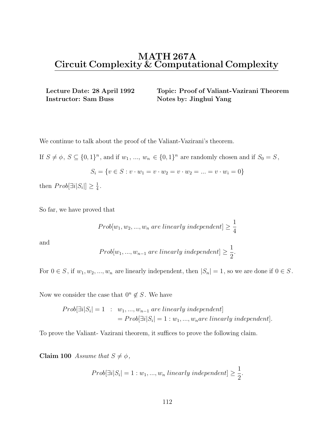**Instructor: Sam Buss Notes by: Jinghui Yang** 

**Lecture Date: 28 April 1992 Topic: Proof of Valiant-Vazirani Theorem**

We continue to talk about the proof of the Valiant-Vazirani's theorem.

If  $S \neq \emptyset$ ,  $S \subseteq \{0,1\}^n$ , and if  $w_1, ..., w_n \in \{0,1\}^n$  are randomly chosen and if  $S_0 = S$ ,

$$
S_i = \{v \in S : v \cdot w_1 = v \cdot w_2 = v \cdot w_2 = \dots = v \cdot w_i = 0\}
$$

then  $Prob[\exists i |S_i|] \geq \frac{1}{4}$ .

So far, we have proved that

$$
Prob[w_1, w_2, ..., w_n \ are \ linearly \ independent] \ge \frac{1}{4}
$$

and

$$
Prob[w_1, ..., w_{n-1} \text{ are linearly independent}] \ge \frac{1}{2}.
$$

For  $0 \in S$ , if  $w_1, w_2, ..., w_n$  are linearly independent, then  $|S_n| = 1$ , so we are done if  $0 \in S$ .

Now we consider the case that  $0<sup>n</sup> \notin S$ . We have

$$
Prob[\exists i|S_i| = 1 : w_1, ..., w_{n-1} \text{ are linearly independent}]
$$
  
= 
$$
Prob[\exists i|S_i| = 1 : w_1, ..., w_n \text{ are linearly independent}].
$$

To prove the Valiant- Vazirani theorem, it suffices to prove the following claim.

**Claim 100** Assume that  $S \neq \phi$ ,

$$
Prob[\exists i | S_i] = 1: w_1, ..., w_n \ linearly \ independent] \ge \frac{1}{2}.
$$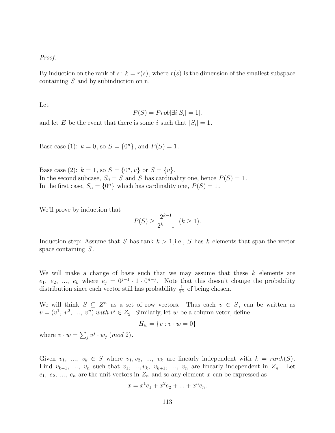### Proof.

By induction on the rank of s:  $k = r(s)$ , where  $r(s)$  is the dimension of the smallest subspace containing S and by subinduction on n.

Let

$$
P(S) = Prob[\exists i | S_i| = 1],
$$

and let E be the event that there is some i such that  $|S_i| = 1$ .

Base case (1):  $k = 0$ , so  $S = \{0^n\}$ , and  $P(S) = 1$ .

Base case (2):  $k = 1$ , so  $S = \{0^n, v\}$  or  $S = \{v\}$ . In the second subcase,  $S_0 = S$  and S has cardinality one, hence  $P(S) = 1$ . In the first case,  $S_n = \{0^n\}$  which has cardinality one,  $P(S) = 1$ .

We'll prove by induction that

$$
P(S) \ge \frac{2^{k-1}}{2^k - 1} \ \ (k \ge 1).
$$

Induction step: Assume that S has rank  $k > 1$ , i.e., S has k elements that span the vector space containing  $S$ .

We will make a change of basis such that we may assume that these  $k$  elements are  $e_1, e_2, ..., e_k$  where  $e_j = 0^{j-1} \cdot 1 \cdot 0^{n-j}$ . Note that this doesn't change the probability distribution since each vector still has probability  $\frac{1}{2^n}$  of being chosen.

We will think  $S \subseteq Z^n$  as a set of row vectors. Thus each  $v \in S$ , can be written as  $v = (v^1, v^2, ..., v^n)$  with  $v^i \in Z_2$ . Similarly, let w be a column vetor, define

$$
H_w = \{v : v \cdot w = 0\}
$$

where  $v \cdot w = \sum_j v^j \cdot w_j \pmod{2}$ .

Given  $v_1, ..., v_k \in S$  where  $v_1, v_2, ..., v_k$  are linearly independent with  $k = rank(S)$ . Find  $v_{k+1}$ , ...,  $v_n$  such that  $v_1, ..., v_k, v_{k+1}, ..., v_n$  are linearly independent in  $Z_n$ . Let  $e_1, e_2, ..., e_n$  are the unit vectors in  $Z_n$  and so any element x can be expressed as

$$
x = x^1 e_1 + x^2 e_2 + \dots + x^n e_n.
$$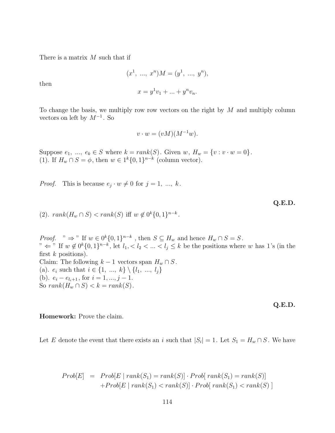There is a matrix M such that if

$$
(x1, ..., xn)M = (y1, ..., yn),
$$
  
 $x = y1v1 + ... + ynvn.$ 

then

To change the basis, we multiply row row vectors on the right by 
$$
M
$$
 and multiply column vectors on left by  $M^{-1}$ . So

$$
v \cdot w = (vM)(M^{-1}w).
$$

Suppose  $e_1$ , ...,  $e_k \in S$  where  $k = rank(S)$ . Given  $w$ ,  $H_w = \{v : v \cdot w = 0\}$ . (1). If  $H_w \cap S = \phi$ , then  $w \in 1^k \{0,1\}^{n-k}$  (column vector).

*Proof.* This is because  $e_j \cdot w \neq 0$  for  $j = 1, ..., k$ .

**Q.E.D.**

(2).  $rank(H_w \cap S) < rank(S)$  iff  $w \notin 0^k \{0,1\}^{n-k}$ .

*Proof.* "  $\Rightarrow$  " If  $w \in 0^k \{0, 1\}^{n-k}$ , then  $S \subseteq H_w$  and hence  $H_w \cap S = S$ . "  $\Leftarrow$ " If  $w \notin 0^k \{0, 1\}^{n-k}$ , let  $l_1, < l_2 < ... < l_j \le k$  be the positions where w has 1's (in the first  $k$  positions). Claim: The following  $k-1$  vectors span  $H_w \cap S$ . (a).  $e_i$  such that  $i \in \{1, ..., k\} \setminus \{l_1, ..., l_j\}$ (b).  $e_i - e_{l_i+1}$ , for  $i = 1, ..., j - 1$ . So  $rank(H_w \cap S) < k = rank(S)$ .

**Q.E.D.**

**Homework:** Prove the claim.

Let E denote the event that there exists an i such that  $|S_i| = 1$ . Let  $S_1 = H_w \cap S$ . We have

$$
Prob[E] = Prob[E \mid rank(S_1) = rank(S)] \cdot Prob[ rank(S_1) = rank(S)]
$$

$$
+ Prob[E \mid rank(S_1) < rank(S)] \cdot Prob[ rank(S_1) < rank(S)]
$$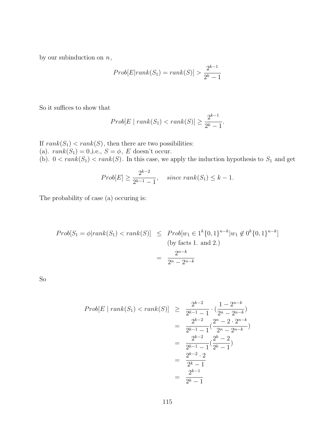by our subinduction on  $n$ ,

$$
Prob[E|rank(S_1) = rank(S)] > \frac{2^{k-1}}{2^k - 1}
$$

So it suffices to show that

$$
Prob[E \mid rank(S_1) < rank(S)] \ge \frac{2^{k-1}}{2^k - 1}.
$$

If  $rank(S_1) < rank(S)$ , then there are two possibilities: (a).  $rank(S_1) = 0$ , i.e.,  $S = \phi$ , E doesn't occur. (b).  $0 < rank(S_1) < rank(S)$ . In this case, we apply the induction hypothesis to  $S_1$  and get

$$
Prob[E] \ge \frac{2^{k-2}}{2^{k-1}-1}
$$
, since  $rank(S_1) \le k - 1$ .

The probability of case (a) occuring is:

$$
Prob[S_1 = \phi | rank(S_1) < rank(S)] \leq Prob[w_1 \in 1^k \{0, 1\}^{n-k} | w_1 \notin 0^k \{0, 1\}^{n-k}]
$$
\n(by facts 1. and 2.)

\n
$$
= \frac{2^{n-k}}{2^n - 2^{n-k}}
$$

So

$$
Prob[E \mid rank(S_1) < rank(S)] \ge \frac{2^{k-2}}{2^{k-1}-1} \cdot \frac{1-2^{n-k}}{2^n-2^{n-k}} \\
= \frac{2^{k-2}}{2^{k-1}-1} \cdot \frac{2^n-2 \cdot 2^{n-k}}{2^n-2^{n-k}} \\
= \frac{2^{k-2}}{2^{k-1}-1} \cdot \frac{2^k-2}{2^k-1} \\
= \frac{2^{k-2} \cdot 2}{2^k-1} \\
= \frac{2^{k-1}}{2^k-1}
$$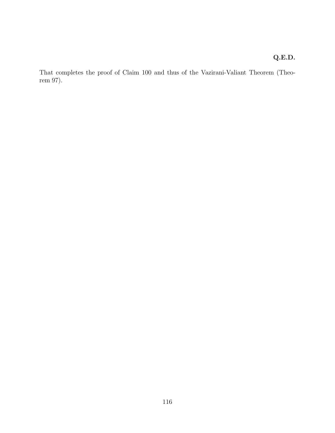### **Q.E.D.**

That completes the proof of Claim 100 and thus of the Vazirani-Valiant Theorem (Theorem 97).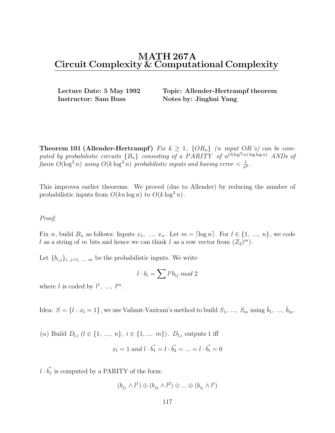**Instructor: Sam Buss Notes by: Jinghui Yang** 

**Lecture Date: 5 May 1992 Topic: Allender-Hertrampf theorem**

**Theorem 101 (Allender-Hertrampf)** Fix  $k \geq 1$ ,  $\{OR_n\}$  (n input OR's) can be computed by probabilistic circuits  ${B_n}$  consisting of a PARITY of  $n^{\overline{O}(\log^2(n) \log \log n)}$  ANDs of fanin  $O(\log^3 n)$  using  $O(k \log^3 n)$  probabilistic inputs and having error  $< \frac{1}{n^k}$ .

This improves earlier theorems. We proved (due to Allender) by reducing the number of probabilistic inputs from  $O(kn \log n)$  to  $O(k \log^3 n)$ .

#### Proof.

Fix n, build  $B_n$  as follows: Inputs  $x_1, ..., x_n$ . Let  $m = \lceil \log n \rceil$ . For  $l \in \{1, ..., n\}$ , we code l as a string of m bits and hence we can think l as a row vector from  $(Z_2)^m$ .

Let  ${b_{i,j}}_{i,j=1,\dots,m}$  be the probabilistic inputs. We write

$$
l \cdot b_i = \sum l^j b_{ij} \bmod 2
$$

where l is coded by  $l^1$ , ...,  $l^m$ .

Idea:  $S = \{l : x_l = 1\}$ , we use Valiant-Vazirani's method to build  $S_1, ..., S_m$  using  $\bar{b}_1, ..., \bar{b}_m$ .

(a) Build  $D_{l,i}$   $(l \in \{1, ..., n\}, i \in \{1, ..., m\})$ .  $D_{l,i}$  outputs 1 iff

$$
x_l = 1
$$
 and  $l \cdot \vec{b_1} = l \cdot \vec{b_2} = ... = l \cdot \vec{b_i} = 0$ 

 $l \cdot \vec{b_j}$  is computed by a PARITY of the form:

$$
(b_{j_1} \wedge l^1) \oplus (b_{j_2} \wedge l^2) \oplus ... \oplus (b_{j_i} \wedge l^i)
$$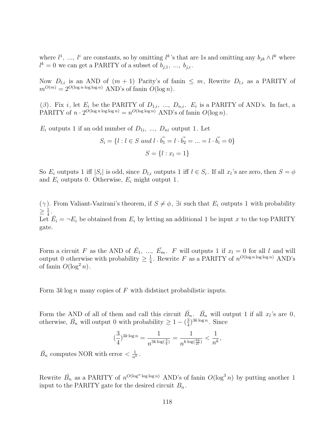where  $l^1$ , ...,  $l^i$  are constants, so by omitting  $l^k$ 's that are 1s and omitting any  $b_{jk} \wedge l^k$  where  $l^k = 0$  we can get a PARITY of a subset of  $b_{j,1}, \ldots, b_{j,i}$ .

Now  $D_{l,i}$  is an AND of  $(m + 1)$  Parity's of fanin  $\leq m$ , Rewrite  $D_{l,i}$  as a PARITY of  $m^{O(m)} = 2^{O(\log n \cdot \log \log n)}$  AND's of fanin  $O(\log n)$ .

(β). Fix i, let  $E_i$  be the PARITY of  $D_{1,i}$ , ...,  $D_{n,i}$ .  $E_i$  is a PARITY of AND's. In fact, a<br>DARITY of a  $2Q(\log n \log n)$   $Q(\log n)$  AND's of faction  $Q(\log n)$ PARITY of  $n \cdot 2^{O(\log n \log \log n)} = n^{O(\log \log n)}$  AND's of fanin  $O(\log n)$ .

 $E_i$  outputs 1 if an odd number of  $D_{1i}$ , ...,  $D_{ni}$  output 1. Let

$$
S_i = \{l : l \in S \text{ and } l \cdot \vec{b_1} = l \cdot \vec{b_2} = \dots = l \cdot \vec{b_i} = 0\}
$$

$$
S = \{l : x_l = 1\}
$$

So  $E_i$  outputs 1 iff  $|S_i|$  is odd, since  $D_{l,i}$  outputs 1 iff  $l \in S_i$ . If all  $x_l$ 's are zero, then  $S = \phi$ and  $E_i$  outputs 0. Otherwise,  $E_i$  might output 1.

(γ). From Valiant-Vazirani's theorem, if  $S \neq \phi$ ,  $\exists i$  such that  $E_i$  outputs 1 with probability  $\geq \frac{1}{4}$ .<br>Let Let  $\overline{E}_i = \neg E_i$  be obtained from  $E_i$  by letting an additional 1 be input x to the top PARITY gate.

Form a circuit F as the AND of  $\bar{E_1}$ , ...,  $\bar{E_m}$ . F will outputs 1 if  $x_l = 0$  for all l and will output 0 otherwise with probability  $\geq \frac{1}{4}$ . Rewrite F as a PARITY of  $n^{O(\log n \log \log n)}$  AND's of fanin  $O(\log^2 n)$ of fanin  $O(\log^2 n)$ .

Form  $3k \log n$  many copies of F with didstinct probabilistic inputs.

Form the AND of all of them and call this circuit  $\bar{B}_n$ .  $\bar{B}_n$  will output 1 if all  $x_l$ 's are 0, otherwise,  $\bar{B}_n$  will output 0 with probability  $\geq 1 - \left(\frac{3}{4}\right)^{3k \log n}$ . Since

$$
(\frac{3}{4})^{3k\log n}=\frac{1}{n^{3k\log(\frac{3}{4})}}=\frac{1}{n^{k\log(\frac{64}{27})}}<\frac{1}{n^k},
$$

 $\bar{B_n}$  computes NOR with error  $\langle \frac{1}{n^k}$ .

Rewrite  $\bar{B}_n$  as a PARITY of  $n^{O(\log^n \log \log n)}$  AND's of fanin  $O(\log^3 n)$  by putting another 1 input to the PARITY gate for the desired circuit  $B_n$ .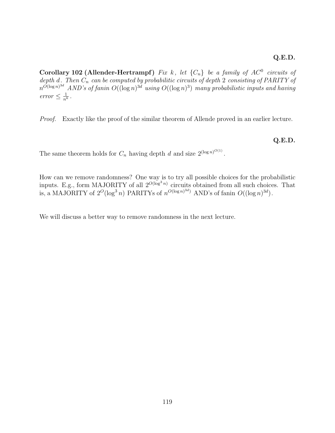**Corollary 102 (Allender-Hertrampf)** Fix k, let  $\{C_n\}$  be a family of  $AC^0$  circuits of depth d. Then  $C_n$  can be computed by probabilitic circuits of depth 2 consisting of PARITY of  $n^{\tilde{O}(\log n)^{3d}}$  AND's of fanin  $O((\log n)^{3d}$  using  $O((\log n)^3)$  many probabilistic inputs and having erro $r \leq \frac{1}{n^k}$ .

Proof. Exactly like the proof of the similar theorem of Allende proved in an earlier lecture.

**Q.E.D.**

The same theorem holds for  $C_n$  having depth d and size  $2^{(\log n)^{O(1)}}$ .

How can we remove randomness? One way is to try all possible choices for the probabilistic inputs. E.g., form MAJORITY of all  $2^{O(\log^3 n)}$  circuits obtained from all such choices. That is, a MAJORITY of  $2^O(\log^3 n)$  PARITYs of  $n^{O(\log n)^{3d}}$  AND's of fanin  $O((\log n)^{3d})$ .

We will discuss a better way to remove randomness in the next lecture.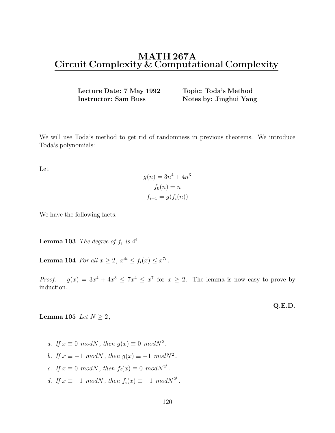**Lecture Date: 7 May 1992 Topic: Toda's Method Instructor: Sam Buss Notes by: Jinghui Yang** 

We will use Toda's method to get rid of randomness in previous theorems. We introduce Toda's polynomials:

Let

$$
g(n) = 3n4 + 4n3
$$

$$
f0(n) = n
$$

$$
fi+1 = g(fi(n))
$$

We have the following facts.

**Lemma 103** The degree of  $f_i$  is  $4^i$ .

**Lemma 104** For all  $x \geq 2$ ,  $x^{4i} \leq f_i(x) \leq x^{7i}$ .

*Proof.*  $g(x) = 3x^4 + 4x^3 \le 7x^4 \le x^7$  for  $x \ge 2$ . The lemma is now easy to prove by induction.

**Lemma 105** Let  $N \geq 2$ ,

a. If  $x \equiv 0 \mod N$ , then  $g(x) \equiv 0 \mod N^2$ . b. If  $x \equiv -1 \mod N$ , then  $g(x) \equiv -1 \mod N^2$ . c. If  $x \equiv 0 \mod N$ , then  $f_i(x) \equiv 0 \mod N^{2^i}$ . d. If  $x \equiv -1 \mod N$ , then  $f_i(x) \equiv -1 \mod N^{2^i}$ . **Q.E.D.**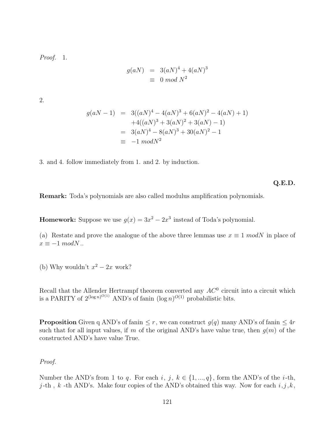Proof. 1.

$$
g(aN) = 3(aN)^4 + 4(aN)^3
$$
  

$$
\equiv 0 \mod N^2
$$

2.

$$
g(aN-1) = 3((aN)^4 - 4(aN)^3 + 6(aN)^2 - 4(aN) + 1)
$$
  
+4((aN)^3 + 3(aN)^2 + 3(aN) - 1)  
= 3(aN)^4 - 8(aN)^3 + 30(aN)^2 - 1  
= -1 modN^2

3. and 4. follow immediately from 1. and 2. by induction.

**Q.E.D.**

**Remark:** Toda's polynomials are also called modulus amplification polynomials.

**Homework:** Suppose we use  $g(x)=3x^2-2x^3$  instead of Toda's polynomial.

(a) Restate and prove the analogue of the above three lemmas use  $x \equiv 1 \mod N$  in place of  $x \equiv -1 \mod N$ ..

(b) Why wouldn't  $x^2 - 2x$  work?

Recall that the Allender Hertrampf theorem converted any  $AC^0$  circuit into a circuit which is a PARITY of  $2^{(\log n)^{O(1)}}$  AND's of fanin  $(\log n)^{O(1)}$  probabilistic bits.

**Proposition** Given q AND's of fanin  $\leq r$ , we can construct  $q(q)$  many AND's of fanin  $\leq 4r$ such that for all input values, if m of the original AND's have value true, then  $q(m)$  of the constructed AND's have value True.

### Proof.

Number the AND's from 1 to q. For each i, j,  $k \in \{1, ..., q\}$ , form the AND's of the i-th, j-th, k -th AND's. Make four copies of the AND's obtained this way. Now for each  $i, j, k$ ,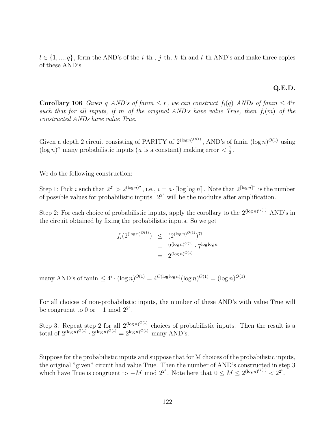$l \in \{1, ..., q\}$ , form the AND's of the *i*-th, *j*-th, *k*-th and *l*-th AND's and make three copies of these AND's.

#### **Q.E.D.**

**Corollary 106** Given q AND's of fanin  $\leq r$ , we can construct  $f_i(q)$  ANDs of fanin  $\leq 4^i r$ such that for all inputs, if m of the original AND's have value True, then  $f_i(m)$  of the constructed ANDs have value True.

Given a depth 2 circuit consisting of PARITY of  $2^{(\log n)^{O(1)}}$ , AND's of fanin  $(\log n)^{O(1)}$  using  $(\log n)^a$  many probabilistic inputs (*a* is a constant) making error  $\langle \frac{1}{2} \rangle$ .

We do the following construction:

Step 1: Pick i such that  $2^{2^i} > 2^{(\log n)^a}$ , i.e.,  $i = a \cdot \lceil \log \log n \rceil$ . Note that  $2^{\lceil \log n \rceil^a}$  is the number of possible values for probabilistic inputs.  $2^{2^i}$  will be the modulus after amplification.

Step 2: For each choice of probabilistic inputs, apply the corollary to the  $2^{(\log n)^{O(1)}}$  AND's in the circuit obtained by fixing the probabilistic inputs. So we get

$$
f_i(2^{(\log n)^{O(1)}}) \leq (2^{(\log n)^{O(1)}})^{7i}
$$
  
=  $2^{(\log n)^{O(1)}} \cdot 7^{\log \log n}$   
=  $2^{(\log n)^{O(1)}}$ 

many AND's of fanin  $\leq 4^i \cdot (\log n)^{O(1)} = 4^{O(\log \log n)} (\log n)^{O(1)} = (\log n)^{O(1)}$ .

For all choices of non-probabilistic inputs, the number of these AND's with value True will be congruent to 0 or  $-1$  mod  $2^{2^i}$ .

Step 3: Repeat step 2 for all  $2^{(\log n)^{O(1)}}$  choices of probabilistic inputs. Then the result is a total of  $2^{(\log n)^{O(1)}} \cdot 2^{(\log n)^{O(1)}} = 2^{\log n)^{O(1)}}$  many AND's.

Suppose for the probabilistic inputs and suppose that for M choices of the probabilistic inputs, the original "given" circuit had value True. Then the number of AND's constructed in step 3 which have True is congruent to  $-M \mod 2^{2^i}$ . Note here that  $0 \leq M \leq 2^{(\log n)^{O(1)}} < 2^{2^i}$ .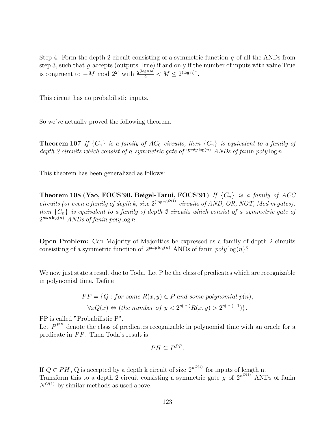Step 4: Form the depth 2 circuit consisting of a symmetric function q of all the ANDs from step 3, such that  $q$  accepts (outputs True) if and only if the number of inputs with value True is congruent to  $-M \mod 2^{2^i}$  with  $\frac{2^{(\log n)a}}{2} < M \leq 2^{(\log n)^a}$ .

This circuit has no probabilistic inputs.

So we've actually proved the following theorem.

**Theorem 107** If  $\{C_n\}$  is a family of AC<sub>0</sub> circuits, then  $\{C_n\}$  is equivalent to a family of depth 2 circuits which consist of a symmetric gate of  $2^{poly \log(n)}$  ANDs of fanin poly  $\log n$ .

This theorem has been generalized as follows:

**Theorem 108 (Yao, FOCS'90, Beigel-Tarui, FOCS'91)** If  $\{C_n\}$  is a family of ACC circuits (or even a family of depth k, size  $2^{(\log n)^{O(1)}}$  circuits of AND, OR, NOT, Mod m gates), then  ${C_n}$  is equivalent to a family of depth 2 circuits which consist of a symmetric gate of  $2^{poly \log(n)}$  ANDs of fanin poly  $\log n$ .

**Open Problem:** Can Majority of Majorities be expressed as a family of depth 2 circuits consisiting of a symmetric function of  $2^{poly \log(n)}$  ANDs of fanin  $poly \log(n)$ ?

We now just state a result due to Toda. Let P be the class of predicates which are recognizable in polynomial time. Define

$$
PP = \{Q : for some R(x, y) \in P \text{ and some polynomial } p(n),
$$
  

$$
\forall x Q(x) \Leftrightarrow (the number of y < 2^{p(|x|)} R(x, y) > 2^{p(|x|)-1})\}.
$$

PP is called "Probabilistic P".

Let  $P^{PP}$  denote the class of predicates recognizable in polynomial time with an oracle for a predicate in  $PP$ . Then Toda's result is

$$
PH \subseteq P^{PP}.
$$

If  $Q \in PH$ , Q is accepted by a depth k circuit of size  $2^{n^{O(1)}}$  for inputs of length n. Transform this to a depth 2 circuit consisting a symmetric gate g of  $2^{n^{O(1)}}$  ANDs of fanin  $N^{O(1)}$  by similar methods as used above.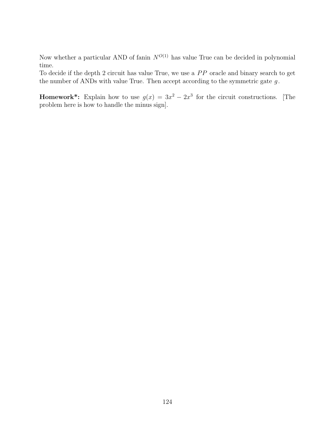Now whether a particular AND of fanin  $N^{O(1)}$  has value True can be decided in polynomial time.

To decide if the depth 2 circuit has value True, we use a  $PP$  oracle and binary search to get the number of ANDs with value True. Then accept according to the symmetric gate  $g$ .

**Homework\*:** Explain how to use  $g(x)=3x^2 - 2x^3$  for the circuit constructions. [The problem here is how to handle the minus sign].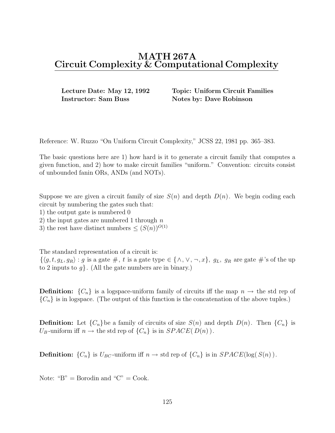**Instructor: Sam Buss Notes by: Dave Robinson** 

**Lecture Date: May 12, 1992 Topic: Uniform Circuit Families**

Reference: W. Ruzzo "On Uniform Circuit Complexity," JCSS 22, 1981 pp. 365–383.

The basic questions here are 1) how hard is it to generate a circuit family that computes a given function, and 2) how to make circuit families "uniform." Convention: circuits consist of unbounded fanin ORs, ANDs (and NOTs).

Suppose we are given a circuit family of size  $S(n)$  and depth  $D(n)$ . We begin coding each circuit by numbering the gates such that:

1) the output gate is numbered 0

2) the input gates are numbered 1 through  $n$ 

3) the rest have distinct numbers  $\leq (S(n))^{O(1)}$ 

The standard representation of a circuit is:

 $\{\langle g, t, g_L, g_R\rangle : g \text{ is a gate } \#$ , t is a gate type  $\in \{\wedge, \vee, \neg, x\}, g_L, g_R$  are gate  $\#$ 's of the up to 2 inputs to  $q$ . (All the gate numbers are in binary.)

**Definition:**  $\{C_n\}$  is a logspace-uniform family of circuits iff the map  $n \to \infty$  the std rep of  ${C_n}$  is in logspace. (The output of this function is the concatenation of the above tuples.)

**Definition:** Let  $\{C_n\}$  be a family of circuits of size  $S(n)$  and depth  $D(n)$ . Then  $\{C_n\}$  is  $U_B$ -uniform iff  $n \to$  the std rep of  $\{C_n\}$  is in  $SPACE(D(n))$ .

**Definition:**  $\{C_n\}$  is  $U_{BC}$ -uniform iff  $n \to \text{std rep of } \{C_n\}$  is in  $SPACE(\log(S(n))$ .

Note: " $B$ " = Borodin and " $C$ " = Cook.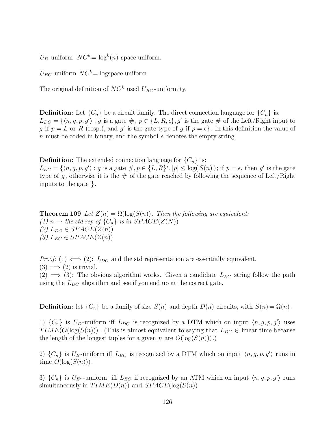$U_B$ -uniform  $NC^k = \log^k(n)$ -space uniform.

 $U_{BC}$ -uniform  $NC^k$  = logspace uniform.

The original definition of  $NC^k$  used  $U_{BC}$ -uniformity.

**Definition:** Let  $\{C_n\}$  be a circuit family. The direct connection language for  $\{C_n\}$  is:  $L_{DC} = \{ \langle n, g, p, g' \rangle : g \text{ is a gate } \#, p \in \{L, R, \epsilon\}, g' \text{ is the gate } \# \text{ of the Left/Right input to } \}$ g if  $p = L$  or R (resp.), and g' is the gate-type of g if  $p = \epsilon$ . In this definition the value of n must be coded in binary, and the symbol  $\epsilon$  denotes the empty string.

**Definition:** The extended connection language for  $\{C_n\}$  is:

 $L_{EC} = \{ \langle n, g, p, g' \rangle : g \text{ is a gate } \#, p \in \{L, R\}^*, |p| \leq \log(S(n)); \text{ if } p = \epsilon, \text{ then } g' \text{ is the gate }$ type of g, otherwise it is the  $\#$  of the gate reached by following the sequence of Left/Right inputs to the gate }.

**Theorem 109** Let  $Z(n) = \Omega(\log(S(n))$ . Then the following are equivalent:  $(1)$   $n \rightarrow$  the std rep of  $\{C_n\}$  is in  $SPACE(Z(N))$  $(2)$   $L_{DC} \in SPACE(Z(n))$ (3)  $L_{EC} \in SPACE(Z(n))$ 

*Proof:* (1)  $\iff$  (2):  $L_{DC}$  and the std representation are essentially equivalent.  $(3) \implies (2)$  is trivial.

(2)  $\implies$  (3): The obvious algorithm works. Given a candidate  $L_{EC}$  string follow the path using the  $L_{DC}$  algorithm and see if you end up at the correct gate.

**Definition:** let  $\{C_n\}$  be a family of size  $S(n)$  and depth  $D(n)$  circuits, with  $S(n) = \Omega(n)$ .

1)  $\{C_n\}$  is  $U_D$ -uniform iff  $L_{DC}$  is recognized by a DTM which on input  $\langle n, g, p, g' \rangle$  uses  $TIME(O(\log(S(n)))$ . (This is almost equivalent to saying that  $L_{DC} \in$  linear time because the length of the longest tuples for a given n are  $O(\log(S(n)))$ .

2)  $\{C_n\}$  is  $U_E$ -uniform iff  $L_{EC}$  is recognized by a DTM which on input  $\langle n, g, p, g'\rangle$  runs in time  $O(\log(S(n)))$ .

3)  $\{C_n\}$  is  $U_{E^*}$ -uniform iff  $L_{EC}$  if recognized by an ATM which on input  $\langle n, g, p, g \rangle$  runs simultaneously in  $TIME(D(n))$  and  $SPACE(log(S(n))$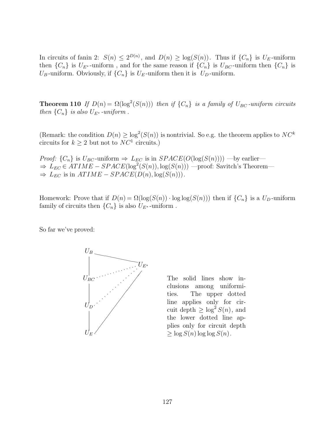In circuits of fanin 2:  $S(n) \leq 2^{D(n)}$ , and  $D(n) \geq \log(S(n))$ . Thus if  $\{C_n\}$  is  $U_E$ -uniform then  $\{C_n\}$  is  $U_{E^*}$ -uniform, and for the same reason if  $\{C_n\}$  is  $U_{BC}$ -uniform then  $\{C_n\}$  is  $U_B$ -uniform. Obviously, if  $\{C_n\}$  is  $U_E$ -uniform then it is  $U_D$ -uniform.

**Theorem 110** If  $D(n) = \Omega(\log^2(S(n)))$  then if  $\{C_n\}$  is a family of  $U_{BC}$ -uniform circuits then  $\{C_n\}$  is also  $U_{E^*}$ -uniform.

(Remark: the condition  $D(n) \geq \log^2(S(n))$  is nontrivial. So e.g. the theorem applies to  $NC^k$ circuits for  $k \geq 2$  but not to  $NC^1$  circuits.)

*Proof:*  $\{C_n\}$  is  $U_{BC}$ -uniform  $\Rightarrow$   $L_{EC}$  is in  $SPACE(O(\log(S(n))))$  —by earlier—  $\Rightarrow L_{EC} \in ATIME - SPACE(\log^2(S(n)), \log(S(n)))$  —proof: Savitch's Theorem—  $\Rightarrow$   $L_{EC}$  is in  $ATIME - SPACE(D(n), log(S(n)))$ .

Homework: Prove that if  $D(n) = \Omega(\log(S(n)) \cdot \log \log(S(n)))$  then if  $\{C_n\}$  is a  $U_D$ -uniform family of circuits then  $\{C_n\}$  is also  $U_{E^*}$ -uniform.

So far we've proved:



The solid lines show inclusions among uniformities. The upper dotted line applies only for circuit depth  $\geq \log^2 S(n)$ , and the lower dotted line applies only for circuit depth  $\geq \log S(n) \log \log S(n)$ .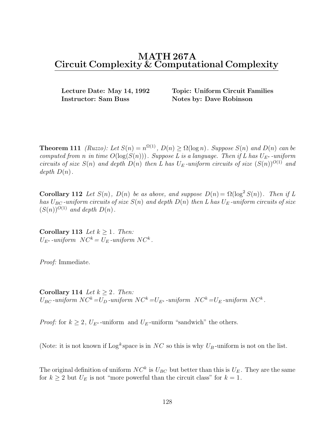**Instructor: Sam Buss Notes by: Dave Robinson** 

**Lecture Date: May 14, 1992 Topic: Uniform Circuit Families**

**Theorem 111** (Ruzzo): Let  $S(n) = n^{\Omega(1)}$ ,  $D(n) \geq \Omega(\log n)$ . Suppose  $S(n)$  and  $D(n)$  can be computed from n in time  $O(\log(S(n)))$ . Suppose L is a language. Then if L has  $U_{E^*}$ -uniform circuits of size  $S(n)$  and depth  $D(n)$  then L has  $U_E$ -uniform circuits of size  $(S(n))^{O(1)}$  and depth  $D(n)$ .

**Corollary 112** Let  $S(n)$ ,  $D(n)$  be as above, and suppose  $D(n) = \Omega(\log^2 S(n))$ . Then if L has  $U_{BC}$ -uniform circuits of size  $S(n)$  and depth  $D(n)$  then L has  $U_E$ -uniform circuits of size  $(S(n))^{O(1)}$  and depth  $D(n)$ .

**Corollary 113** Let  $k > 1$ . Then:  $U_{E^*}$ -uniform  $NC^k = U_E$ -uniform  $NC^k$ .

Proof: Immediate.

**Corollary 114** Let  $k \geq 2$ . Then:  $U_{BC}$ -uniform  $NC^k = U_D$ -uniform  $NC^k = U_{E^*}$ -uniform  $NC^k = U_E$ -uniform  $NC^k$ .

*Proof:* for  $k \geq 2$ ,  $U_{E^*}$ -uniform and  $U_E$ -uniform "sandwich" the others.

(Note: it is not known if  $\text{Log}^k$  space is in NC so this is why  $U_B$ -uniform is not on the list.

The original definition of uniform  $NC^k$  is  $U_{BC}$  but better than this is  $U_E$ . They are the same for  $k \geq 2$  but  $U_E$  is not "more powerful than the circuit class" for  $k = 1$ .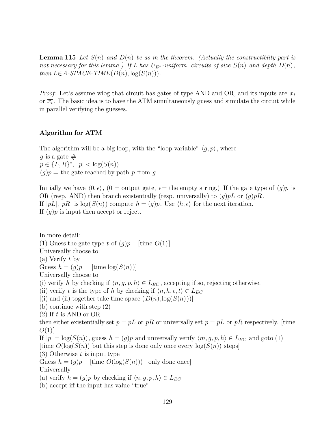**Lemma 115** Let  $S(n)$  and  $D(n)$  be as in the theorem. (Actually the constructibility part is not necessary for this lemma.) If L has  $U_{E^*}$ -uniform circuits of size  $S(n)$  and depth  $D(n)$ , then  $L \in A$ -SPACE-TIME( $D(n)$ ,  $log(S(n))$ ).

*Proof:* Let's assume wlog that circuit has gates of type AND and OR, and its inputs are  $x_i$ or  $\overline{x_i}$ . The basic idea is to have the ATM simultaneously guess and simulate the circuit while in parallel verifying the guesses.

### **Algorithm for ATM**

The algorithm will be a big loop, with the "loop variable"  $\langle q, p \rangle$ , where q is a gate  $#$  $p \in \{L, R\}^*, |p| < \log(S(n))$  $(g)p =$  the gate reached by path p from g

Initially we have  $\langle 0, \epsilon \rangle$ ,  $(0 = \text{output gate}, \epsilon = \text{the empty string.})$  If the gate type of  $(q)p$  is OR (resp. AND) then branch existentially (resp. universally) to  $(q)pL$  or  $(q)pR$ . If  $|pL|, |pR|$  is  $log(S(n))$  compute  $h = (g)p$ . Use  $\langle h, \epsilon \rangle$  for the next iteration. If  $(q)p$  is input then accept or reject.

In more detail: (1) Guess the gate type t of  $(g)p$  [time  $O(1)$ ] Universally choose to: (a) Verify t by Guess  $h = (g)p$  [time  $log(S(n))$ ] Universally choose to (i) verify h by checking if  $\langle n, g, p, h \rangle \in L_{EC}$ , accepting if so, rejecting otherwise. (ii) verify t is the type of h by checking if  $\langle n, h, \epsilon, t \rangle \in L_{EC}$  $[(i)$  and (ii) together take time-space  $(D(n),log(S(n)))$ ] (b) continue with step (2)  $(2)$  If t is AND or OR then either existentially set  $p = pL$  or pR or universally set  $p = pL$  or pR respectively. [time  $O(1)$ ] If  $|p| = \log(S(n))$ , guess  $h = (g)p$  and universally verify  $\langle m, g, p, h \rangle \in L_{EC}$  and goto (1) [time  $O(\log(S(n))$  but this step is done only once every  $\log(S(n))$  steps]  $(3)$  Otherwise t is input type Guess  $h = (g)p$  [time  $O(\log(S(n)))$  –only done once] Universally (a) verify  $h = (g)p$  by checking if  $\langle n, g, p, h \rangle \in L_{EC}$ (b) accept iff the input has value "true"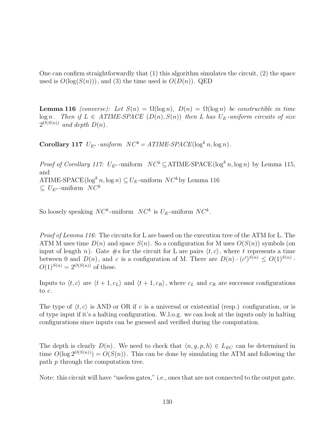One can confirm straightforwardly that (1) this algorithm simulates the circuit, (2) the space used is  $O(\log(S(n)))$ , and (3) the time used is  $O(D(n))$ . QED

**Lemma 116** (converse): Let  $S(n) = \Omega(\log n)$ ,  $D(n) = \Omega(\log n)$  be constructible in time  $log n$ . Then if  $L \in ATIME-SPACE$   $(D(n), S(n))$  then L has  $U_E$ -uniform circuits of size  $2^{\tilde{O}(S(n))}$  and depth  $D(n)$ .

**Corollary 117**  $U_{E^*}$ -uniform  $NC^k = ATIME\text{-}SPACE(\log^k n, \log n)$ .

*Proof of Corollary 117:*  $U_{E^*}$ -uniform  $NC^k \subseteq \text{ATIME-SPACE}(\log^k n, \log n)$  by Lemma 115, and ATIME-SPACE( $\log^k n$ ,  $\log n$ )  $\subseteq U_E$ -uniform  $NC^k$  by Lemma 116  $\subset U_{E^*}$ -uniform  $NC^k$ 

So loosely speaking  $NC^k$ -uniform  $NC^k$  is  $U_F$ -uniform  $NC^k$ .

Proof of Lemma 116: The circuits for L are based on the execution tree of the ATM for L. The ATM M uses time  $D(n)$  and space  $S(n)$ . So a configuration for M uses  $O(S(n))$  symbols (on input of length n). Gate #s for the circuit for L are pairs  $\langle t, c \rangle$ , where t represents a time between 0 and  $D(n)$ , and c is a configuration of M. There are  $D(n) \cdot (c')^{S(n)} \leq O(1)^{S(n)}$ .  $O(1)^{S(n)} = 2^{O(S(n))}$  of these.

Inputs to  $\langle t, c \rangle$  are  $\langle t + 1, c_L \rangle$  and  $\langle t + 1, c_R \rangle$ , where  $c_L$  and  $c_R$  are successor configurations to c.

The type of  $\langle t, c \rangle$  is AND or OR if c is a universal or existential (resp.) configuration, or is of type input if it's a halting configuration. W.l.o.g. we can look at the inputs only in halting configurations since inputs can be guessed and verified during the computation.

The depth is clearly  $D(n)$ . We need to check that  $\langle n, g, p, h \rangle \in L_{EC}$  can be determined in time  $O(\log 2^{O(S(n))}) = O(S(n))$ . This can be done by simulating the ATM and following the path p through the computation tree.

Note: this circuit will have "useless gates," i.e., ones that are not connected to the output gate.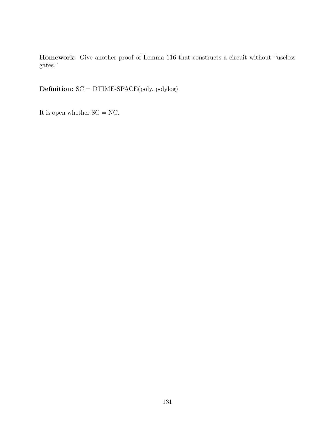**Homework:** Give another proof of Lemma 116 that constructs a circuit without "useless gates."

**Definition:** SC = DTIME-SPACE(poly, polylog).

It is open whether  $SC = NC$ .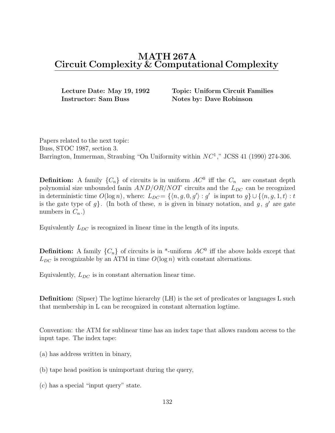**Instructor: Sam Buss Notes by: Dave Robinson** 

**Lecture Date: May 19, 1992 Topic: Uniform Circuit Families**

Papers related to the next topic: Buss, STOC 1987, section 3. Barrington, Immerman, Straubing "On Uniformity within  $NC<sup>1</sup>$ ," JCSS 41 (1990) 274-306.

**Definition:** A family  $\{C_n\}$  of circuits is in uniform  $AC^0$  iff the  $C_n$  are constant depth polynomial size unbounded fanin  $AND/OR/NOT$  circuits and the  $L_{DC}$  can be recognized in deterministic time  $O(\log n)$ , where:  $L_{DC} = \{ \langle n, g, 0, g' \rangle : g'$  is input to  $g \} \cup \{ \langle n, g, 1, t \rangle : t \}$ is the gate type of  $g$ . (In both of these, n is given in binary notation, and  $g, g'$  are gate numbers in  $C_n$ .

Equivalently  $L_{DC}$  is recognized in linear time in the length of its inputs.

**Definition:** A family  $\{C_n\}$  of circuits is in \*-uniform  $AC^0$  iff the above holds except that  $L_{DC}$  is recognizable by an ATM in time  $O(\log n)$  with constant alternations.

Equivalently,  $L_{DC}$  is in constant alternation linear time.

**Definition:** (Sipser) The logtime hierarchy (LH) is the set of predicates or languages L such that membership in L can be recognized in constant alternation logtime.

Convention: the ATM for sublinear time has an index tape that allows random access to the input tape. The index tape:

- (a) has address written in binary,
- (b) tape head position is unimportant during the query,
- (c) has a special "input query" state.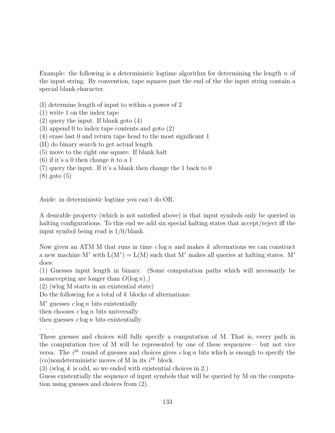Example: the following is a deterministic logtime algorithm for determining the length  $n$  of the input string. By convention, tape squares past the end of the the input string contain a special blank character.

- (I) determine length of input to within a power of 2
- (1) write 1 on the index tape
- (2) query the input. If blank goto (4)
- (3) append 0 to index tape contents and goto (2)
- (4) erase last 0 and return tape head to the most significant 1
- (II) do binary search to get actual length
- (5) move to the right one square. If blank halt
- (6) if it's a 0 then change it to a 1
- (7) query the input. If it's a blank then change the 1 back to 0
- (8) goto (5)

Aside: in deterministic logtime you can't do OR.

A desirable property (which is not satisfied above) is that input symbols only be queried in halting configurations. To this end we add six special halting states that accept/reject iff the input symbol being read is 1/0/blank.

Now given an ATM M that runs in time  $c \log n$  and makes k alternations we can construct a new machine M' with  $L(M') = L(M)$  such that M' makes all queries at halting states. M' does:

(1) Guesses input length in binary. (Some computation paths which will necessarily be nonaccepting are longer than  $O(\log n)$ .

(2) (wlog M starts in an existential state)

Do the following for a total of  $k$  blocks of alternations:

 $M'$  guesses  $c \log n$  bits existentially

then chooses  $c \log n$  bits universally

then guesses  $c \log n$  bits existentially

...

These guesses and choices will fully specify a computation of M. That is, every path in the computation tree of M will be represented by one of these sequences— but not vice versa. The  $i<sup>th</sup>$  round of guesses and choices gives  $c \log n$  bits which is enough to specify the (co)nondeterministic moves of M in its  $i^{th}$  block.

 $(3)$  (wlog k is odd, so we ended with existential choices in 2.)

Guess existentially the sequence of input symbols that will be queried by M on the computation using guesses and choices from (2).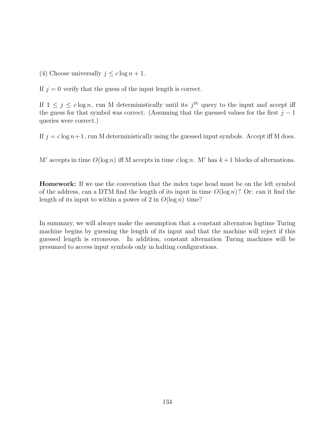(4) Choose universally  $j \leq c \log n + 1$ .

If  $j = 0$  verify that the guess of the input length is correct.

If  $1 \leq j \leq c \log n$ , run M deterministically until its  $j^{th}$  query to the input and accept iff the guess for that symbol was correct. (Assuming that the guessed values for the first  $j-1$ queries were correct.)

If  $j = c \log n + 1$ , run M deterministically using the guessed input symbols. Accept iff M does.

M' accepts in time  $O(\log n)$  iff M accepts in time  $c \log n$ . M' has  $k+1$  blocks of alternations.

**Homework:** If we use the convention that the index tape head must be on the left symbol of the address, can a DTM find the length of its input in time  $O(\log n)$ ? Or: can it find the length of its input to within a power of 2 in  $O(\log n)$  time?

In summary, we will always make the assumption that a constant alternaton logtime Turing machine begins by guessing the length of its input and that the machine will reject if this guessed length is erroneous. In addition, constant alternation Turing machines will be presumed to access input symbols only in halting configurations.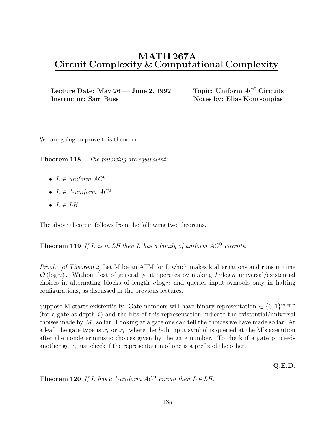Lecture Date: May 26 — June 2, 1992 Topic: Uniform  $AC^0$  Circuits **Instructor: Sam Buss Notes by: Elias Koutsoupias** 

We are going to prove this theorem:

**Theorem 118** . The following are equivalent:

- $L \in uniform \; AC^0$
- $L \in$  \*-uniform  $AC^0$
- $L \in LH$

The above theorem follows from the following two theorems.

**Theorem 119** If L is in LH then L has a family of uniform  $AC^0$  circuits.

Proof. [*of Theorem 2*] Let M be an ATM for L which makes k alternations and runs in time  $\mathcal{O}(\log n)$ . Without lost of generality, it operates by making kc log n universal/existential choices in alternating blocks of length  $c \log n$  and queries input symbols only in halting configurations, as discussed in the previous lectures.

Suppose M starts existentially. Gate numbers will have binary representation  $\in \{0,1\}^{ic \log n}$ (for a gate at depth  $i$ ) and the bits of this representation indicate the existential/universal choises made by M , so far. Looking at a gate one can tell the choices we have made so far. At a leaf, the gate type is  $x_l$  or  $\overline{x}_l$ , where the *l*-th input symbol is queried at the M's execution after the nondeterministic choices given by the gate number. To check if a gate proceeds another gate, just check if the representation of one is a prefix of the other.

**Q.E.D.**

**Theorem 120** If L has a \*-uniform  $AC^0$  circuit then  $L \in LH$ .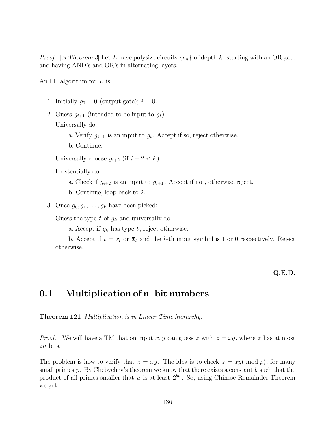*Proof.* [of Theorem 3] Let L have polysize circuits  $\{c_n\}$  of depth k, starting with an OR gate and having AND's and OR's in alternating layers.

An LH algorithm for  $L$  is:

- 1. Initially  $g_0 = 0$  (output gate);  $i = 0$ .
- 2. Guess  $g_{i+1}$  (intended to be input to  $g_i$ ). Universally do:
	- a. Verify  $g_{i+1}$  is an input to  $g_i$ . Accept if so, reject otherwise.
	- b. Continue.

Universally choose  $g_{i+2}$  (if  $i + 2 < k$ ).

Existentially do:

- a. Check if  $g_{i+2}$  is an input to  $g_{i+1}$ . Accept if not, otherwise reject.
- b. Continue, loop back to 2.
- 3. Once  $g_0, g_1, \ldots, g_k$  have been picked:

Guess the type  $t$  of  $g_k$  and universally do

a. Accept if  $g_k$  has type t, reject otherwise.

b. Accept if  $t = x_l$  or  $\overline{x}_l$  and the *l*-th input symbol is 1 or 0 respectively. Reject otherwise.

### **Q.E.D.**

# **0.1 Multiplication of n–bit numbers**

**Theorem 121** Multiplication is in Linear Time hierarchy.

*Proof.* We will have a TM that on input x, y can guess z with  $z = xy$ , where z has at most 2n bits.

The problem is how to verify that  $z = xy$ . The idea is to check  $z = xy \pmod{p}$ , for many small primes  $p$ . By Chebychev's theorem we know that there exists a constant  $b$  such that the product of all primes smaller that u is at least  $2^{bu}$ . So, using Chinese Remainder Theorem we get: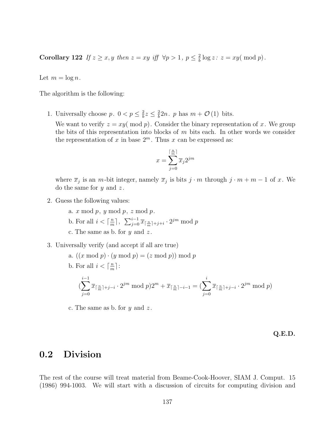**Corollary 122** If  $z \ge x, y$  then  $z = xy$  iff  $\forall p > 1, p \le \frac{2}{b} \log z$ :  $z = xy \pmod{p}$ .

Let  $m = \log n$ .

The algorithm is the following:

1. Universally choose  $p. \ 0 < p \leq \frac{2}{b}z \leq \frac{2}{b}2n. \ p \text{ has } m + \mathcal{O}(1) \text{ bits.}$ 

We want to verify  $z = xy \pmod{p}$ . Consider the binary representation of x. We group the bits of this representation into blocks of  $m$  bits each. In other words we consider the representation of x in base  $2^m$ . Thus x can be expressed as:

$$
x = \sum_{j=0}^{\lceil \frac{n}{m} \rceil} \overline{x}_j 2^{jm}
$$

where  $\overline{x}_j$  is an m-bit integer, namely  $\overline{x}_j$  is bits  $j \cdot m$  through  $j \cdot m + m - 1$  of x. We do the same for  $y$  and  $z$ .

- 2. Guess the following values:
	- a.  $x \mod p$ ,  $y \mod p$ ,  $z \mod p$ .
	- b. For all  $i < \lceil \frac{n}{m} \rceil$ ,  $\sum_{j=0}^{i-1} \overline{x}_{\lceil \frac{n}{m} \rceil + j + i} \cdot 2^{jm} \mod p$
	- c. The same as b. for  $y$  and  $z$ .
- 3. Universally verify (and accept if all are true)
	- a.  $((x \bmod p) \cdot (y \bmod p) = (z \bmod p)) \bmod p$
	- b. For all  $i < \lceil \frac{n}{m} \rceil$ :

$$
(\sum_{j=0}^{i-1} \overline{x}_{\lceil \frac{n}{m} \rceil + j - i} \cdot 2^{jm} \bmod p) 2^m + \overline{x}_{\lceil \frac{n}{m} \rceil - i - 1} = (\sum_{j=0}^{i} \overline{x}_{\lceil \frac{n}{m} \rceil + j - i} \cdot 2^{jm} \bmod p)
$$

c. The same as b. for  $y$  and  $z$ .

**Q.E.D.**

# **0.2 Division**

The rest of the course will treat material from Beame-Cook-Hoover, SIAM J. Comput. 15 (1986) 994-1003. We will start with a discussion of circuits for computing division and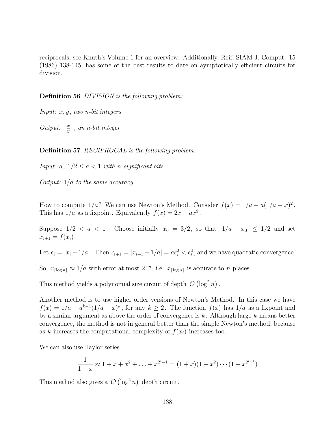reciprocals; see Knuth's Volume 1 for an overview. Additionally, Reif, SIAM J. Comput. 15 (1986) 138-145, has some of the best results to date on aymptotically efficient circuits for division.

**Definition 56** DIVISION is the following problem:

Input:  $x, y$ , two n-bit integers

Output:  $\lceil \frac{x}{y} \rceil$ , an n-bit integer.

**Definition 57** RECIPROCAL is the following problem:

Input:  $a, 1/2 \le a < 1$  with n significant bits.

Output: 1/a to the same accuracy.

How to compute  $1/a$ ? We can use Newton's Method. Consider  $f(x)=1/a - a(1/a - x)^2$ . This has  $1/a$  as a fixpoint. Equivalently  $f(x)=2x - ax^2$ .

Suppose  $1/2 < a < 1$ . Choose initially  $x_0 = 3/2$ , so that  $|1/a - x_0| \leq 1/2$  and set  $x_{i+1} = f(x_i)$ .

Let  $\epsilon_i = |x_i - 1/a|$ . Then  $\epsilon_{i+1} = |x_{i+1} - 1/a| = a\epsilon_i^2 < \epsilon_i^2$ , and we have quadratic convergence.

So,  $x_{\lceil \log n \rceil} \approx 1/a$  with error at most  $2^{-n}$ , i.e.  $x_{\lceil \log n \rceil}$  is accurate to n places.

This method yields a polynomial size circuit of depth  $\mathcal{O}(\log^2 n)$ .

Another method is to use higher order versions of Newton's Method. In this case we have  $f(x)=1/a - a^{k-1}(1/a - x)^k$ , for any  $k \ge 2$ . The function  $f(x)$  has  $1/a$  as a fixpoint and by a similar argument as above the order of convergence is  $k$ . Although large  $k$  means better convergence, the method is not in general better than the simple Newton's method, because as k increases the computational complexity of  $f(x_i)$  increases too.

We can also use Taylor series.

$$
\frac{1}{1-x} \approx 1 + x + x^2 + \ldots + x^{2^i - 1} = (1 + x)(1 + x^2) \cdots (1 + x^{2^{i-1}})
$$

This method also gives a  $\mathcal{O}(\log^2 n)$  depth circuit.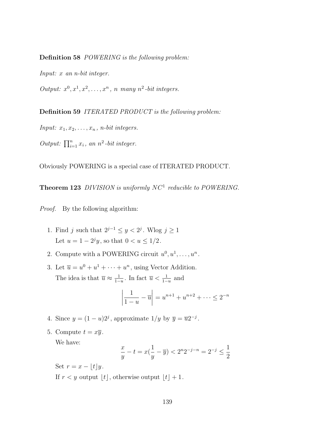**Definition 58** POWERING is the following problem:

Input: x an n-bit integer.

Output:  $x^0, x^1, x^2, \ldots, x^n$ , n many  $n^2$ -bit integers.

**Definition 59** ITERATED PRODUCT is the following problem:

Input:  $x_1, x_2, \ldots, x_n$ , n-bit integers.

Output:  $\prod_{i=1}^{n} x_i$ , an  $n^2$ -bit integer.

Obviously POWERING is a special case of ITERATED PRODUCT.

**Theorem 123** DIVISION is uniformly NC<sup>1</sup> reducible to POWERING.

Proof. By the following algorithm:

- 1. Find j such that  $2^{j-1} \le y < 2^j$ . Wlog  $j \ge 1$ Let  $u = 1 - 2<sup>j</sup>y$ , so that  $0 < u \le 1/2$ .
- 2. Compute with a POWERING circuit  $u^0, u^1, \ldots, u^n$ .
- 3. Let  $\overline{u} = u^0 + u^1 + \cdots + u^n$ , using Vector Addition. The idea is that  $\overline{u} \approx \frac{1}{1-u}$ . In fact  $\overline{u} < \frac{1}{1-u}$  and

$$
\left| \frac{1}{1-u} - \overline{u} \right| = u^{n+1} + u^{n+2} + \dots \le 2^{-n}
$$

- 4. Since  $y = (1 u)2<sup>j</sup>$ , approximate  $1/y$  by  $\overline{y} = \overline{u}2^{-j}$ .
- 5. Compute  $t = x\overline{y}$ .

We have:

$$
\frac{x}{y}-t=x(\frac{1}{y}-\overline{y})<2^n2^{-j-n}=2^{-j}\leq \frac{1}{2}
$$

Set  $r = x - \vert t \vert y$ .

If  $r < y$  output  $|t|$ , otherwise output  $|t| + 1$ .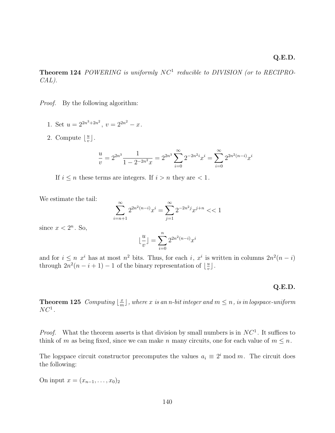**Theorem 124** POWERING is uniformly NC<sup>1</sup> reducible to DIVISION (or to RECIPRO-CAL).

Proof. By the following algorithm:

- 1. Set  $u = 2^{2n^3 + 2n^2}$ ,  $v = 2^{2n^2} x$ .
- 2. Compute  $\lfloor \frac{u}{v} \rfloor$ .

$$
\frac{u}{v} = 2^{2n^3} \frac{1}{1 - 2^{-2n^2} x} = 2^{2n^3} \sum_{i=0}^{\infty} 2^{-2n^2 i} x^i = \sum_{i=0}^{\infty} 2^{2n^2 (n-i)} x^i
$$

If  $i \leq n$  these terms are integers. If  $i > n$  they are  $\lt 1$ .

We estimate the tail:

$$
\sum_{i=n+1}^{\infty} 2^{2n^2(n-i)}x^i = \sum_{j=1}^{\infty} 2^{-2n^2j}x^{j+n} < 1
$$

since  $x < 2^n$ . So,

$$
\lfloor \frac{u}{v} \rfloor = \sum_{i=0}^{n} 2^{2n^2(n-i)} x^i
$$

and for  $i \leq n$   $x^{i}$  has at most  $n^{2}$  bits. Thus, for each i,  $x^{i}$  is written in columns  $2n^{2}(n-i)$ through  $2n^2(n-i+1)-1$  of the binary representation of  $\lfloor \frac{u}{v} \rfloor$ .

#### **Q.E.D.**

**Theorem 125** Computing  $\lfloor \frac{x}{m} \rfloor$ , where x is an n-bit integer and  $m \leq n$ , is in logspace-uniform  $NC^1$ .

*Proof.* What the theorem asserts is that division by small numbers is in  $NC<sup>1</sup>$ . It suffices to think of m as being fixed, since we can make n many circuits, one for each value of  $m \leq n$ .

The logspace circuit constructor precomputes the values  $a_i \equiv 2^i \mod m$ . The circuit does the following:

On input  $x = (x_{n-1},...,x_0)_2$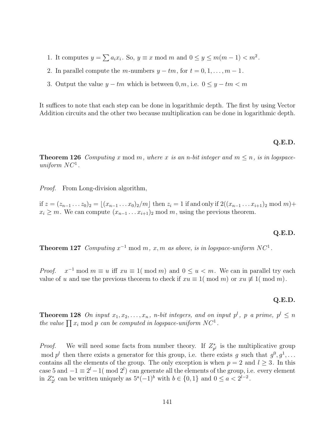- 1. It computes  $y = \sum a_i x_i$ . So,  $y \equiv x \mod m$  and  $0 \le y \le m(m-1) < m^2$ .
- 2. In parallel compute the m-numbers  $y tm$ , for  $t = 0, 1, \ldots, m 1$ .
- 3. Output the value  $y tm$  which is between  $0, m$ , i.e.  $0 \le y tm < m$

It suffices to note that each step can be done in logarithmic depth. The first by using Vector Addition circuits and the other two because multiplication can be done in logarithmic depth.

#### **Q.E.D.**

**Theorem 126** Computing x mod m, where x is an n-bit integer and  $m \leq n$ , is in logspaceuniform  $NC^1$ .

Proof. From Long-division algorithm,

if  $z = (z_{n-1} \ldots z_0)_2 = [(x_{n-1} \ldots x_0)_2/m]$  then  $z_i = 1$  if and only if  $2((x_{n-1} \ldots x_{i+1})_2 \mod m)+$  $x_i \geq m$ . We can compute  $(x_{n-1} \ldots x_{i+1})_2 \mod m$ , using the previous theorem.

### **Q.E.D.**

**Theorem 127** Computing  $x^{-1}$  mod m, x, m as above, is in logspace-uniform NC<sup>1</sup>.

*Proof.*  $x^{-1}$  mod  $m \equiv u$  iff  $xu \equiv 1 \pmod{m}$  and  $0 \le u \le m$ . We can in parallel try each value of u and use the previous theorem to check if  $xu \equiv 1 \pmod{m}$  or  $xu \not\equiv 1 \pmod{m}$ .

#### **Q.E.D.**

**Theorem 128** On input  $x_1, x_2, \ldots, x_n$ , n-bit integers, and on input  $p^l$ , p a prime,  $p^l \leq n$ the value  $\prod x_i \mod p$  can be computed in logspace-uniform  $NC^1$ .

*Proof.* We will need some facts from number theory. If  $Z_{p^l}^*$  is the multiplicative group mod  $p^l$  then there exists a generator for this group, i.e. there exists q such that  $q^0, q^1, \ldots$ contains all the elements of the group. The only exception is when  $p = 2$  and  $l \geq 3$ . In this case 5 and  $-1 \equiv 2^{l} - 1 \pmod{2^{l}}$  can generate all the elements of the group, i.e. every element in  $Z_{2^l}^*$  can be written uniquely as  $5^a(-1)^b$  with  $b \in \{0,1\}$  and  $0 \le a < 2^{l-2}$ .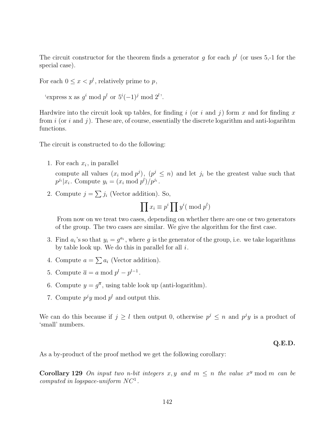The circuit constructor for the theorem finds a generator q for each  $p<sup>l</sup>$  (or uses 5,-1 for the special case).

For each  $0 \leq x < p^l$ , relatively prime to p,

```
'express x as g^i \mod p^l or 5^i(-1)^j \mod 2^l.
```
Hardwire into the circuit look up tables, for finding i (or i and j) form x and for finding x from i (or i and j). These are, of course, essentially the discrete logarithm and anti-logarihtm functions.

The circuit is constructed to do the following:

1. For each  $x_i$ , in parallel

compute all values  $(x_i \mod p^j)$ ,  $(p^j \leq n)$  and let  $j_i$  be the greatest value such that  $p^{j_i} | x_i$ . Compute  $y_i = (x_i \bmod p^l)/p^{j_i}$ .

2. Compute  $j = \sum j_i$  (Vector addition). So,

$$
\prod x_i \equiv p^i \prod y^i (\text{ mod } p^l)
$$

From now on we treat two cases, depending on whether there are one or two generators of the group. The two cases are similar. We give the algorithm for the first case.

- 3. Find  $a_i$ 's so that  $y_i = g^{a_i}$ , where g is the generator of the group, i.e. we take logarithms by table look up. We do this in parallel for all  $i$ .
- 4. Compute  $a = \sum a_i$  (Vector addition).
- 5. Compute  $\overline{a} = a \mod p^l p^{l-1}$ .
- 6. Compute  $y = g^{\overline{a}}$ , using table look up (anti-logarithm).
- 7. Compute  $p^j y \mod p^l$  and output this.

We can do this because if  $j \geq l$  then output 0, otherwise  $p^j \leq n$  and  $p^j y$  is a product of 'small' numbers.

### **Q.E.D.**

As a by-product of the proof method we get the following corollary:

**Corollary 129** On input two n-bit integers x, y and  $m \leq n$  the value  $x^y$  mod m can be computed in logspace-uniform  $NC<sup>1</sup>$ .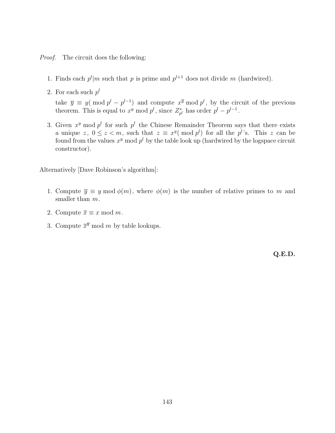- Proof. The circuit does the following:
	- 1. Finds each  $p^{l}$ |m such that p is prime and  $p^{l+1}$  does not divide m (hardwired).
	- 2. For each such  $p^l$

take  $\overline{y} \equiv y \pmod{p^{l} - p^{l-1}}$  and compute  $x^{\overline{y}} \bmod p^{l}$ , by the circuit of the previous theorem. This is equal to  $x^y \mod p^l$ , since  $Z_{p^l}^*$  has order  $p^l - p^{l-1}$ .

3. Given  $x^y$  mod  $p^l$  for such  $p^l$  the Chinese Remainder Theorem says that there exists a unique z,  $0 \leq z < m$ , such that  $z \equiv x^y \pmod{p^l}$  for all the  $p^l$ 's. This z can be found from the values  $x^y$  mod  $p^l$  by the table look up (hardwired by the logspace circuit constructor).

Alternatively [Dave Robinson's algorithm]:

- 1. Compute  $\overline{y} \equiv y \mod \phi(m)$ , where  $\phi(m)$  is the number of relative primes to m and smaller than  $m$ .
- 2. Compute  $\overline{x} \equiv x \mod m$ .
- 3. Compute  $\overline{x}^{\overline{y}}$  mod m by table lookups.

**Q.E.D.**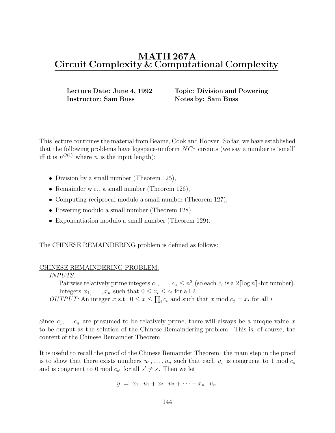**Instructor: Sam Buss Notes by: Sam Buss** 

**Lecture Date: June 4, 1992 Topic: Division and Powering**

This lecture continues the material from Beame, Cook and Hoover. So far, we have established that the following problems have logspace-uniform  $NC<sup>1</sup>$  circuits (we say a number is 'small' iff it is  $n^{O(1)}$  where *n* is the input length):

- Division by a small number (Theorem 125),
- Remainder w.r.t a small number (Theorem 126),
- Computing reciprocal modulo a small number (Theorem 127),
- Powering modulo a small number (Theorem 128),
- Exponentiation modulo a small number (Theorem 129).

The CHINESE REMAINDERING problem is defined as follows:

### CHINESE REMAINDERING PROBLEM:

#### INPUTS:

Pairwise relatively prime integers  $c_1, \ldots, c_n \leq n^2$  (so each  $c_i$  is a  $2 \lceil \log n \rceil$ -bit number). Integers  $x_1, \ldots, x_n$  such that  $0 \le x_i \le c_i$  for all *i*.

*OUTPUT:* An integer x s.t.  $0 \le x \le \prod_i c_i$  and such that x mod  $c_j = x_i$  for all i.

Since  $c_1, \ldots c_n$  are presumed to be relatively prime, there will always be a unique value x to be output as the solution of the Chinese Remaindering problem. This is, of course, the content of the Chinese Remainder Theorem.

It is useful to recall the proof of the Chinese Remainder Theorem: the main step in the proof is to show that there exists numbers  $u_1, \ldots, u_n$  such that each  $u_s$  is congruent to 1 mod  $c_s$ and is congruent to 0 mod  $c_{s'}$  for all  $s' \neq s$ . Then we let

$$
y = x_1 \cdot u_1 + x_2 \cdot u_2 + \cdots + x_n \cdot u_n.
$$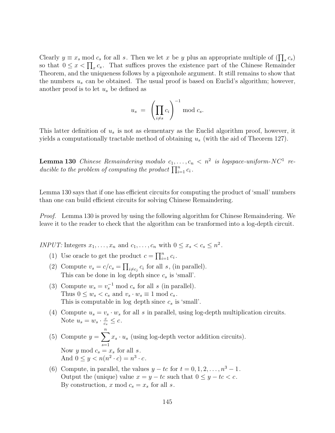Clearly  $y \equiv x_s \mod c_s$  for all s. Then we let x be y plus an appropriate multiple of  $(\prod_s c_s)$ so that  $0 \leq x < \prod_x c_s$ . That suffices proves the existence part of the Chinese Remainder Theorem, and the uniqueness follows by a pigeonhole argument. It still remains to show that the numbers  $u_s$  can be obtained. The usual proof is based on Euclid's algorithm; however, another proof is to let  $u_s$  be defined as

$$
u_s = \left(\prod_{i \neq s} c_i\right)^{-1} \mod c_s.
$$

This latter definition of  $u<sub>s</sub>$  is not as elementary as the Euclid algorithm proof, however, it yields a computationally tractable method of obtaining  $u_s$  (with the aid of Theorem 127).

**Lemma 130** Chinese Remaindering modulo  $c_1, \ldots, c_n < n^2$  is logspace-uniform-NC<sup>1</sup> reducible to the problem of computing the product  $\prod_{i=1}^{n} c_i$ .

Lemma 130 says that if one has efficient circuits for computing the product of 'small' numbers than one can build efficient circuits for solving Chinese Remaindering.

Proof. Lemma 130 is proved by using the following algorithm for Chinese Remaindering. We leave it to the reader to check that the algorithm can be tranformed into a log-depth circuit.

INPUT: Integers  $x_1, \ldots, x_n$  and  $c_1, \ldots, c_n$  with  $0 \le x_s < c_s \le n^2$ .

- (1) Use oracle to get the product  $c = \prod_{i=1}^{n} c_i$ .
- (2) Compute  $v_s = c/c_s = \prod_{i \neq c_j} c_i$  for all s, (in parallel). This can be done in log depth since  $c_s$  is 'small'.
- (3) Compute  $w_s = v_s^{-1} \mod c_s$  for all s (in parallel). Thus  $0 \leq w_s < c_s$  and  $v_s \cdot w_s \equiv 1 \mod c_s$ . This is computable in log depth since  $c_s$  is 'small'.
- (4) Compute  $u_s = v_s \cdot w_s$  for all s in parallel, using log-depth multiplication circuits. Note  $u_s = w_s \cdot \frac{c}{c_s} \leq c$ .
- (5) Compute  $y = \sum_{i=1}^{n} x_s \cdot u_s$  (using log-depth vector addition circuits). Now y mod  $c_s = x_s$  for all s. And  $0 \leq y < n(n^2 \cdot c) = n^3 \cdot c$ .
- (6) Compute, in parallel, the values  $y tc$  for  $t = 0, 1, 2, ..., n^3 1$ . Output the (unique) value  $x = y - tc$  such that  $0 \le y - tc < c$ . By construction, x mod  $c_s = x_s$  for all s.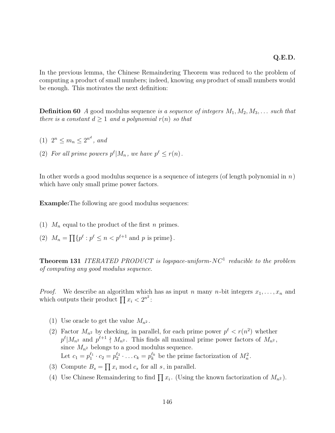In the previous lemma, the Chinese Remaindering Theorem was reduced to the problem of computing a product of small numbers; indeed, knowing any product of small numbers would be enough. This motivates the next definition:

**Definition 60** A good modulus sequence is a sequence of integers  $M_1, M_2, M_3, \ldots$  such that there is a constant  $d \geq 1$  and a polynomial  $r(n)$  so that

- (1)  $2^n \le m_n \le 2^{n^d}$ , and
- (2) For all prime powers  $p^{\ell} | M_n$ , we have  $p^{\ell} \leq r(n)$ .

In other words a good modulus sequence is a sequence of integers (of length polynomial in  $n$ ) which have only small prime power factors.

**Example:**The following are good modulus sequences:

- (1)  $M_n$  equal to the product of the first n primes.
- (2)  $M_n = \prod \{ p^{\ell} : p^{\ell} \leq n < p^{\ell+1} \text{ and } p \text{ is prime} \}.$

**Theorem 131** ITERATED PRODUCT is logspace-uniform- $NC<sup>1</sup>$  reducible to the problem of computing any good modulus sequence.

*Proof.* We describe an algorithm which has as input n many n-bit integers  $x_1, \ldots, x_n$  and which outputs their product  $\prod x_i < 2^{n^2}$ :

- (1) Use oracle to get the value  $M_{n^2}$ .
- (2) Factor  $M_{n^2}$  by checking, in parallel, for each prime power  $p^{\ell} < r(n^2)$  whether  $p^{\ell} | M_{n^2}$  and  $p^{\ell+1} \nmid M_{n^2}$ . This finds all maximal prime power factors of  $M_{n^2}$ , since  $M_{n^2}$  belongs to a good modulus sequence. Let  $c_1 = p_1^{\ell_1} \cdot c_2 = p_2^{\ell_2} \cdot \ldots c_k = p_k^{\ell_k}$  be the prime factorization of  $M_n^2$ .
- (3) Compute  $B_s = \prod x_i \mod c_s$  for all s, in parallel.
- (4) Use Chinese Remaindering to find  $\prod x_i$ . (Using the known factorization of  $M_{n^2}$ ).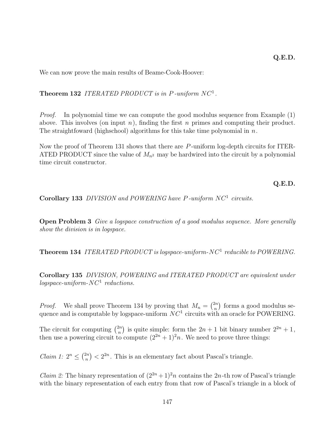We can now prove the main results of Beame-Cook-Hoover:

**Theorem 132** ITERATED PRODUCT is in P-uniform  $NC<sup>1</sup>$ .

Proof. In polynomial time we can compute the good modulus sequence from Example (1) above. This involves (on input  $n$ ), finding the first  $n$  primes and computing their product. The straightfoward (highschool) algorithms for this take time polynomial in  $n$ .

Now the proof of Theorem 131 shows that there are P -uniform log-depth circuits for ITER-ATED PRODUCT since the value of  $M_{n^2}$  may be hardwired into the circuit by a polynomial time circuit constructor.

**Q.E.D.**

Corollary 133 DIVISION and POWERING have P-uniform NC<sup>1</sup> circuits.

**Open Problem 3** Give a logspace construction of a good modulus sequence. More generally show the division is in logspace.

**Theorem 134** ITERATED PRODUCT is logspace-uniform-NC<sup>1</sup> reducible to POWERING.

**Corollary 135** DIVISION, POWERING and ITERATED PRODUCT are equivalent under  $logspace-uniform-NC<sup>1</sup>~reductions.$ 

*Proof.* We shall prove Theorem 134 by proving that  $M_n = \binom{2n}{n}$  forms a good modulus sequence and is computable by logspace-uniform  $NC<sup>1</sup>$  circuits with an oracle for POWERING.

The circuit for computing  $\binom{2n}{n}$  is quite simple: form the  $2n + 1$  bit binary number  $2^{2n} + 1$ , then use a powering circuit to compute  $(2^{2n} + 1)^2 n$ . We need to prove three things:

*Claim 1:*  $2^n \n\t\leq {2n \choose n} < 2^{2n}$ . This is an elementary fact about Pascal's triangle.

*Claim 2:* The binary representation of  $(2^{2n}+1)^2n$  contains the 2n-th row of Pascal's triangle with the binary representation of each entry from that row of Pascal's triangle in a block of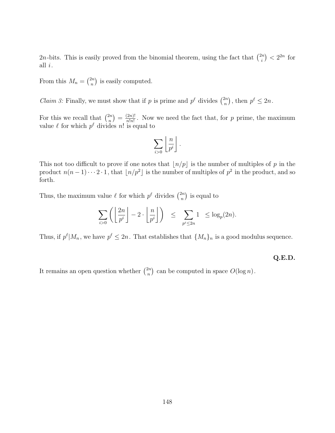2n-bits. This is easily proved from the binomial theorem, using the fact that  $\binom{2n}{i} < 2^{2n}$  for all i.

From this  $M_n = \binom{2n}{n}$  is easily computed.

*Claim 3:* Finally, we must show that if p is prime and  $p^{\ell}$  divides  $\binom{2n}{n}$ , then  $p^{\ell} \leq 2n$ .

For this we recall that  $\binom{2n}{n} = \frac{(2n)!}{n!n!}$ . Now we need the fact that, for p prime, the maximum value  $\ell$  for which  $p^{\ell}$  divides n! is equal to

$$
\sum_{i>0}\left\lfloor\frac{n}{p^i}\right\rfloor.
$$

This not too difficult to prove if one notes that  $\lfloor n/p \rfloor$  is the number of multiples of p in the product  $n(n-1)\cdots 2\cdot 1$ , that  $\lfloor n/p^2 \rfloor$  is the number of multiples of  $p^2$  in the product, and so forth.

Thus, the maximum value  $\ell$  for which  $p^{\ell}$  divides  $\binom{2n}{n}$  is equal to

$$
\sum_{i>0} \left( \left\lfloor \frac{2n}{p^i} \right\rfloor - 2 \cdot \left\lfloor \frac{n}{p^i} \right\rfloor \right) \leq \sum_{p^i \leq 2n} 1 \leq \log_p(2n).
$$

Thus, if  $p^{\ell} | M_n$ , we have  $p^{\ell} \leq 2n$ . That establishes that  $\{M_n\}_n$  is a good modulus sequence.

**Q.E.D.**

It remains an open question whether  $\binom{2n}{n}$  can be computed in space  $O(\log n)$ .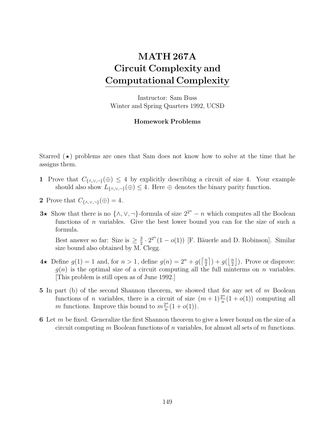## **MATH 267A Circuit Complexity and Computational Complexity**

Instructor: Sam Buss Winter and Spring Quarters 1992, UCSD

## **Homework Problems**

Starred  $(\star)$  problems are ones that Sam does not know how to solve at the time that he assigns them.

- **1** Prove that  $C_{\{\land,\lor,\neg\}}(\oplus) \leq 4$  by explicitly describing a circuit of size 4. Your example should also show  $L_{\{\wedge,\vee,\neg\}}(\oplus) \leq 4$ . Here  $\oplus$  denotes the binary parity function.
- **2** Prove that  $C_{\{\wedge,\vee,\neg\}}(\oplus) = 4$ .
- **3**<sup>*★*</sup> Show that there is no  $\{\wedge, \vee, \neg\}$ -formula of size  $2^{2^n} n$  which computes all the Boolean functions of  $n$  variables. Give the best lower bound you can for the size of such a formula.

Best answer so far: Size is  $\geq \frac{3}{2} \cdot 2^{2^n} (1 - o(1))$  [F. Bäuerle and D. Robinson]. Similar size bound also obtained by M. Clegg size bound also obtained by M. Clegg.

- $4\star$  Define  $g(1) = 1$  and, for  $n > 1$ , define  $g(n) = 2^n + g(\lceil \frac{n}{2} \rceil) + g(\lceil \frac{n}{2} \rceil)$ . Prove or disprove:  $g(n)$  is the optimal size of a circuit computing all the full minterms on n variables. [This problem is still open as of June 1992.]
- **5** In part (b) of the second Shannon theorem, we showed that for any set of m Boolean functions of *n* variables, there is a circuit of size  $(m+1)\frac{2^n}{n}(1+o(1))$  computing all m functions. Improve this bound to  $m\frac{2^n}{n}(1+o(1))$ .
- **6** Let m be fixed. Generalize the first Shannon theorem to give a lower bound on the size of a circuit computing m Boolean functions of n variables, for almost all sets of m functions.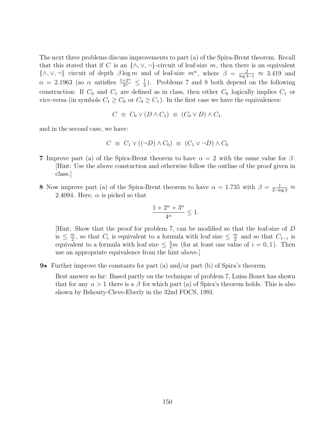The next three problems discuss improvements to part (a) of the Spira-Brent theorem. Recall that this stated that if C is an  $\{\wedge, \vee, \neg\}$ -circuit of leaf-size m, then there is an equivalent  $\{\wedge, \vee, \neg\}$  circuit of depth  $\beta \log m$  and of leaf-size  $m^{\alpha}$ , where  $\beta = \frac{2}{\log 3 - 1} \approx 3.419$  and  $\alpha = 2.1963$  (so  $\alpha$  satisfies  $\frac{1+2^{\alpha}}{3^{\alpha}} \leq \frac{1}{2}$ ). Problems 7 and 8 both depend on the following construction: If  $C_0$  and  $C_1$  are defined as in class, then either  $C_0$  logically implies  $C_1$  or vice-versa (in symbols  $C_1 \geq C_0$  or  $C_0 \geq C_1$ ). In the first case we have the equivalences:

$$
C \equiv C_0 \vee (D \wedge C_1) \equiv (C_0 \vee D) \wedge C_1.
$$

and in the second case, we have:

$$
C \equiv C_1 \vee ((\neg D) \wedge C_0) \equiv (C_1 \vee \neg D) \wedge C_0
$$

- **7** Improve part (a) of the Spira-Brent theorem to have  $\alpha = 2$  with the same value for  $\beta$ . [Hint: Use the above constuction and otherwise follow the outline of the proof given in class.]
- **8** Now improve part (a) of the Spira-Brent theorem to have  $\alpha = 1.735$  with  $\beta = \frac{1}{2-\log 3} \approx$ <br>2.4094 Here  $\alpha$  is picked so that 2.4094. Here,  $\alpha$  is picked so that

$$
\frac{1+2^{\alpha}+3^{\alpha}}{4^{\alpha}}\leq 1.
$$

[Hint: Show that the proof for problem 7, can be modified so that the leaf-size of D is  $\leq \frac{m}{2}$ , so that  $C_i$  is equivalent to a formula with leaf size  $\leq \frac{m}{2}$  and so that  $C_{1-i}$  is equivalent to a formula with leaf size  $\leq \frac{3m}{2}$  (for at least one value of  $i = 0, 1$ ). Then equivalent to a formula with leaf size  $\leq \frac{3}{4}m$  (for at least one value of  $i = 0, 1$ ). Then use an appropriate equivalence from the hint above.]

 $9\star$  Further improve the constants for part (a) and/or part (b) of Spira's theorem.

Best answer so far: Based partly on the technique of problem 7, Luisa Bonet has shown that for any  $\alpha > 1$  there is a  $\beta$  for which part (a) of Spira's theorem holds. This is also shown by Bshouty-Cleve-Eberly in the 32nd FOCS, 1991.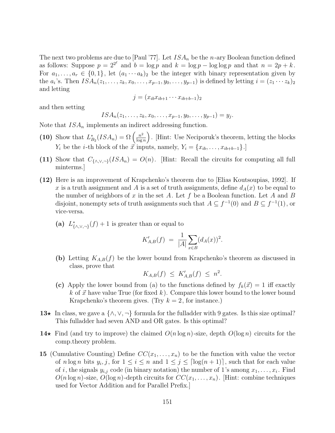The next two problems are due to [Paul '77]. Let  $ISA_n$  be the n-ary Boolean function defined as follows: Suppose  $p = 2^{2^{\ell}}$  and  $b = \log p$  and  $k = \log p - \log \log p$  and that  $n = 2p + k$ . For  $a_1, \ldots, a_r \in \{0,1\}$ , let  $(a_1 \cdots a_k)_2$  be the integer with binary representation given by the  $a_i$ 's. Then  $ISA_n(z_1,...,z_k, x_0,...,x_{p-1}, y_0,...,y_{p-1})$  is defined by letting  $i = (z_1 \cdots z_k)_2$ and letting

$$
j = (x_{ib}x_{ib+1}\cdots x_{ib+b-1})_2
$$

and then setting

$$
ISA_n(z_1,\ldots,z_k,x_0,\ldots,x_{p-1},y_0,\ldots,y_{p-1})=y_j.
$$

Note that  $ISA_n$  implements an indirect addressing function.

- (10) Show that  $L_{B_2}^*(ISA_n) = \Omega\left(\frac{n^2}{\log n}\right)$ ´ . [Hint: Use Neciporuk's theorem, letting the blocks  $Y_i$  be the *i*-th block of the  $\vec{x}$  inputs, namely,  $Y_i = \{x_{ib}, \ldots, x_{ib+b-1}\}.$
- (11) Show that  $C_{\{\wedge, \vee, \neg\}}(ISA_n) = O(n)$ . [Hint: Recall the circuits for computing all full minterms.]
- **(12)** Here is an improvement of Krapchenko's theorem due to [Elias Koutsoupias, 1992]. If x is a truth assignment and A is a set of truth assignments, define  $d_A(x)$  to be equal to the number of neighbors of x in the set A. Let f be a Boolean function. Let A and B disjoint, nonempty sets of truth assignments such that  $A \subseteq f^{-1}(0)$  and  $B \subseteq f^{-1}(1)$ , or vice-versa.
	- (a)  $L^*_{\{\wedge,\vee,\neg\}}(f) + 1$  is greater than or equal to

$$
K'_{A,B}(f) = \frac{1}{|A|} \sum_{x \in B} (d_A(x))^2.
$$

**(b)** Letting  $K_{A,B}(f)$  be the lower bound from Krapchenko's theorem as discussed in class, prove that

$$
K_{A,B}(f) \leq K'_{A,B}(f) \leq n^2.
$$

- (c) Apply the lower bound from (a) to the functions defined by  $f_k(\vec{x}) = 1$  iff exactly k of  $\vec{x}$  have value True (for fixed k). Compare this lower bound to the lower bound Krapchenko's theorem gives. (Try  $k = 2$ , for instance.)
- **13**<sup> $\star$ </sup> In class, we gave a {∧,∨, ¬} formula for the fulladder with 9 gates. Is this size optimal? This fulladder had seven AND and OR gates. Is this optimal?
- **14**<sup> $\star$ </sup> Find (and try to improve) the claimed  $O(n \log n)$ -size, depth  $O(\log n)$  circuits for the comp.theory problem.
- **15** (Cumulative Counting) Define  $CC(x_1, \ldots, x_n)$  to be the function with value the vector of n log n bits  $y_i, j$ , for  $1 \leq i \leq n$  and  $1 \leq j \leq \lceil \log(n+1) \rceil$ , such that for each value of i, the signals  $y_{i,j}$  code (in binary notation) the number of 1's among  $x_1, \ldots, x_i$ . Find  $O(n \log n)$ -size,  $O(\log n)$ -depth circuits for  $CC(x_1,...,x_n)$ . [Hint: combine techniques used for Vector Addition and for Parallel Prefix.]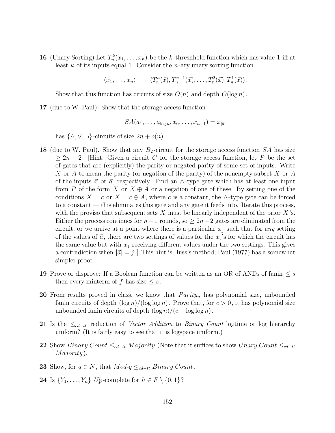**16** (Unary Sorting) Let  $T_n^k(x_1,\ldots,x_n)$  be the k-threshhold function which has value 1 iff at least  $k$  of its inputs equal 1. Consider the *n*-ary unary sorting function

 $\langle x_1,\ldots,x_n\rangle \mapsto \langle T_n^n(\vec{x}),T_n^{n-1}(\vec{x}),\ldots,T_n^2(\vec{x}),T_n^1(\vec{x})\rangle.$ 

Show that this function has circuits of size  $O(n)$  and depth  $O(\log n)$ .

**17** (due to W. Paul). Show that the storage access function

$$
SA(a_1,\ldots,a_{\log n},x_0,\ldots,x_{n-1})=x_{|\vec{a}|}
$$

has  $\{\wedge, \vee, \neg\}$ -circuits of size  $2n + o(n)$ .

- **18** (due to W. Paul). Show that any  $B_2$ -circuit for the storage access function SA has size  $\geq 2n-2$ . [Hint: Given a circuit C for the storage access function, let P be the set of gates that are (explicitly) the parity or negated parity of some set of inputs. Write X or A to mean the parity (or negation of the parity) of the nonempty subset X or A of the inputs  $\vec{x}$  or  $\vec{a}$ , respectively. Find an ∧-type gate which has at least one input from P of the form X or  $X \oplus A$  or a negation of one of these. By setting one of the conditions  $X = c$  or  $X = c \oplus A$ , where c is a constant, the ∧-type gate can be forced to a constant — this eliminates this gate and any gate it feeds into. Iterate this process, with the proviso that subsequent sets X must be linearly independent of the prior  $X$ 's. Either the process continues for  $n-1$  rounds, so  $\geq 2n-2$  gates are eliminated from the circuit; or we arrive at a point where there is a particular  $x_i$  such that for any setting of the values of  $\vec{a}$ , there are two settings of values for the  $x_i$ 's for which the circuit has the same value but with  $x_j$  receiving different values under the two settings. This gives a contradiction when  $|\vec{a}| = j$ . This hint is Buss's method; Paul (1977) has a somewhat simpler proof.
- **19** Prove or disprove: If a Boolean function can be written as an OR of ANDs of fanin  $\leq s$ then every minterm of f has size  $\leq s$ .
- **20** From results proved in class, we know that  $Parity_n$  has polynomial size, unbounded fanin circuits of depth  $(\log n)/(\log \log n)$ . Prove that, for  $c > 0$ , it has polynomial size unbounded fanin circuits of depth  $(\log n)/(c + \log \log n)$ .
- 21 Is the  $\leq_{cd-tt}$  reduction of Vector Addition to Binary Count logtime or log hierarchy uniform? (It is fairly easy to see that it is logspace uniform.)
- **22** Show Binary Count  $\leq_{cd-tt}$  Majority (Note that it suffices to show Unary Count  $\leq_{cd-tt}$ Majority).
- **23** Show, for  $q \in N$ , that  $Mod_q \leq_{cd-tt} Binary Count$ .
- **24** Is  $\{Y_1, \ldots, Y_n\}$  U<sub>F</sub>-complete for  $h \in F \setminus \{0, 1\}$ ?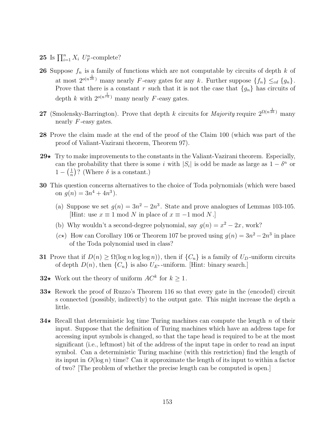**25** Is  $\prod_{i=1}^{n} X_i$   $U_F^n$ -complete?

- **26** Suppose  $f_n$  is a family of functions which are not computable by circuits of depth  $k$  of at most  $2^{o(n^{\frac{1}{2k}})}$  many nearly F-easy gates for any k. Further suppose  $\{f_n\} \leq_{cd} \{g_n\}.$ Prove that there is a constant r such that it is not the case that  ${g_n}$  has circuits of depth k with  $2^{o(n\bar{r}\bar{k})}$  many nearly F-easy gates.
- **27** (Smolensky-Barrington). Prove that depth k circuits for *Majority* require  $2^{\Omega(n\bar{2k})}$  many nearly  $F$ -easy gates.
- **28** Prove the claim made at the end of the proof of the Claim 100 (which was part of the proof of Valiant-Vazirani theorem, Theorem 97).
- 29 $\star$  Try to make improvements to the constants in the Valiant-Vazirani theorem. Especially, can the probability that there is some i with  $|S_i|$  is odd be made as large as  $1 - \delta^n$  or  $1 - \left(\frac{1}{n}\right)$ ? (Where  $\delta$  is a constant.)
- **30** This question concerns alternatives to the choice of Toda polynomials (which were based on  $q(n)=3n^4 + 4n^3$ .
	- (a) Suppose we set  $g(n)=3n^2 2n^3$ . State and prove analogues of Lemmas 103-105. [Hint: use  $x \equiv 1 \mod N$  in place of  $x \equiv -1 \mod N$ .]
	- (b) Why wouldn't a second-degree polynomial, say  $g(n) = x^2 2x$ , work?
	- (c\*) How can Corollary 106 or Theorem 107 be proved using  $g(n)=3n^2 -2n^3$  in place of the Toda polynomial used in class?
- **31** Prove that if  $D(n) \ge \Omega(\log n \log \log n)$ , then if  $\{C_n\}$  is a family of  $U_D$ -uniform circuits of depth  $D(n)$ , then  $\{C_n\}$  is also  $U_{E^*}$ -uniform. [Hint: binary search.]
- **32**★ Work out the theory of uniform  $AC^k$  for  $k \ge 1$ .
- **33**<sup> $\star$ </sup> Rework the proof of Ruzzo's Theorem 116 so that every gate in the (encoded) circuit s connected (possibly, indirectly) to the output gate. This might increase the depth a little.
- **34** Recall that deterministic log time Turing machines can compute the length n of their input. Suppose that the definition of Turing machines which have an address tape for accessing input symbols is changed, so that the tape head is required to be at the most significant (i.e., leftmost) bit of the address of the input tape in order to read an input symbol. Can a deterministic Turing machine (with this restriction) find the length of its input in  $O(\log n)$  time? Can it approximate the length of its input to within a factor of two? [The problem of whether the precise length can be computed is open.]